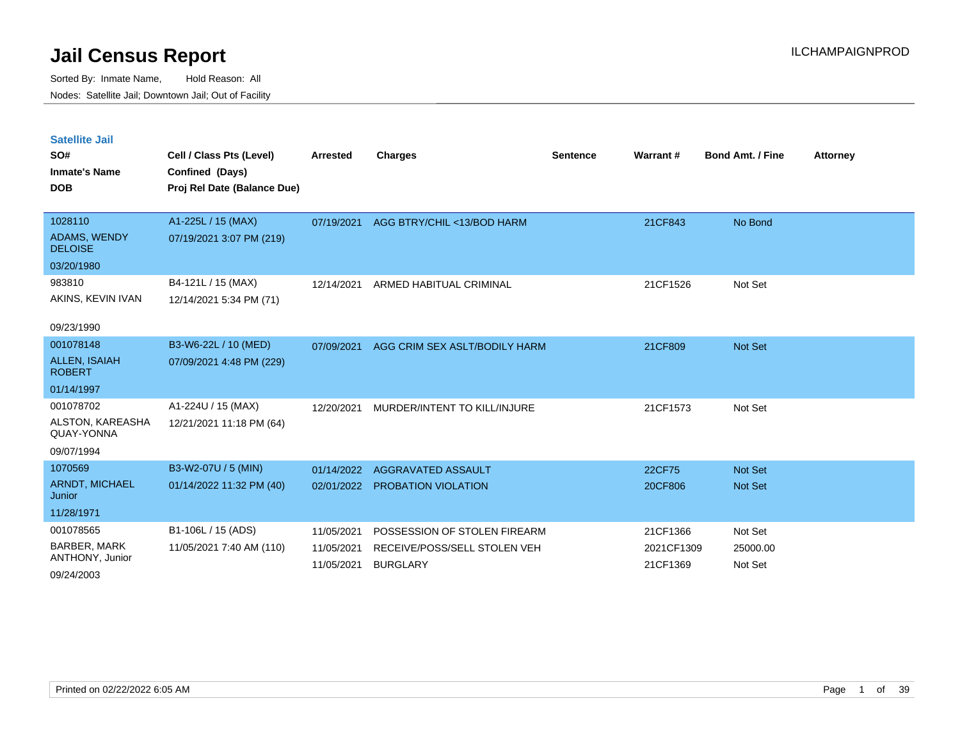| <b>Satellite Jail</b><br>SO#<br><b>Inmate's Name</b><br><b>DOB</b> | Cell / Class Pts (Level)<br>Confined (Days)<br>Proj Rel Date (Balance Due) | <b>Arrested</b>          | <b>Charges</b>                                  | <b>Sentence</b> | Warrant#               | <b>Bond Amt. / Fine</b> | <b>Attorney</b> |
|--------------------------------------------------------------------|----------------------------------------------------------------------------|--------------------------|-------------------------------------------------|-----------------|------------------------|-------------------------|-----------------|
| 1028110                                                            | A1-225L / 15 (MAX)                                                         | 07/19/2021               | AGG BTRY/CHIL <13/BOD HARM                      |                 | 21CF843                | No Bond                 |                 |
| <b>ADAMS, WENDY</b><br><b>DELOISE</b>                              | 07/19/2021 3:07 PM (219)                                                   |                          |                                                 |                 |                        |                         |                 |
| 03/20/1980                                                         |                                                                            |                          |                                                 |                 |                        |                         |                 |
| 983810                                                             | B4-121L / 15 (MAX)                                                         | 12/14/2021               | ARMED HABITUAL CRIMINAL                         |                 | 21CF1526               | Not Set                 |                 |
| AKINS, KEVIN IVAN                                                  | 12/14/2021 5:34 PM (71)                                                    |                          |                                                 |                 |                        |                         |                 |
| 09/23/1990                                                         |                                                                            |                          |                                                 |                 |                        |                         |                 |
| 001078148                                                          | B3-W6-22L / 10 (MED)                                                       | 07/09/2021               | AGG CRIM SEX ASLT/BODILY HARM                   |                 | 21CF809                | Not Set                 |                 |
| <b>ALLEN, ISAIAH</b><br><b>ROBERT</b>                              | 07/09/2021 4:48 PM (229)                                                   |                          |                                                 |                 |                        |                         |                 |
| 01/14/1997                                                         |                                                                            |                          |                                                 |                 |                        |                         |                 |
| 001078702                                                          | A1-224U / 15 (MAX)                                                         | 12/20/2021               | MURDER/INTENT TO KILL/INJURE                    |                 | 21CF1573               | Not Set                 |                 |
| ALSTON, KAREASHA<br>QUAY-YONNA                                     | 12/21/2021 11:18 PM (64)                                                   |                          |                                                 |                 |                        |                         |                 |
| 09/07/1994                                                         |                                                                            |                          |                                                 |                 |                        |                         |                 |
| 1070569                                                            | B3-W2-07U / 5 (MIN)                                                        | 01/14/2022               | AGGRAVATED ASSAULT                              |                 | 22CF75                 | <b>Not Set</b>          |                 |
| <b>ARNDT, MICHAEL</b><br>Junior                                    | 01/14/2022 11:32 PM (40)                                                   | 02/01/2022               | PROBATION VIOLATION                             |                 | 20CF806                | <b>Not Set</b>          |                 |
| 11/28/1971                                                         |                                                                            |                          |                                                 |                 |                        |                         |                 |
| 001078565                                                          | B1-106L / 15 (ADS)                                                         | 11/05/2021               | POSSESSION OF STOLEN FIREARM                    |                 | 21CF1366               | Not Set                 |                 |
| <b>BARBER, MARK</b><br>ANTHONY, Junior                             | 11/05/2021 7:40 AM (110)                                                   | 11/05/2021<br>11/05/2021 | RECEIVE/POSS/SELL STOLEN VEH<br><b>BURGLARY</b> |                 | 2021CF1309<br>21CF1369 | 25000.00<br>Not Set     |                 |
| 09/24/2003                                                         |                                                                            |                          |                                                 |                 |                        |                         |                 |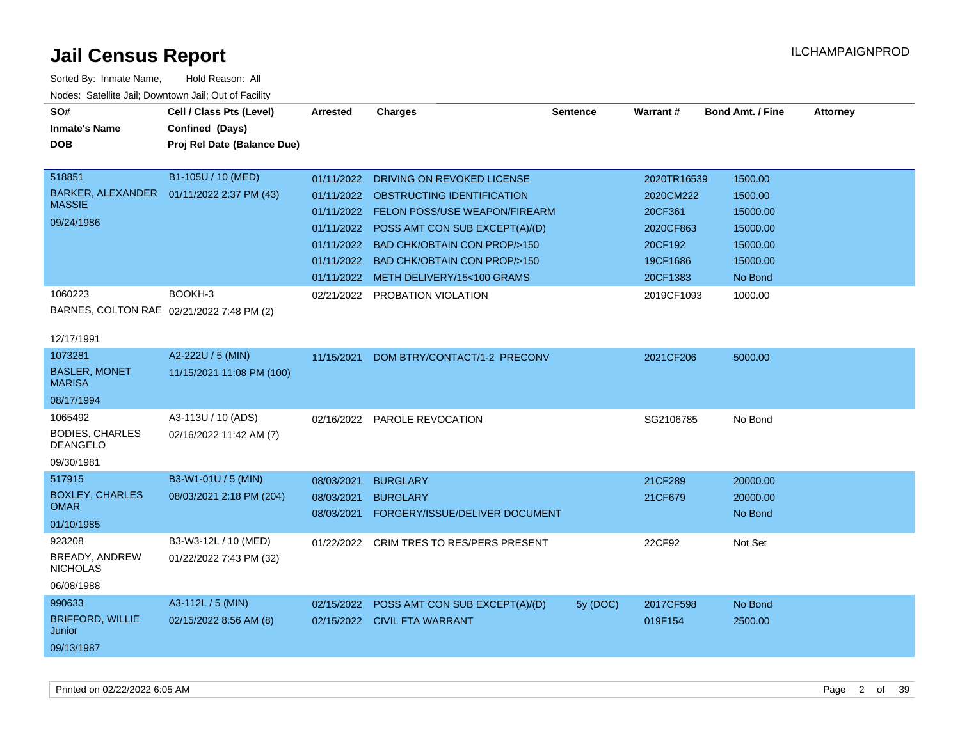| SO#<br><b>Inmate's Name</b><br><b>DOB</b><br>518851                | Cell / Class Pts (Level)<br>Confined (Days)<br>Proj Rel Date (Balance Due)<br>B1-105U / 10 (MED) | <b>Arrested</b><br>01/11/2022          | <b>Charges</b><br>DRIVING ON REVOKED LICENSE                                                                                                                                                                                                      | <b>Sentence</b> | Warrant#<br>2020TR16539                                              | <b>Bond Amt. / Fine</b><br>1500.00                                 | <b>Attorney</b> |
|--------------------------------------------------------------------|--------------------------------------------------------------------------------------------------|----------------------------------------|---------------------------------------------------------------------------------------------------------------------------------------------------------------------------------------------------------------------------------------------------|-----------------|----------------------------------------------------------------------|--------------------------------------------------------------------|-----------------|
| <b>BARKER, ALEXANDER</b><br><b>MASSIE</b><br>09/24/1986            | 01/11/2022 2:37 PM (43)                                                                          | 01/11/2022<br>01/11/2022               | 01/11/2022 OBSTRUCTING IDENTIFICATION<br>01/11/2022 FELON POSS/USE WEAPON/FIREARM<br>01/11/2022 POSS AMT CON SUB EXCEPT(A)/(D)<br>BAD CHK/OBTAIN CON PROP/>150<br><b>BAD CHK/OBTAIN CON PROP/&gt;150</b><br>01/11/2022 METH DELIVERY/15<100 GRAMS |                 | 2020CM222<br>20CF361<br>2020CF863<br>20CF192<br>19CF1686<br>20CF1383 | 1500.00<br>15000.00<br>15000.00<br>15000.00<br>15000.00<br>No Bond |                 |
| 1060223<br>BARNES, COLTON RAE 02/21/2022 7:48 PM (2)<br>12/17/1991 | BOOKH-3                                                                                          |                                        | 02/21/2022 PROBATION VIOLATION                                                                                                                                                                                                                    |                 | 2019CF1093                                                           | 1000.00                                                            |                 |
| 1073281<br><b>BASLER, MONET</b><br><b>MARISA</b><br>08/17/1994     | A2-222U / 5 (MIN)<br>11/15/2021 11:08 PM (100)                                                   | 11/15/2021                             | DOM BTRY/CONTACT/1-2 PRECONV                                                                                                                                                                                                                      |                 | 2021CF206                                                            | 5000.00                                                            |                 |
| 1065492<br><b>BODIES, CHARLES</b><br><b>DEANGELO</b><br>09/30/1981 | A3-113U / 10 (ADS)<br>02/16/2022 11:42 AM (7)                                                    |                                        | 02/16/2022 PAROLE REVOCATION                                                                                                                                                                                                                      |                 | SG2106785                                                            | No Bond                                                            |                 |
| 517915<br><b>BOXLEY, CHARLES</b><br><b>OMAR</b><br>01/10/1985      | B3-W1-01U / 5 (MIN)<br>08/03/2021 2:18 PM (204)                                                  | 08/03/2021<br>08/03/2021<br>08/03/2021 | <b>BURGLARY</b><br><b>BURGLARY</b><br>FORGERY/ISSUE/DELIVER DOCUMENT                                                                                                                                                                              |                 | 21CF289<br>21CF679                                                   | 20000.00<br>20000.00<br>No Bond                                    |                 |
| 923208<br><b>BREADY, ANDREW</b><br><b>NICHOLAS</b><br>06/08/1988   | B3-W3-12L / 10 (MED)<br>01/22/2022 7:43 PM (32)                                                  | 01/22/2022                             | CRIM TRES TO RES/PERS PRESENT                                                                                                                                                                                                                     |                 | 22CF92                                                               | Not Set                                                            |                 |
| 990633<br><b>BRIFFORD, WILLIE</b><br>Junior<br>09/13/1987          | A3-112L / 5 (MIN)<br>02/15/2022 8:56 AM (8)                                                      |                                        | 02/15/2022 POSS AMT CON SUB EXCEPT(A)/(D)<br>02/15/2022 CIVIL FTA WARRANT                                                                                                                                                                         | 5y (DOC)        | 2017CF598<br>019F154                                                 | No Bond<br>2500.00                                                 |                 |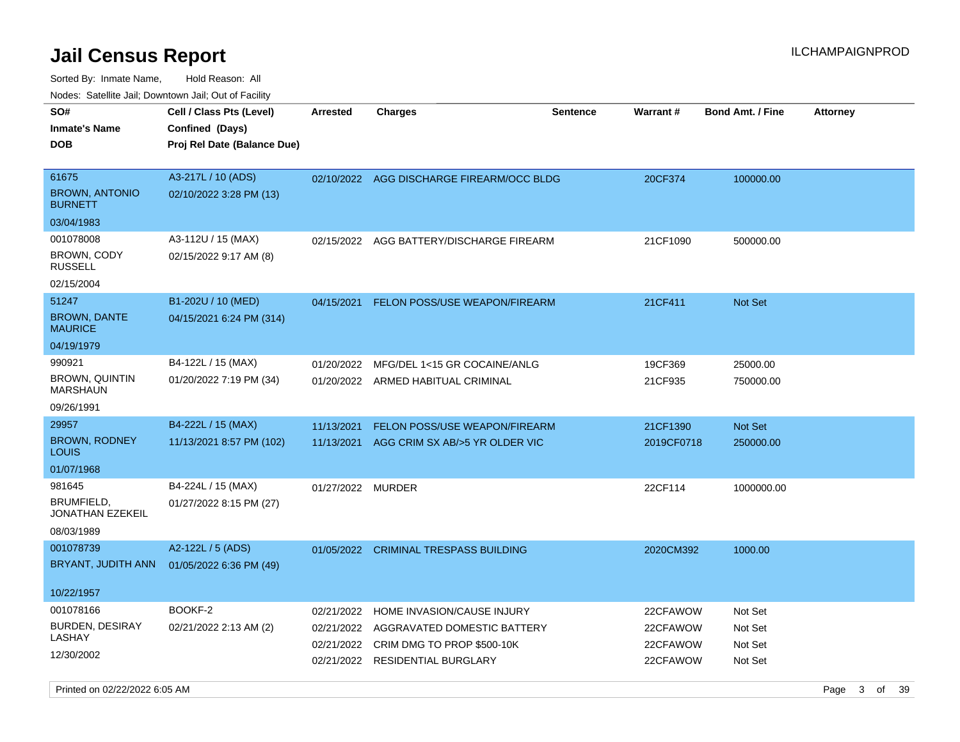Sorted By: Inmate Name, Hold Reason: All Nodes: Satellite Jail; Downtown Jail; Out of Facility

| SO#<br><b>Inmate's Name</b><br><b>DOB</b>        | Cell / Class Pts (Level)<br>Confined (Days)<br>Proj Rel Date (Balance Due) | <b>Arrested</b>   | <b>Charges</b>                            | <b>Sentence</b> | Warrant#   | <b>Bond Amt. / Fine</b> | <b>Attorney</b> |
|--------------------------------------------------|----------------------------------------------------------------------------|-------------------|-------------------------------------------|-----------------|------------|-------------------------|-----------------|
| 61675<br><b>BROWN, ANTONIO</b><br><b>BURNETT</b> | A3-217L / 10 (ADS)<br>02/10/2022 3:28 PM (13)                              |                   | 02/10/2022 AGG DISCHARGE FIREARM/OCC BLDG |                 | 20CF374    | 100000.00               |                 |
| 03/04/1983                                       |                                                                            |                   |                                           |                 |            |                         |                 |
| 001078008                                        | A3-112U / 15 (MAX)                                                         |                   | 02/15/2022 AGG BATTERY/DISCHARGE FIREARM  |                 | 21CF1090   | 500000.00               |                 |
| <b>BROWN, CODY</b><br><b>RUSSELL</b>             | 02/15/2022 9:17 AM (8)                                                     |                   |                                           |                 |            |                         |                 |
| 02/15/2004                                       |                                                                            |                   |                                           |                 |            |                         |                 |
| 51247                                            | B1-202U / 10 (MED)                                                         | 04/15/2021        | <b>FELON POSS/USE WEAPON/FIREARM</b>      |                 | 21CF411    | Not Set                 |                 |
| <b>BROWN, DANTE</b><br><b>MAURICE</b>            | 04/15/2021 6:24 PM (314)                                                   |                   |                                           |                 |            |                         |                 |
| 04/19/1979                                       |                                                                            |                   |                                           |                 |            |                         |                 |
| 990921                                           | B4-122L / 15 (MAX)                                                         | 01/20/2022        | MFG/DEL 1<15 GR COCAINE/ANLG              |                 | 19CF369    | 25000.00                |                 |
| BROWN, QUINTIN<br><b>MARSHAUN</b>                | 01/20/2022 7:19 PM (34)                                                    |                   | 01/20/2022 ARMED HABITUAL CRIMINAL        |                 | 21CF935    | 750000.00               |                 |
| 09/26/1991                                       |                                                                            |                   |                                           |                 |            |                         |                 |
| 29957                                            | B4-222L / 15 (MAX)                                                         | 11/13/2021        | FELON POSS/USE WEAPON/FIREARM             |                 | 21CF1390   | Not Set                 |                 |
| <b>BROWN, RODNEY</b><br><b>LOUIS</b>             | 11/13/2021 8:57 PM (102)                                                   | 11/13/2021        | AGG CRIM SX AB/>5 YR OLDER VIC            |                 | 2019CF0718 | 250000.00               |                 |
| 01/07/1968                                       |                                                                            |                   |                                           |                 |            |                         |                 |
| 981645                                           | B4-224L / 15 (MAX)                                                         | 01/27/2022 MURDER |                                           |                 | 22CF114    | 1000000.00              |                 |
| BRUMFIELD,<br><b>JONATHAN EZEKEIL</b>            | 01/27/2022 8:15 PM (27)                                                    |                   |                                           |                 |            |                         |                 |
| 08/03/1989                                       |                                                                            |                   |                                           |                 |            |                         |                 |
| 001078739                                        | A2-122L / 5 (ADS)                                                          |                   | 01/05/2022 CRIMINAL TRESPASS BUILDING     |                 | 2020CM392  | 1000.00                 |                 |
| BRYANT, JUDITH ANN                               | 01/05/2022 6:36 PM (49)                                                    |                   |                                           |                 |            |                         |                 |
| 10/22/1957                                       |                                                                            |                   |                                           |                 |            |                         |                 |
| 001078166                                        | BOOKF-2                                                                    | 02/21/2022        | HOME INVASION/CAUSE INJURY                |                 | 22CFAWOW   | Not Set                 |                 |
| <b>BURDEN, DESIRAY</b>                           | 02/21/2022 2:13 AM (2)                                                     | 02/21/2022        | AGGRAVATED DOMESTIC BATTERY               |                 | 22CFAWOW   | Not Set                 |                 |
| LASHAY                                           |                                                                            | 02/21/2022        | CRIM DMG TO PROP \$500-10K                |                 | 22CFAWOW   | Not Set                 |                 |
| 12/30/2002                                       |                                                                            | 02/21/2022        | <b>RESIDENTIAL BURGLARY</b>               |                 | 22CFAWOW   | Not Set                 |                 |

Printed on 02/22/2022 6:05 AM Page 3 of 39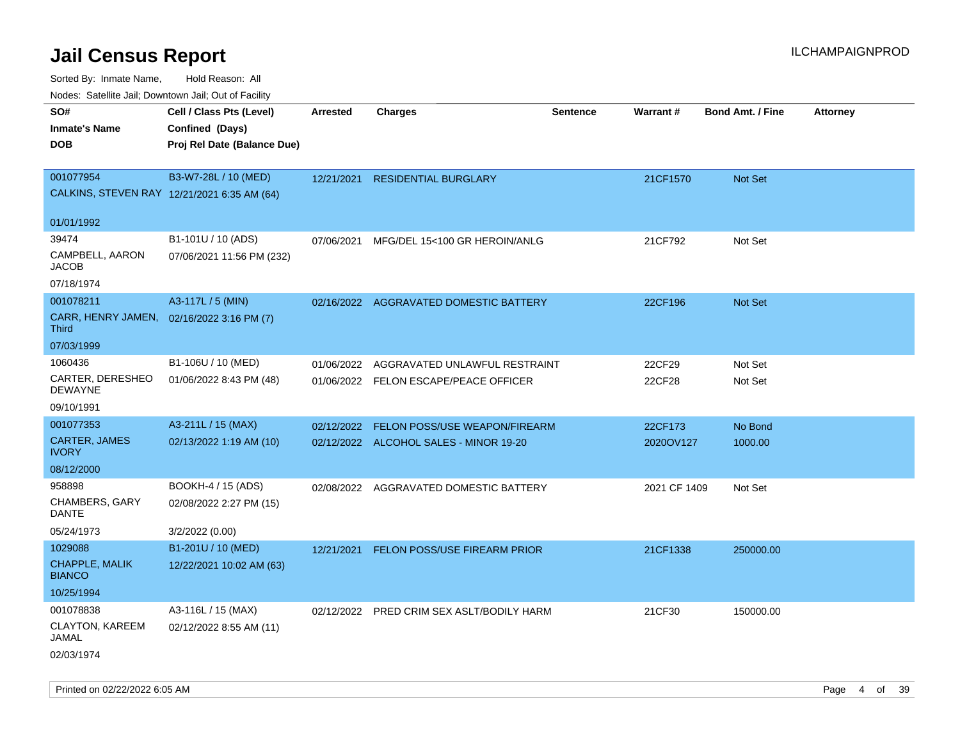Sorted By: Inmate Name, Hold Reason: All

Nodes: Satellite Jail; Downtown Jail; Out of Facility

| roaco. Catolino dall, Downtown dall, Out of Fability      |                             |            |                                           |                 |              |                         |                 |
|-----------------------------------------------------------|-----------------------------|------------|-------------------------------------------|-----------------|--------------|-------------------------|-----------------|
| SO#                                                       | Cell / Class Pts (Level)    | Arrested   | <b>Charges</b>                            | <b>Sentence</b> | Warrant#     | <b>Bond Amt. / Fine</b> | <b>Attorney</b> |
| <b>Inmate's Name</b>                                      | Confined (Days)             |            |                                           |                 |              |                         |                 |
| <b>DOB</b>                                                | Proj Rel Date (Balance Due) |            |                                           |                 |              |                         |                 |
|                                                           |                             |            |                                           |                 |              |                         |                 |
| 001077954                                                 | B3-W7-28L / 10 (MED)        | 12/21/2021 | <b>RESIDENTIAL BURGLARY</b>               |                 | 21CF1570     | Not Set                 |                 |
| CALKINS, STEVEN RAY 12/21/2021 6:35 AM (64)               |                             |            |                                           |                 |              |                         |                 |
|                                                           |                             |            |                                           |                 |              |                         |                 |
| 01/01/1992                                                |                             |            |                                           |                 |              |                         |                 |
| 39474                                                     | B1-101U / 10 (ADS)          | 07/06/2021 | MFG/DEL 15<100 GR HEROIN/ANLG             |                 | 21CF792      | Not Set                 |                 |
| CAMPBELL, AARON<br><b>JACOB</b>                           | 07/06/2021 11:56 PM (232)   |            |                                           |                 |              |                         |                 |
| 07/18/1974                                                |                             |            |                                           |                 |              |                         |                 |
| 001078211                                                 | A3-117L / 5 (MIN)           |            | 02/16/2022 AGGRAVATED DOMESTIC BATTERY    |                 | 22CF196      | Not Set                 |                 |
| CARR, HENRY JAMEN, 02/16/2022 3:16 PM (7)<br><b>Third</b> |                             |            |                                           |                 |              |                         |                 |
| 07/03/1999                                                |                             |            |                                           |                 |              |                         |                 |
| 1060436                                                   | B1-106U / 10 (MED)          | 01/06/2022 | AGGRAVATED UNLAWFUL RESTRAINT             |                 | 22CF29       | Not Set                 |                 |
| CARTER, DERESHEO<br><b>DEWAYNE</b>                        | 01/06/2022 8:43 PM (48)     |            | 01/06/2022 FELON ESCAPE/PEACE OFFICER     |                 | 22CF28       | Not Set                 |                 |
| 09/10/1991                                                |                             |            |                                           |                 |              |                         |                 |
| 001077353                                                 | A3-211L / 15 (MAX)          | 02/12/2022 | FELON POSS/USE WEAPON/FIREARM             |                 | 22CF173      | No Bond                 |                 |
| <b>CARTER, JAMES</b><br><b>IVORY</b>                      | 02/13/2022 1:19 AM (10)     |            | 02/12/2022 ALCOHOL SALES - MINOR 19-20    |                 | 2020OV127    | 1000.00                 |                 |
| 08/12/2000                                                |                             |            |                                           |                 |              |                         |                 |
| 958898                                                    | BOOKH-4 / 15 (ADS)          |            | 02/08/2022 AGGRAVATED DOMESTIC BATTERY    |                 | 2021 CF 1409 | Not Set                 |                 |
| CHAMBERS, GARY<br><b>DANTE</b>                            | 02/08/2022 2:27 PM (15)     |            |                                           |                 |              |                         |                 |
| 05/24/1973                                                | 3/2/2022 (0.00)             |            |                                           |                 |              |                         |                 |
| 1029088                                                   | B1-201U / 10 (MED)          | 12/21/2021 | <b>FELON POSS/USE FIREARM PRIOR</b>       |                 | 21CF1338     | 250000.00               |                 |
| CHAPPLE, MALIK<br><b>BIANCO</b>                           | 12/22/2021 10:02 AM (63)    |            |                                           |                 |              |                         |                 |
| 10/25/1994                                                |                             |            |                                           |                 |              |                         |                 |
| 001078838                                                 | A3-116L / 15 (MAX)          |            | 02/12/2022 PRED CRIM SEX ASLT/BODILY HARM |                 | 21CF30       | 150000.00               |                 |
| CLAYTON, KAREEM<br><b>JAMAL</b>                           | 02/12/2022 8:55 AM (11)     |            |                                           |                 |              |                         |                 |
| 02/03/1974                                                |                             |            |                                           |                 |              |                         |                 |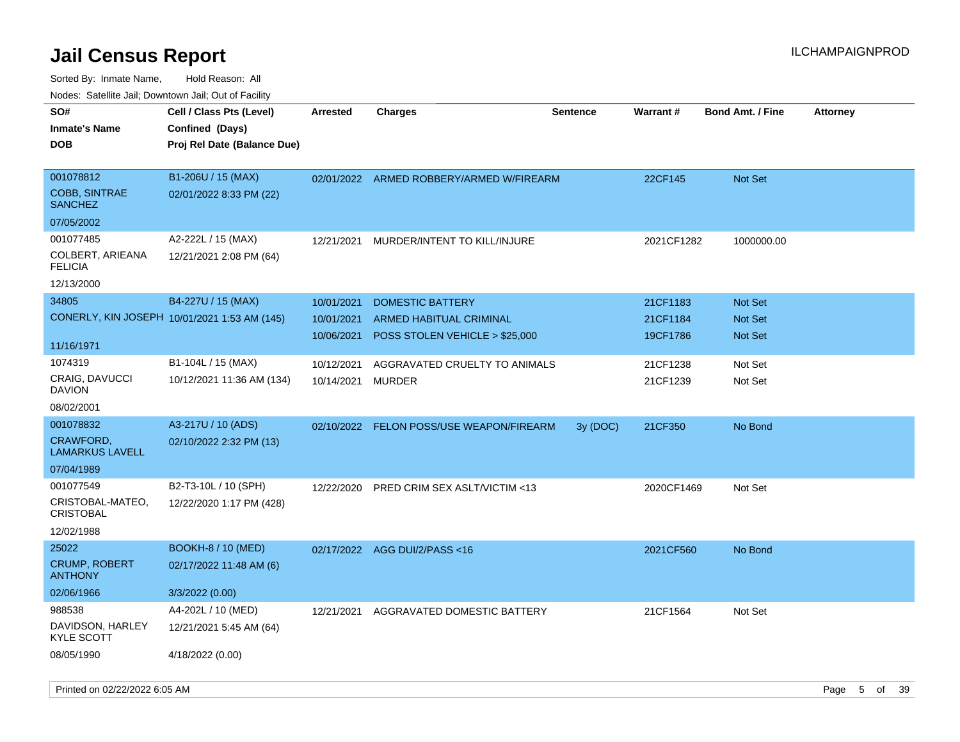| roaco. Calcinio dan, Downtown dan, Cal or Fability |                                                                            |                 |                                |                 |            |                         |                 |
|----------------------------------------------------|----------------------------------------------------------------------------|-----------------|--------------------------------|-----------------|------------|-------------------------|-----------------|
| SO#<br><b>Inmate's Name</b><br>DOB                 | Cell / Class Pts (Level)<br>Confined (Days)<br>Proj Rel Date (Balance Due) | <b>Arrested</b> | Charges                        | <b>Sentence</b> | Warrant#   | <b>Bond Amt. / Fine</b> | <b>Attorney</b> |
| 001078812<br>COBB, SINTRAE<br><b>SANCHEZ</b>       | B1-206U / 15 (MAX)<br>02/01/2022 8:33 PM (22)                              | 02/01/2022      | ARMED ROBBERY/ARMED W/FIREARM  |                 | 22CF145    | <b>Not Set</b>          |                 |
| 07/05/2002                                         |                                                                            |                 |                                |                 |            |                         |                 |
| 001077485                                          | A2-222L / 15 (MAX)                                                         | 12/21/2021      | MURDER/INTENT TO KILL/INJURE   |                 | 2021CF1282 | 1000000.00              |                 |
| COLBERT, ARIEANA<br><b>FELICIA</b>                 | 12/21/2021 2:08 PM (64)                                                    |                 |                                |                 |            |                         |                 |
| 12/13/2000                                         |                                                                            |                 |                                |                 |            |                         |                 |
| 34805                                              | B4-227U / 15 (MAX)                                                         | 10/01/2021      | <b>DOMESTIC BATTERY</b>        |                 | 21CF1183   | <b>Not Set</b>          |                 |
|                                                    | CONERLY, KIN JOSEPH 10/01/2021 1:53 AM (145)                               | 10/01/2021      | <b>ARMED HABITUAL CRIMINAL</b> |                 | 21CF1184   | <b>Not Set</b>          |                 |
|                                                    |                                                                            | 10/06/2021      | POSS STOLEN VEHICLE > \$25,000 |                 | 19CF1786   | Not Set                 |                 |
| 11/16/1971                                         |                                                                            |                 |                                |                 |            |                         |                 |
| 1074319                                            | B1-104L / 15 (MAX)                                                         | 10/12/2021      | AGGRAVATED CRUELTY TO ANIMALS  |                 | 21CF1238   | Not Set                 |                 |
| CRAIG, DAVUCCI<br>DAVION                           | 10/12/2021 11:36 AM (134)                                                  | 10/14/2021      | MURDER                         |                 | 21CF1239   | Not Set                 |                 |
| 08/02/2001                                         |                                                                            |                 |                                |                 |            |                         |                 |
| 001078832                                          | A3-217U / 10 (ADS)                                                         | 02/10/2022      | FELON POSS/USE WEAPON/FIREARM  | 3y (DOC)        | 21CF350    | No Bond                 |                 |
| CRAWFORD,<br>LAMARKUS LAVELL                       | 02/10/2022 2:32 PM (13)                                                    |                 |                                |                 |            |                         |                 |
| 07/04/1989                                         |                                                                            |                 |                                |                 |            |                         |                 |
| 001077549                                          | B2-T3-10L / 10 (SPH)                                                       | 12/22/2020      | PRED CRIM SEX ASLT/VICTIM <13  |                 | 2020CF1469 | Not Set                 |                 |
| CRISTOBAL-MATEO,<br>CRISTOBAL                      | 12/22/2020 1:17 PM (428)                                                   |                 |                                |                 |            |                         |                 |
| 12/02/1988                                         |                                                                            |                 |                                |                 |            |                         |                 |
| 25022                                              | <b>BOOKH-8 / 10 (MED)</b>                                                  |                 | 02/17/2022 AGG DUI/2/PASS<16   |                 | 2021CF560  | No Bond                 |                 |
| <b>CRUMP, ROBERT</b><br>ANTHONY                    | 02/17/2022 11:48 AM (6)                                                    |                 |                                |                 |            |                         |                 |
| 02/06/1966                                         | 3/3/2022 (0.00)                                                            |                 |                                |                 |            |                         |                 |
| 988538                                             | A4-202L / 10 (MED)                                                         | 12/21/2021      | AGGRAVATED DOMESTIC BATTERY    |                 | 21CF1564   | Not Set                 |                 |
| DAVIDSON, HARLEY<br>KYLE SCOTT                     | 12/21/2021 5:45 AM (64)                                                    |                 |                                |                 |            |                         |                 |
| 08/05/1990                                         | 4/18/2022 (0.00)                                                           |                 |                                |                 |            |                         |                 |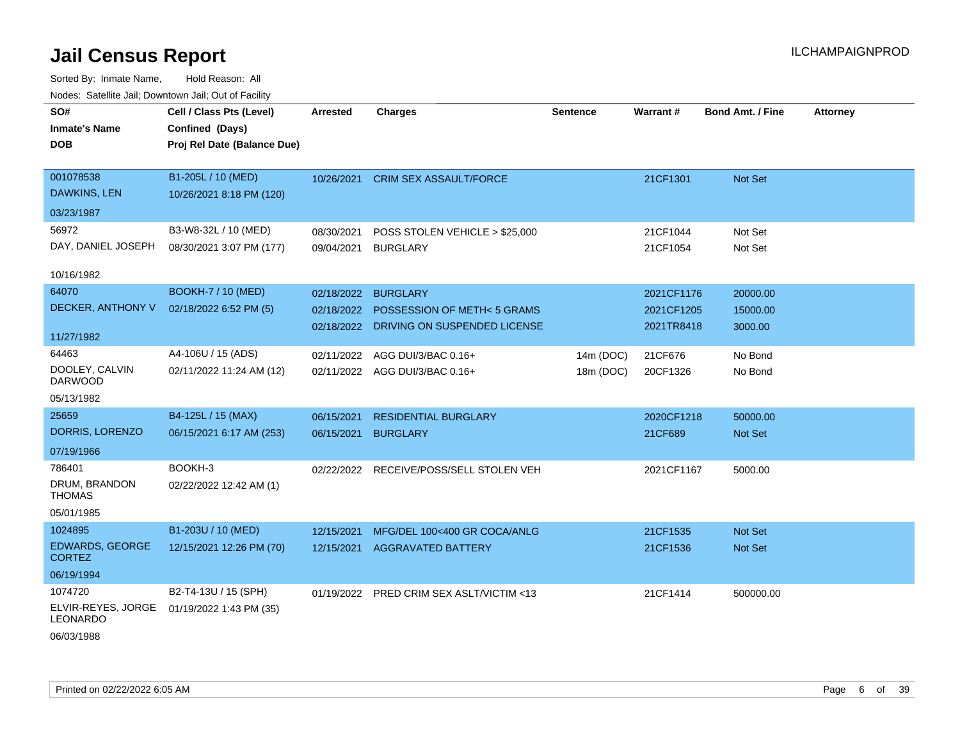| roaco. Calcillo dall, Downtown dall, Cal of Fability |                             |                 |                                          |                 |                 |                         |                 |
|------------------------------------------------------|-----------------------------|-----------------|------------------------------------------|-----------------|-----------------|-------------------------|-----------------|
| SO#                                                  | Cell / Class Pts (Level)    | <b>Arrested</b> | <b>Charges</b>                           | <b>Sentence</b> | <b>Warrant#</b> | <b>Bond Amt. / Fine</b> | <b>Attorney</b> |
| <b>Inmate's Name</b>                                 | Confined (Days)             |                 |                                          |                 |                 |                         |                 |
| <b>DOB</b>                                           | Proj Rel Date (Balance Due) |                 |                                          |                 |                 |                         |                 |
|                                                      |                             |                 |                                          |                 |                 |                         |                 |
| 001078538                                            | B1-205L / 10 (MED)          |                 | 10/26/2021 CRIM SEX ASSAULT/FORCE        |                 | 21CF1301        | Not Set                 |                 |
| DAWKINS, LEN                                         | 10/26/2021 8:18 PM (120)    |                 |                                          |                 |                 |                         |                 |
| 03/23/1987                                           |                             |                 |                                          |                 |                 |                         |                 |
| 56972                                                | B3-W8-32L / 10 (MED)        | 08/30/2021      | POSS STOLEN VEHICLE > \$25,000           |                 | 21CF1044        | Not Set                 |                 |
| DAY, DANIEL JOSEPH                                   | 08/30/2021 3:07 PM (177)    | 09/04/2021      | <b>BURGLARY</b>                          |                 | 21CF1054        | Not Set                 |                 |
|                                                      |                             |                 |                                          |                 |                 |                         |                 |
| 10/16/1982                                           |                             |                 |                                          |                 |                 |                         |                 |
| 64070                                                | <b>BOOKH-7 / 10 (MED)</b>   | 02/18/2022      | <b>BURGLARY</b>                          |                 | 2021CF1176      | 20000.00                |                 |
| DECKER, ANTHONY V                                    | 02/18/2022 6:52 PM (5)      | 02/18/2022      | POSSESSION OF METH<5 GRAMS               |                 | 2021CF1205      | 15000.00                |                 |
|                                                      |                             |                 | 02/18/2022 DRIVING ON SUSPENDED LICENSE  |                 | 2021TR8418      | 3000.00                 |                 |
| 11/27/1982                                           |                             |                 |                                          |                 |                 |                         |                 |
| 64463                                                | A4-106U / 15 (ADS)          | 02/11/2022      | AGG DUI/3/BAC 0.16+                      | 14m (DOC)       | 21CF676         | No Bond                 |                 |
| DOOLEY, CALVIN<br><b>DARWOOD</b>                     | 02/11/2022 11:24 AM (12)    |                 | 02/11/2022 AGG DUI/3/BAC 0.16+           | 18m (DOC)       | 20CF1326        | No Bond                 |                 |
| 05/13/1982                                           |                             |                 |                                          |                 |                 |                         |                 |
| 25659                                                | B4-125L / 15 (MAX)          | 06/15/2021      | <b>RESIDENTIAL BURGLARY</b>              |                 | 2020CF1218      | 50000.00                |                 |
| DORRIS, LORENZO                                      | 06/15/2021 6:17 AM (253)    | 06/15/2021      | <b>BURGLARY</b>                          |                 | 21CF689         | <b>Not Set</b>          |                 |
| 07/19/1966                                           |                             |                 |                                          |                 |                 |                         |                 |
| 786401                                               | BOOKH-3                     |                 | 02/22/2022 RECEIVE/POSS/SELL STOLEN VEH  |                 | 2021CF1167      | 5000.00                 |                 |
| DRUM, BRANDON<br><b>THOMAS</b>                       | 02/22/2022 12:42 AM (1)     |                 |                                          |                 |                 |                         |                 |
| 05/01/1985                                           |                             |                 |                                          |                 |                 |                         |                 |
| 1024895                                              | B1-203U / 10 (MED)          | 12/15/2021      | MFG/DEL 100<400 GR COCA/ANLG             |                 | 21CF1535        | <b>Not Set</b>          |                 |
| <b>EDWARDS, GEORGE</b><br><b>CORTEZ</b>              | 12/15/2021 12:26 PM (70)    |                 | 12/15/2021 AGGRAVATED BATTERY            |                 | 21CF1536        | Not Set                 |                 |
| 06/19/1994                                           |                             |                 |                                          |                 |                 |                         |                 |
| 1074720                                              | B2-T4-13U / 15 (SPH)        |                 | 01/19/2022 PRED CRIM SEX ASLT/VICTIM <13 |                 | 21CF1414        | 500000.00               |                 |
| ELVIR-REYES, JORGE<br><b>LEONARDO</b>                | 01/19/2022 1:43 PM (35)     |                 |                                          |                 |                 |                         |                 |
| 06/03/1988                                           |                             |                 |                                          |                 |                 |                         |                 |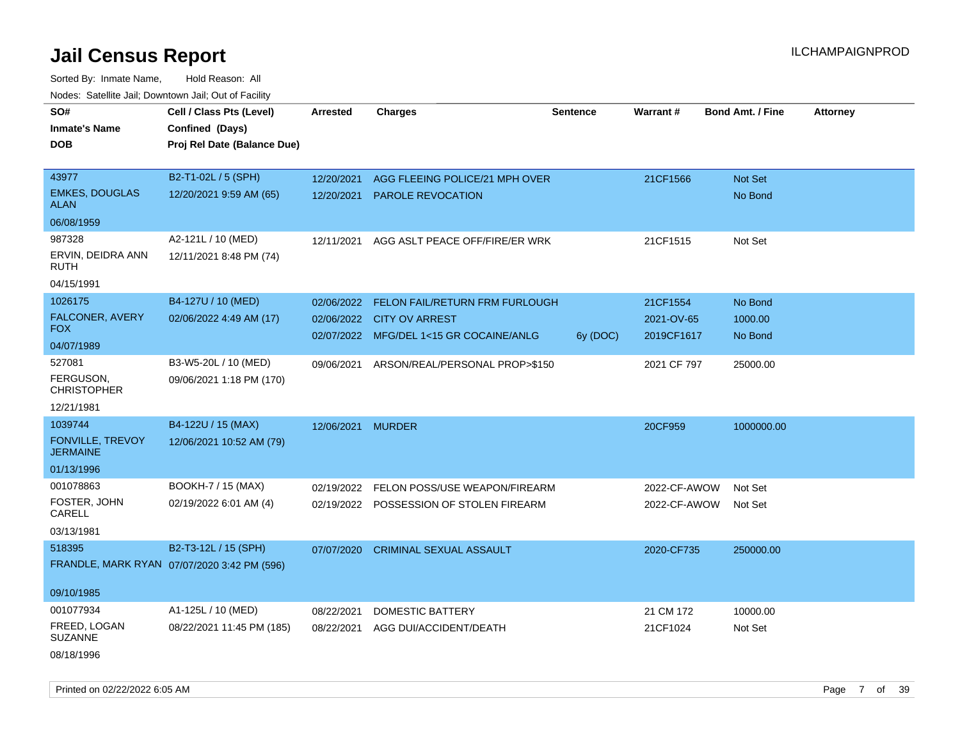Sorted By: Inmate Name, Hold Reason: All Nodes: Satellite Jail; Downtown Jail; Out of Facility

| ivouss. Saleling Jali, Downtown Jali, Out of Facility |                                             |                   |                                         |                 |              |                         |                 |
|-------------------------------------------------------|---------------------------------------------|-------------------|-----------------------------------------|-----------------|--------------|-------------------------|-----------------|
| SO#                                                   | Cell / Class Pts (Level)                    | Arrested          | <b>Charges</b>                          | <b>Sentence</b> | Warrant#     | <b>Bond Amt. / Fine</b> | <b>Attorney</b> |
| <b>Inmate's Name</b>                                  | Confined (Days)                             |                   |                                         |                 |              |                         |                 |
| <b>DOB</b>                                            | Proj Rel Date (Balance Due)                 |                   |                                         |                 |              |                         |                 |
|                                                       |                                             |                   |                                         |                 |              |                         |                 |
| 43977                                                 | B2-T1-02L / 5 (SPH)                         | 12/20/2021        | AGG FLEEING POLICE/21 MPH OVER          |                 | 21CF1566     | Not Set                 |                 |
| <b>EMKES, DOUGLAS</b><br><b>ALAN</b>                  | 12/20/2021 9:59 AM (65)                     | 12/20/2021        | <b>PAROLE REVOCATION</b>                |                 |              | No Bond                 |                 |
| 06/08/1959                                            |                                             |                   |                                         |                 |              |                         |                 |
| 987328                                                | A2-121L / 10 (MED)                          | 12/11/2021        | AGG ASLT PEACE OFF/FIRE/ER WRK          |                 | 21CF1515     | Not Set                 |                 |
| ERVIN, DEIDRA ANN<br><b>RUTH</b>                      | 12/11/2021 8:48 PM (74)                     |                   |                                         |                 |              |                         |                 |
| 04/15/1991                                            |                                             |                   |                                         |                 |              |                         |                 |
| 1026175                                               | B4-127U / 10 (MED)                          | 02/06/2022        | FELON FAIL/RETURN FRM FURLOUGH          |                 | 21CF1554     | No Bond                 |                 |
| FALCONER, AVERY                                       | 02/06/2022 4:49 AM (17)                     | 02/06/2022        | <b>CITY OV ARREST</b>                   |                 | 2021-OV-65   | 1000.00                 |                 |
| <b>FOX</b>                                            |                                             |                   | 02/07/2022 MFG/DEL 1<15 GR COCAINE/ANLG | 6y (DOC)        | 2019CF1617   | No Bond                 |                 |
| 04/07/1989                                            |                                             |                   |                                         |                 |              |                         |                 |
| 527081                                                | B3-W5-20L / 10 (MED)                        | 09/06/2021        | ARSON/REAL/PERSONAL PROP>\$150          |                 | 2021 CF 797  | 25000.00                |                 |
| FERGUSON.<br><b>CHRISTOPHER</b>                       | 09/06/2021 1:18 PM (170)                    |                   |                                         |                 |              |                         |                 |
| 12/21/1981                                            |                                             |                   |                                         |                 |              |                         |                 |
| 1039744                                               | B4-122U / 15 (MAX)                          | 12/06/2021 MURDER |                                         |                 | 20CF959      | 1000000.00              |                 |
| FONVILLE, TREVOY<br><b>JERMAINE</b>                   | 12/06/2021 10:52 AM (79)                    |                   |                                         |                 |              |                         |                 |
| 01/13/1996                                            |                                             |                   |                                         |                 |              |                         |                 |
| 001078863                                             | BOOKH-7 / 15 (MAX)                          | 02/19/2022        | FELON POSS/USE WEAPON/FIREARM           |                 | 2022-CF-AWOW | Not Set                 |                 |
| FOSTER, JOHN<br>CARELL                                | 02/19/2022 6:01 AM (4)                      |                   | 02/19/2022 POSSESSION OF STOLEN FIREARM |                 | 2022-CF-AWOW | Not Set                 |                 |
| 03/13/1981                                            |                                             |                   |                                         |                 |              |                         |                 |
| 518395                                                | B2-T3-12L / 15 (SPH)                        | 07/07/2020        | <b>CRIMINAL SEXUAL ASSAULT</b>          |                 | 2020-CF735   | 250000.00               |                 |
|                                                       | FRANDLE, MARK RYAN 07/07/2020 3:42 PM (596) |                   |                                         |                 |              |                         |                 |
| 09/10/1985                                            |                                             |                   |                                         |                 |              |                         |                 |
| 001077934                                             | A1-125L / 10 (MED)                          | 08/22/2021        | <b>DOMESTIC BATTERY</b>                 |                 | 21 CM 172    | 10000.00                |                 |
| FREED, LOGAN<br><b>SUZANNE</b>                        | 08/22/2021 11:45 PM (185)                   | 08/22/2021        | AGG DUI/ACCIDENT/DEATH                  |                 | 21CF1024     | Not Set                 |                 |
| 08/18/1996                                            |                                             |                   |                                         |                 |              |                         |                 |

Printed on 02/22/2022 6:05 AM Page 7 of 39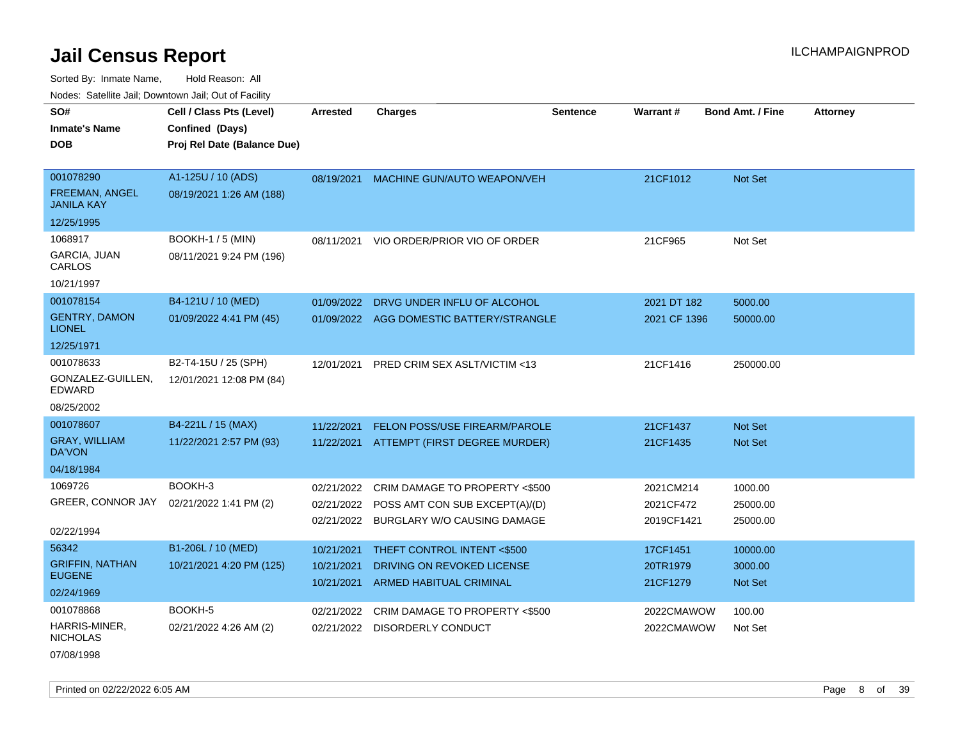Sorted By: Inmate Name, Hold Reason: All Nodes: Satellite Jail; Downtown Jail; Out of Facility

| Nodes: Satellite Jail; Downtown Jail; Out of Facility |                             |                 |                                           |                 |              |                         |                 |
|-------------------------------------------------------|-----------------------------|-----------------|-------------------------------------------|-----------------|--------------|-------------------------|-----------------|
| SO#                                                   | Cell / Class Pts (Level)    | <b>Arrested</b> | <b>Charges</b>                            | <b>Sentence</b> | Warrant#     | <b>Bond Amt. / Fine</b> | <b>Attorney</b> |
| <b>Inmate's Name</b>                                  | Confined (Days)             |                 |                                           |                 |              |                         |                 |
| <b>DOB</b>                                            | Proj Rel Date (Balance Due) |                 |                                           |                 |              |                         |                 |
|                                                       |                             |                 |                                           |                 |              |                         |                 |
| 001078290                                             | A1-125U / 10 (ADS)          | 08/19/2021      | <b>MACHINE GUN/AUTO WEAPON/VEH</b>        |                 | 21CF1012     | Not Set                 |                 |
| <b>FREEMAN, ANGEL</b><br><b>JANILA KAY</b>            | 08/19/2021 1:26 AM (188)    |                 |                                           |                 |              |                         |                 |
| 12/25/1995                                            |                             |                 |                                           |                 |              |                         |                 |
| 1068917                                               | <b>BOOKH-1 / 5 (MIN)</b>    | 08/11/2021      | VIO ORDER/PRIOR VIO OF ORDER              |                 | 21CF965      | Not Set                 |                 |
| GARCIA, JUAN<br>CARLOS                                | 08/11/2021 9:24 PM (196)    |                 |                                           |                 |              |                         |                 |
| 10/21/1997                                            |                             |                 |                                           |                 |              |                         |                 |
| 001078154                                             | B4-121U / 10 (MED)          | 01/09/2022      | DRVG UNDER INFLU OF ALCOHOL               |                 | 2021 DT 182  | 5000.00                 |                 |
| <b>GENTRY, DAMON</b><br><b>LIONEL</b>                 | 01/09/2022 4:41 PM (45)     |                 | 01/09/2022 AGG DOMESTIC BATTERY/STRANGLE  |                 | 2021 CF 1396 | 50000.00                |                 |
| 12/25/1971                                            |                             |                 |                                           |                 |              |                         |                 |
| 001078633                                             | B2-T4-15U / 25 (SPH)        | 12/01/2021      | PRED CRIM SEX ASLT/VICTIM <13             |                 | 21CF1416     | 250000.00               |                 |
| GONZALEZ-GUILLEN,<br><b>EDWARD</b>                    | 12/01/2021 12:08 PM (84)    |                 |                                           |                 |              |                         |                 |
| 08/25/2002                                            |                             |                 |                                           |                 |              |                         |                 |
| 001078607                                             | B4-221L / 15 (MAX)          | 11/22/2021      | FELON POSS/USE FIREARM/PAROLE             |                 | 21CF1437     | Not Set                 |                 |
| <b>GRAY, WILLIAM</b><br><b>DA'VON</b>                 | 11/22/2021 2:57 PM (93)     | 11/22/2021      | ATTEMPT (FIRST DEGREE MURDER)             |                 | 21CF1435     | Not Set                 |                 |
| 04/18/1984                                            |                             |                 |                                           |                 |              |                         |                 |
| 1069726                                               | BOOKH-3                     | 02/21/2022      | CRIM DAMAGE TO PROPERTY <\$500            |                 | 2021CM214    | 1000.00                 |                 |
| GREER, CONNOR JAY                                     | 02/21/2022 1:41 PM (2)      |                 | 02/21/2022 POSS AMT CON SUB EXCEPT(A)/(D) |                 | 2021CF472    | 25000.00                |                 |
| 02/22/1994                                            |                             |                 | 02/21/2022 BURGLARY W/O CAUSING DAMAGE    |                 | 2019CF1421   | 25000.00                |                 |
| 56342                                                 | B1-206L / 10 (MED)          | 10/21/2021      | THEFT CONTROL INTENT <\$500               |                 | 17CF1451     | 10000.00                |                 |
| <b>GRIFFIN, NATHAN</b>                                | 10/21/2021 4:20 PM (125)    | 10/21/2021      | DRIVING ON REVOKED LICENSE                |                 | 20TR1979     | 3000.00                 |                 |
| <b>EUGENE</b>                                         |                             | 10/21/2021      | <b>ARMED HABITUAL CRIMINAL</b>            |                 | 21CF1279     | Not Set                 |                 |
| 02/24/1969                                            |                             |                 |                                           |                 |              |                         |                 |
| 001078868                                             | BOOKH-5                     | 02/21/2022      | CRIM DAMAGE TO PROPERTY <\$500            |                 | 2022CMAWOW   | 100.00                  |                 |
| HARRIS-MINER,<br><b>NICHOLAS</b>                      | 02/21/2022 4:26 AM (2)      |                 | 02/21/2022 DISORDERLY CONDUCT             |                 | 2022CMAWOW   | Not Set                 |                 |

07/08/1998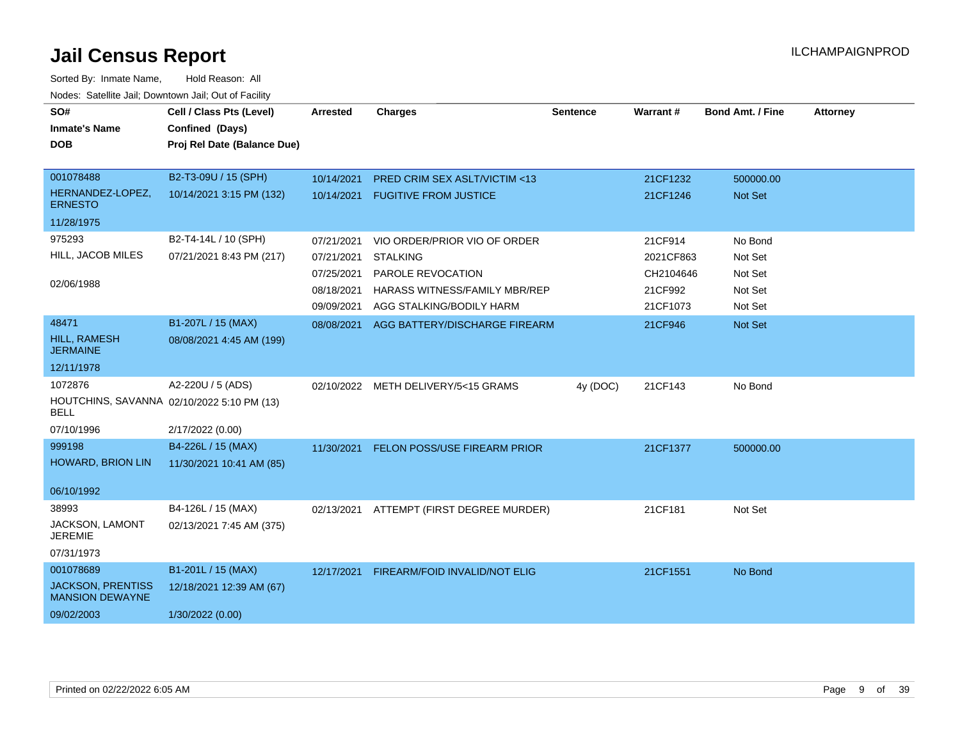| SO#                                                | Cell / Class Pts (Level)                   | Arrested   | <b>Charges</b>                           | <b>Sentence</b> | Warrant#  | <b>Bond Amt. / Fine</b> | <b>Attorney</b> |
|----------------------------------------------------|--------------------------------------------|------------|------------------------------------------|-----------------|-----------|-------------------------|-----------------|
| <b>Inmate's Name</b>                               | Confined (Days)                            |            |                                          |                 |           |                         |                 |
| <b>DOB</b>                                         | Proj Rel Date (Balance Due)                |            |                                          |                 |           |                         |                 |
|                                                    |                                            |            |                                          |                 |           |                         |                 |
| 001078488                                          | B2-T3-09U / 15 (SPH)                       | 10/14/2021 | PRED CRIM SEX ASLT/VICTIM <13            |                 | 21CF1232  | 500000.00               |                 |
| HERNANDEZ-LOPEZ,<br><b>ERNESTO</b>                 | 10/14/2021 3:15 PM (132)                   | 10/14/2021 | <b>FUGITIVE FROM JUSTICE</b>             |                 | 21CF1246  | Not Set                 |                 |
| 11/28/1975                                         |                                            |            |                                          |                 |           |                         |                 |
| 975293                                             | B2-T4-14L / 10 (SPH)                       | 07/21/2021 | VIO ORDER/PRIOR VIO OF ORDER             |                 | 21CF914   | No Bond                 |                 |
| HILL, JACOB MILES                                  | 07/21/2021 8:43 PM (217)                   | 07/21/2021 | <b>STALKING</b>                          |                 | 2021CF863 | Not Set                 |                 |
|                                                    |                                            | 07/25/2021 | PAROLE REVOCATION                        |                 | CH2104646 | Not Set                 |                 |
| 02/06/1988                                         |                                            | 08/18/2021 | HARASS WITNESS/FAMILY MBR/REP            |                 | 21CF992   | Not Set                 |                 |
|                                                    |                                            | 09/09/2021 | AGG STALKING/BODILY HARM                 |                 | 21CF1073  | Not Set                 |                 |
| 48471                                              | B1-207L / 15 (MAX)                         |            | 08/08/2021 AGG BATTERY/DISCHARGE FIREARM |                 | 21CF946   | Not Set                 |                 |
| <b>HILL, RAMESH</b><br><b>JERMAINE</b>             | 08/08/2021 4:45 AM (199)                   |            |                                          |                 |           |                         |                 |
| 12/11/1978                                         |                                            |            |                                          |                 |           |                         |                 |
| 1072876                                            | A2-220U / 5 (ADS)                          |            | 02/10/2022 METH DELIVERY/5<15 GRAMS      | 4y (DOC)        | 21CF143   | No Bond                 |                 |
| <b>BELL</b>                                        | HOUTCHINS, SAVANNA 02/10/2022 5:10 PM (13) |            |                                          |                 |           |                         |                 |
| 07/10/1996                                         | 2/17/2022 (0.00)                           |            |                                          |                 |           |                         |                 |
| 999198                                             | B4-226L / 15 (MAX)                         |            | 11/30/2021 FELON POSS/USE FIREARM PRIOR  |                 | 21CF1377  | 500000.00               |                 |
| <b>HOWARD, BRION LIN</b>                           | 11/30/2021 10:41 AM (85)                   |            |                                          |                 |           |                         |                 |
| 06/10/1992                                         |                                            |            |                                          |                 |           |                         |                 |
| 38993                                              | B4-126L / 15 (MAX)                         | 02/13/2021 | ATTEMPT (FIRST DEGREE MURDER)            |                 | 21CF181   | Not Set                 |                 |
| JACKSON, LAMONT<br><b>JEREMIE</b>                  | 02/13/2021 7:45 AM (375)                   |            |                                          |                 |           |                         |                 |
| 07/31/1973                                         |                                            |            |                                          |                 |           |                         |                 |
| 001078689                                          | B1-201L / 15 (MAX)                         | 12/17/2021 | FIREARM/FOID INVALID/NOT ELIG            |                 | 21CF1551  | No Bond                 |                 |
| <b>JACKSON, PRENTISS</b><br><b>MANSION DEWAYNE</b> | 12/18/2021 12:39 AM (67)                   |            |                                          |                 |           |                         |                 |
| 09/02/2003                                         | 1/30/2022 (0.00)                           |            |                                          |                 |           |                         |                 |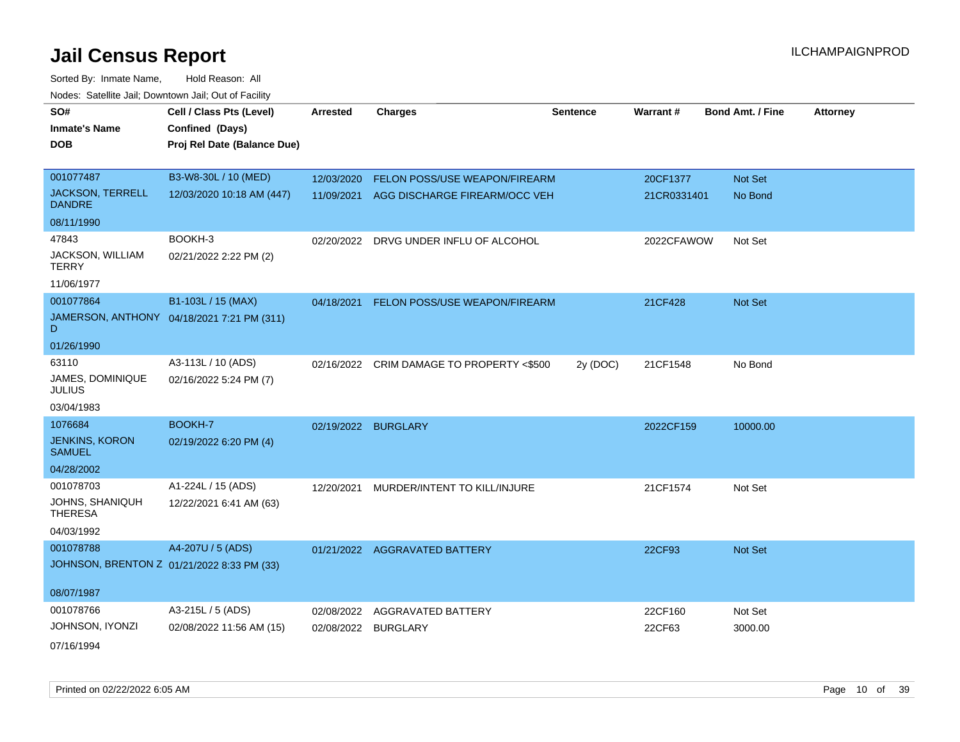| SO#                                      | Cell / Class Pts (Level)                   | <b>Arrested</b>     | <b>Charges</b>                            | <b>Sentence</b> | Warrant#    | <b>Bond Amt. / Fine</b> | <b>Attorney</b> |
|------------------------------------------|--------------------------------------------|---------------------|-------------------------------------------|-----------------|-------------|-------------------------|-----------------|
| <b>Inmate's Name</b>                     | Confined (Days)                            |                     |                                           |                 |             |                         |                 |
| <b>DOB</b>                               | Proj Rel Date (Balance Due)                |                     |                                           |                 |             |                         |                 |
|                                          |                                            |                     |                                           |                 |             |                         |                 |
| 001077487                                | B3-W8-30L / 10 (MED)                       | 12/03/2020          | FELON POSS/USE WEAPON/FIREARM             |                 | 20CF1377    | Not Set                 |                 |
| <b>JACKSON, TERRELL</b><br><b>DANDRE</b> | 12/03/2020 10:18 AM (447)                  |                     | 11/09/2021 AGG DISCHARGE FIREARM/OCC VEH  |                 | 21CR0331401 | No Bond                 |                 |
| 08/11/1990                               |                                            |                     |                                           |                 |             |                         |                 |
| 47843                                    | BOOKH-3                                    |                     | 02/20/2022 DRVG UNDER INFLU OF ALCOHOL    |                 | 2022CFAWOW  | Not Set                 |                 |
| JACKSON, WILLIAM<br><b>TERRY</b>         | 02/21/2022 2:22 PM (2)                     |                     |                                           |                 |             |                         |                 |
| 11/06/1977                               |                                            |                     |                                           |                 |             |                         |                 |
| 001077864                                | B1-103L / 15 (MAX)                         | 04/18/2021          | FELON POSS/USE WEAPON/FIREARM             |                 | 21CF428     | Not Set                 |                 |
| D                                        | JAMERSON, ANTHONY 04/18/2021 7:21 PM (311) |                     |                                           |                 |             |                         |                 |
| 01/26/1990                               |                                            |                     |                                           |                 |             |                         |                 |
| 63110                                    | A3-113L / 10 (ADS)                         |                     | 02/16/2022 CRIM DAMAGE TO PROPERTY <\$500 | 2y (DOC)        | 21CF1548    | No Bond                 |                 |
| JAMES, DOMINIQUE<br><b>JULIUS</b>        | 02/16/2022 5:24 PM (7)                     |                     |                                           |                 |             |                         |                 |
| 03/04/1983                               |                                            |                     |                                           |                 |             |                         |                 |
| 1076684                                  | BOOKH-7                                    | 02/19/2022 BURGLARY |                                           |                 | 2022CF159   | 10000.00                |                 |
| <b>JENKINS, KORON</b><br><b>SAMUEL</b>   | 02/19/2022 6:20 PM (4)                     |                     |                                           |                 |             |                         |                 |
| 04/28/2002                               |                                            |                     |                                           |                 |             |                         |                 |
| 001078703                                | A1-224L / 15 (ADS)                         | 12/20/2021          | MURDER/INTENT TO KILL/INJURE              |                 | 21CF1574    | Not Set                 |                 |
| JOHNS, SHANIQUH<br><b>THERESA</b>        | 12/22/2021 6:41 AM (63)                    |                     |                                           |                 |             |                         |                 |
| 04/03/1992                               |                                            |                     |                                           |                 |             |                         |                 |
| 001078788                                | A4-207U / 5 (ADS)                          |                     | 01/21/2022 AGGRAVATED BATTERY             |                 | 22CF93      | <b>Not Set</b>          |                 |
|                                          | JOHNSON, BRENTON Z 01/21/2022 8:33 PM (33) |                     |                                           |                 |             |                         |                 |
|                                          |                                            |                     |                                           |                 |             |                         |                 |
| 08/07/1987                               |                                            |                     |                                           |                 |             |                         |                 |
| 001078766                                | A3-215L / 5 (ADS)                          | 02/08/2022          | <b>AGGRAVATED BATTERY</b>                 |                 | 22CF160     | Not Set                 |                 |
| JOHNSON, IYONZI                          | 02/08/2022 11:56 AM (15)                   | 02/08/2022          | <b>BURGLARY</b>                           |                 | 22CF63      | 3000.00                 |                 |
| 07/16/1994                               |                                            |                     |                                           |                 |             |                         |                 |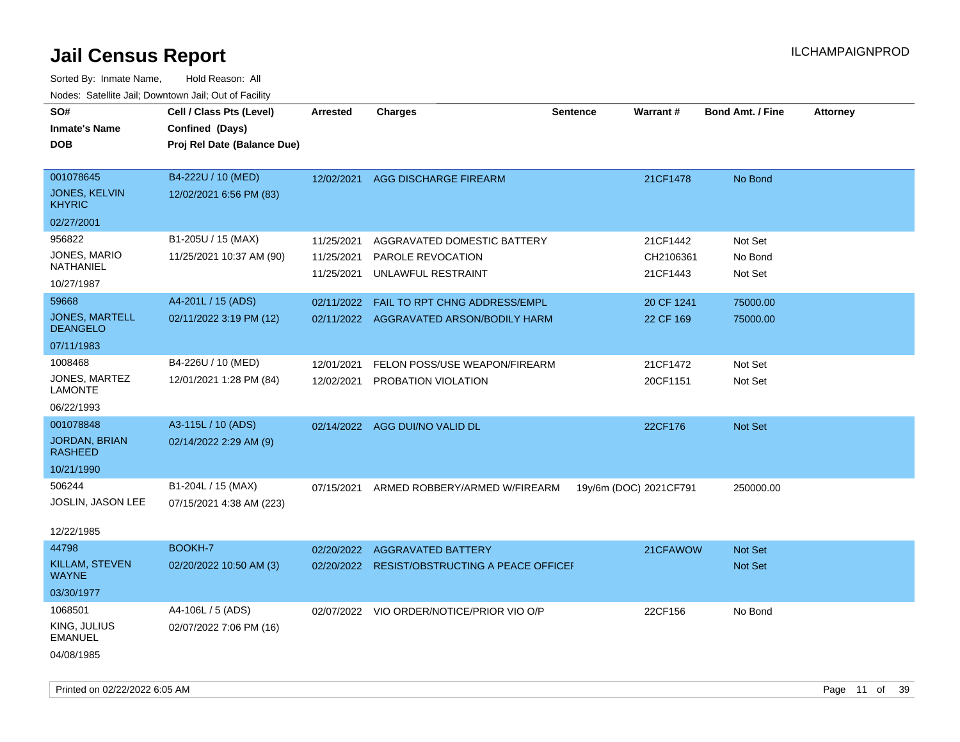| SO#<br><b>Inmate's Name</b><br><b>DOB</b>                         | Cell / Class Pts (Level)<br>Confined (Days)<br>Proj Rel Date (Balance Due) | Arrested                               | <b>Charges</b>                                                           | <b>Sentence</b>        | Warrant#                          | <b>Bond Amt. / Fine</b>       | <b>Attorney</b> |
|-------------------------------------------------------------------|----------------------------------------------------------------------------|----------------------------------------|--------------------------------------------------------------------------|------------------------|-----------------------------------|-------------------------------|-----------------|
| 001078645<br><b>JONES, KELVIN</b><br><b>KHYRIC</b>                | B4-222U / 10 (MED)<br>12/02/2021 6:56 PM (83)                              | 12/02/2021                             | AGG DISCHARGE FIREARM                                                    |                        | 21CF1478                          | No Bond                       |                 |
| 02/27/2001                                                        |                                                                            |                                        |                                                                          |                        |                                   |                               |                 |
| 956822<br>JONES, MARIO<br>NATHANIEL<br>10/27/1987                 | B1-205U / 15 (MAX)<br>11/25/2021 10:37 AM (90)                             | 11/25/2021<br>11/25/2021<br>11/25/2021 | AGGRAVATED DOMESTIC BATTERY<br>PAROLE REVOCATION<br>UNLAWFUL RESTRAINT   |                        | 21CF1442<br>CH2106361<br>21CF1443 | Not Set<br>No Bond<br>Not Set |                 |
| 59668<br><b>JONES, MARTELL</b><br><b>DEANGELO</b>                 | A4-201L / 15 (ADS)<br>02/11/2022 3:19 PM (12)                              | 02/11/2022                             | FAIL TO RPT CHNG ADDRESS/EMPL<br>02/11/2022 AGGRAVATED ARSON/BODILY HARM |                        | 20 CF 1241<br>22 CF 169           | 75000.00<br>75000.00          |                 |
| 07/11/1983                                                        |                                                                            |                                        |                                                                          |                        |                                   |                               |                 |
| 1008468<br>JONES, MARTEZ<br>LAMONTE<br>06/22/1993                 | B4-226U / 10 (MED)<br>12/01/2021 1:28 PM (84)                              | 12/01/2021<br>12/02/2021               | FELON POSS/USE WEAPON/FIREARM<br>PROBATION VIOLATION                     |                        | 21CF1472<br>20CF1151              | Not Set<br>Not Set            |                 |
| 001078848<br><b>JORDAN, BRIAN</b><br><b>RASHEED</b><br>10/21/1990 | A3-115L / 10 (ADS)<br>02/14/2022 2:29 AM (9)                               |                                        | 02/14/2022 AGG DUI/NO VALID DL                                           |                        | 22CF176                           | Not Set                       |                 |
| 506244<br>JOSLIN, JASON LEE<br>12/22/1985                         | B1-204L / 15 (MAX)<br>07/15/2021 4:38 AM (223)                             | 07/15/2021                             | ARMED ROBBERY/ARMED W/FIREARM                                            | 19y/6m (DOC) 2021CF791 |                                   | 250000.00                     |                 |
| 44798<br>KILLAM, STEVEN<br><b>WAYNE</b><br>03/30/1977             | BOOKH-7<br>02/20/2022 10:50 AM (3)                                         | 02/20/2022<br>02/20/2022               | <b>AGGRAVATED BATTERY</b><br><b>RESIST/OBSTRUCTING A PEACE OFFICEF</b>   |                        | 21CFAWOW                          | <b>Not Set</b><br>Not Set     |                 |
| 1068501<br>KING, JULIUS<br><b>EMANUEL</b><br>04/08/1985           | A4-106L / 5 (ADS)<br>02/07/2022 7:06 PM (16)                               |                                        | 02/07/2022 VIO ORDER/NOTICE/PRIOR VIO O/P                                |                        | 22CF156                           | No Bond                       |                 |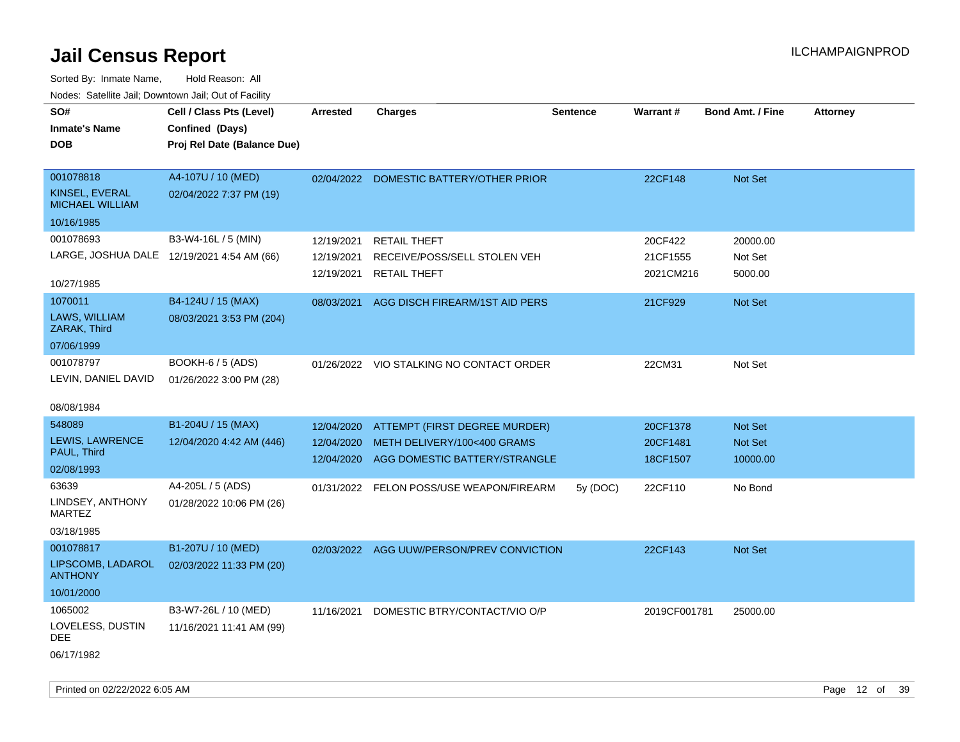| SO#<br><b>Inmate's Name</b><br><b>DOB</b>                                                                          | Cell / Class Pts (Level)<br>Confined (Days)<br>Proj Rel Date (Balance Due)                      | Arrested                                             | <b>Charges</b>                                                                                                                            | <b>Sentence</b> | Warrant#                                    | <b>Bond Amt. / Fine</b>                   | <b>Attorney</b> |
|--------------------------------------------------------------------------------------------------------------------|-------------------------------------------------------------------------------------------------|------------------------------------------------------|-------------------------------------------------------------------------------------------------------------------------------------------|-----------------|---------------------------------------------|-------------------------------------------|-----------------|
| 001078818<br>KINSEL, EVERAL<br><b>MICHAEL WILLIAM</b><br>10/16/1985                                                | A4-107U / 10 (MED)<br>02/04/2022 7:37 PM (19)                                                   | 02/04/2022                                           | DOMESTIC BATTERY/OTHER PRIOR                                                                                                              |                 | 22CF148                                     | <b>Not Set</b>                            |                 |
| 001078693<br>LARGE, JOSHUA DALE 12/19/2021 4:54 AM (66)<br>10/27/1985<br>1070011<br>LAWS, WILLIAM                  | B3-W4-16L / 5 (MIN)<br>B4-124U / 15 (MAX)<br>08/03/2021 3:53 PM (204)                           | 12/19/2021<br>12/19/2021<br>12/19/2021<br>08/03/2021 | <b>RETAIL THEFT</b><br>RECEIVE/POSS/SELL STOLEN VEH<br><b>RETAIL THEFT</b><br>AGG DISCH FIREARM/1ST AID PERS                              |                 | 20CF422<br>21CF1555<br>2021CM216<br>21CF929 | 20000.00<br>Not Set<br>5000.00<br>Not Set |                 |
| ZARAK, Third<br>07/06/1999<br>001078797<br>LEVIN, DANIEL DAVID<br>08/08/1984                                       | BOOKH-6 / 5 (ADS)<br>01/26/2022 3:00 PM (28)                                                    |                                                      | 01/26/2022 VIO STALKING NO CONTACT ORDER                                                                                                  |                 | 22CM31                                      | Not Set                                   |                 |
| 548089<br>LEWIS, LAWRENCE<br>PAUL, Third<br>02/08/1993<br>63639<br>LINDSEY, ANTHONY<br><b>MARTEZ</b><br>03/18/1985 | B1-204U / 15 (MAX)<br>12/04/2020 4:42 AM (446)<br>A4-205L / 5 (ADS)<br>01/28/2022 10:06 PM (26) | 12/04/2020<br>12/04/2020<br>12/04/2020               | ATTEMPT (FIRST DEGREE MURDER)<br>METH DELIVERY/100<400 GRAMS<br>AGG DOMESTIC BATTERY/STRANGLE<br>01/31/2022 FELON POSS/USE WEAPON/FIREARM | 5y (DOC)        | 20CF1378<br>20CF1481<br>18CF1507<br>22CF110 | Not Set<br>Not Set<br>10000.00<br>No Bond |                 |
| 001078817<br>LIPSCOMB, LADAROL<br><b>ANTHONY</b><br>10/01/2000                                                     | B1-207U / 10 (MED)<br>02/03/2022 11:33 PM (20)                                                  |                                                      | 02/03/2022 AGG UUW/PERSON/PREV CONVICTION                                                                                                 |                 | 22CF143                                     | <b>Not Set</b>                            |                 |
| 1065002<br>LOVELESS, DUSTIN<br>DEE<br>06/17/1982                                                                   | B3-W7-26L / 10 (MED)<br>11/16/2021 11:41 AM (99)                                                | 11/16/2021                                           | DOMESTIC BTRY/CONTACT/VIO O/P                                                                                                             |                 | 2019CF001781                                | 25000.00                                  |                 |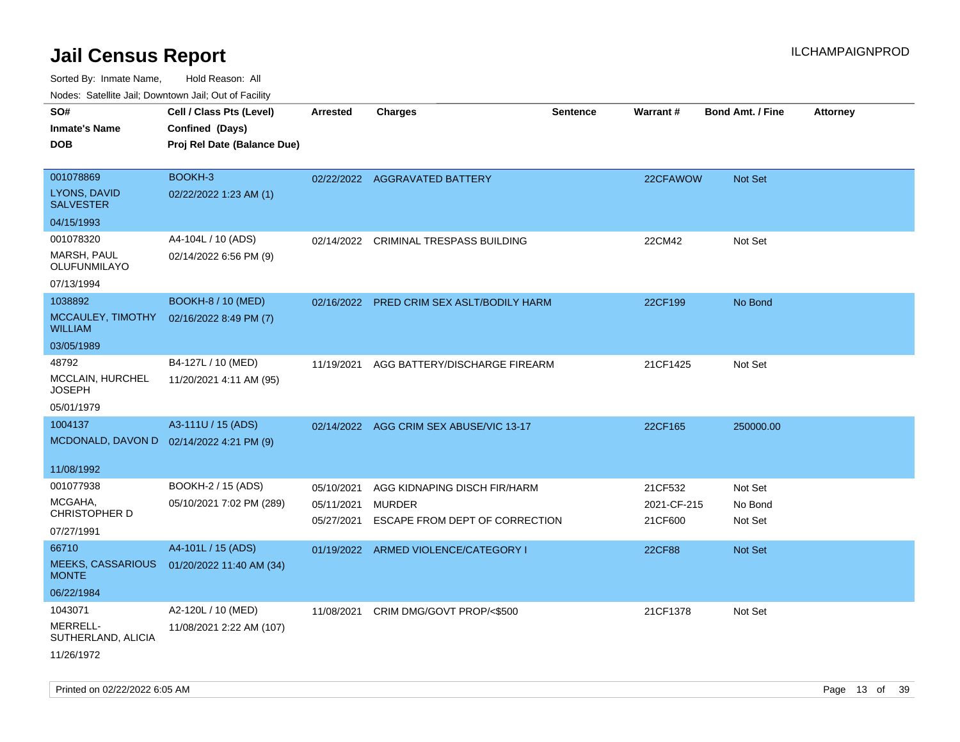| rouco. Calcillo Jali, Downtown Jali, Out of Facility |                                          |                 |                                           |                 |             |                         |                 |
|------------------------------------------------------|------------------------------------------|-----------------|-------------------------------------------|-----------------|-------------|-------------------------|-----------------|
| SO#                                                  | Cell / Class Pts (Level)                 | <b>Arrested</b> | <b>Charges</b>                            | <b>Sentence</b> | Warrant#    | <b>Bond Amt. / Fine</b> | <b>Attorney</b> |
| Inmate's Name                                        | Confined (Days)                          |                 |                                           |                 |             |                         |                 |
| <b>DOB</b>                                           | Proj Rel Date (Balance Due)              |                 |                                           |                 |             |                         |                 |
|                                                      |                                          |                 |                                           |                 |             |                         |                 |
| 001078869                                            | BOOKH-3                                  |                 | 02/22/2022 AGGRAVATED BATTERY             |                 | 22CFAWOW    | Not Set                 |                 |
| <b>LYONS, DAVID</b><br><b>SALVESTER</b>              | 02/22/2022 1:23 AM (1)                   |                 |                                           |                 |             |                         |                 |
| 04/15/1993                                           |                                          |                 |                                           |                 |             |                         |                 |
| 001078320                                            | A4-104L / 10 (ADS)                       | 02/14/2022      | CRIMINAL TRESPASS BUILDING                |                 | 22CM42      | Not Set                 |                 |
| MARSH, PAUL<br>OLUFUNMILAYO                          | 02/14/2022 6:56 PM (9)                   |                 |                                           |                 |             |                         |                 |
| 07/13/1994                                           |                                          |                 |                                           |                 |             |                         |                 |
| 1038892                                              | <b>BOOKH-8 / 10 (MED)</b>                |                 | 02/16/2022 PRED CRIM SEX ASLT/BODILY HARM |                 | 22CF199     | No Bond                 |                 |
| MCCAULEY, TIMOTHY<br>WILLIAM                         | 02/16/2022 8:49 PM (7)                   |                 |                                           |                 |             |                         |                 |
| 03/05/1989                                           |                                          |                 |                                           |                 |             |                         |                 |
| 48792                                                | B4-127L / 10 (MED)                       | 11/19/2021      | AGG BATTERY/DISCHARGE FIREARM             |                 | 21CF1425    | Not Set                 |                 |
| MCCLAIN, HURCHEL<br>JOSEPH                           | 11/20/2021 4:11 AM (95)                  |                 |                                           |                 |             |                         |                 |
| 05/01/1979                                           |                                          |                 |                                           |                 |             |                         |                 |
| 1004137                                              | A3-111U / 15 (ADS)                       |                 | 02/14/2022 AGG CRIM SEX ABUSE/VIC 13-17   |                 | 22CF165     | 250000.00               |                 |
|                                                      | MCDONALD, DAVON D 02/14/2022 4:21 PM (9) |                 |                                           |                 |             |                         |                 |
| 11/08/1992                                           |                                          |                 |                                           |                 |             |                         |                 |
| 001077938                                            | BOOKH-2 / 15 (ADS)                       | 05/10/2021      | AGG KIDNAPING DISCH FIR/HARM              |                 | 21CF532     | Not Set                 |                 |
| MCGAHA,                                              | 05/10/2021 7:02 PM (289)                 | 05/11/2021      | <b>MURDER</b>                             |                 | 2021-CF-215 | No Bond                 |                 |
| CHRISTOPHER D                                        |                                          | 05/27/2021      | ESCAPE FROM DEPT OF CORRECTION            |                 | 21CF600     | Not Set                 |                 |
| 07/27/1991                                           |                                          |                 |                                           |                 |             |                         |                 |
| 66710                                                | A4-101L / 15 (ADS)                       |                 | 01/19/2022 ARMED VIOLENCE/CATEGORY I      |                 | 22CF88      | <b>Not Set</b>          |                 |
| <b>MEEKS, CASSARIOUS</b><br><b>MONTE</b>             | 01/20/2022 11:40 AM (34)                 |                 |                                           |                 |             |                         |                 |
| 06/22/1984                                           |                                          |                 |                                           |                 |             |                         |                 |
| 1043071                                              | A2-120L / 10 (MED)                       | 11/08/2021      | CRIM DMG/GOVT PROP/<\$500                 |                 | 21CF1378    | Not Set                 |                 |
| MERRELL-<br>SUTHERLAND, ALICIA                       | 11/08/2021 2:22 AM (107)                 |                 |                                           |                 |             |                         |                 |
| 11/26/1972                                           |                                          |                 |                                           |                 |             |                         |                 |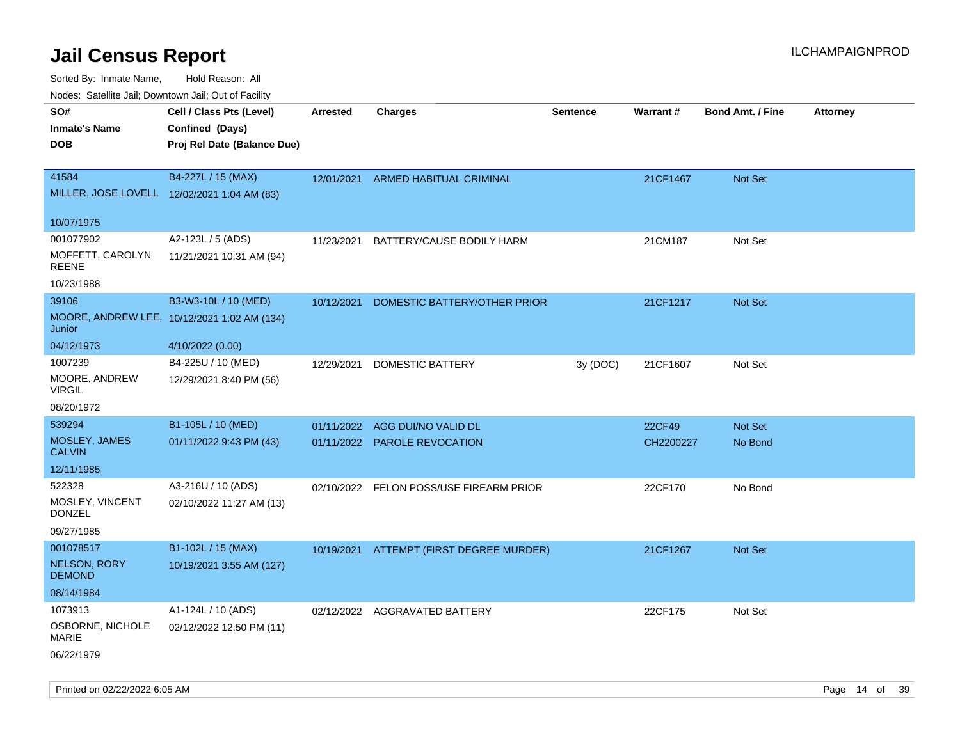Sorted By: Inmate Name, Hold Reason: All

Nodes: Satellite Jail; Downtown Jail; Out of Facility

| roaco. Oatomto dan, Downtown dan, Oat or Fability |                                             |                 |                                          |                 |                 |                         |                 |
|---------------------------------------------------|---------------------------------------------|-----------------|------------------------------------------|-----------------|-----------------|-------------------------|-----------------|
| SO#                                               | Cell / Class Pts (Level)                    | <b>Arrested</b> | <b>Charges</b>                           | <b>Sentence</b> | <b>Warrant#</b> | <b>Bond Amt. / Fine</b> | <b>Attorney</b> |
| <b>Inmate's Name</b>                              | Confined (Days)                             |                 |                                          |                 |                 |                         |                 |
| <b>DOB</b>                                        | Proj Rel Date (Balance Due)                 |                 |                                          |                 |                 |                         |                 |
|                                                   |                                             |                 |                                          |                 |                 |                         |                 |
| 41584                                             | B4-227L / 15 (MAX)                          | 12/01/2021      | <b>ARMED HABITUAL CRIMINAL</b>           |                 | 21CF1467        | Not Set                 |                 |
| MILLER, JOSE LOVELL 12/02/2021 1:04 AM (83)       |                                             |                 |                                          |                 |                 |                         |                 |
|                                                   |                                             |                 |                                          |                 |                 |                         |                 |
| 10/07/1975                                        |                                             |                 |                                          |                 |                 |                         |                 |
| 001077902                                         | A2-123L / 5 (ADS)                           | 11/23/2021      | BATTERY/CAUSE BODILY HARM                |                 | 21CM187         | Not Set                 |                 |
| MOFFETT, CAROLYN<br><b>REENE</b>                  | 11/21/2021 10:31 AM (94)                    |                 |                                          |                 |                 |                         |                 |
| 10/23/1988                                        |                                             |                 |                                          |                 |                 |                         |                 |
| 39106                                             | B3-W3-10L / 10 (MED)                        | 10/12/2021      | DOMESTIC BATTERY/OTHER PRIOR             |                 | 21CF1217        | <b>Not Set</b>          |                 |
| Junior                                            | MOORE, ANDREW LEE, 10/12/2021 1:02 AM (134) |                 |                                          |                 |                 |                         |                 |
| 04/12/1973                                        | 4/10/2022 (0.00)                            |                 |                                          |                 |                 |                         |                 |
| 1007239                                           | B4-225U / 10 (MED)                          | 12/29/2021      | <b>DOMESTIC BATTERY</b>                  | 3y (DOC)        | 21CF1607        | Not Set                 |                 |
| MOORE, ANDREW<br><b>VIRGIL</b>                    | 12/29/2021 8:40 PM (56)                     |                 |                                          |                 |                 |                         |                 |
| 08/20/1972                                        |                                             |                 |                                          |                 |                 |                         |                 |
| 539294                                            | B1-105L / 10 (MED)                          | 01/11/2022      | AGG DUI/NO VALID DL                      |                 | 22CF49          | Not Set                 |                 |
| MOSLEY, JAMES<br><b>CALVIN</b>                    | 01/11/2022 9:43 PM (43)                     |                 | 01/11/2022 PAROLE REVOCATION             |                 | CH2200227       | No Bond                 |                 |
| 12/11/1985                                        |                                             |                 |                                          |                 |                 |                         |                 |
| 522328                                            | A3-216U / 10 (ADS)                          |                 | 02/10/2022 FELON POSS/USE FIREARM PRIOR  |                 | 22CF170         | No Bond                 |                 |
| MOSLEY, VINCENT<br><b>DONZEL</b>                  | 02/10/2022 11:27 AM (13)                    |                 |                                          |                 |                 |                         |                 |
| 09/27/1985                                        |                                             |                 |                                          |                 |                 |                         |                 |
| 001078517                                         | B1-102L / 15 (MAX)                          |                 | 10/19/2021 ATTEMPT (FIRST DEGREE MURDER) |                 | 21CF1267        | Not Set                 |                 |
| <b>NELSON, RORY</b><br><b>DEMOND</b>              | 10/19/2021 3:55 AM (127)                    |                 |                                          |                 |                 |                         |                 |
| 08/14/1984                                        |                                             |                 |                                          |                 |                 |                         |                 |
| 1073913                                           | A1-124L / 10 (ADS)                          |                 | 02/12/2022 AGGRAVATED BATTERY            |                 | 22CF175         | Not Set                 |                 |
| OSBORNE, NICHOLE<br><b>MARIE</b>                  | 02/12/2022 12:50 PM (11)                    |                 |                                          |                 |                 |                         |                 |
| 06/22/1979                                        |                                             |                 |                                          |                 |                 |                         |                 |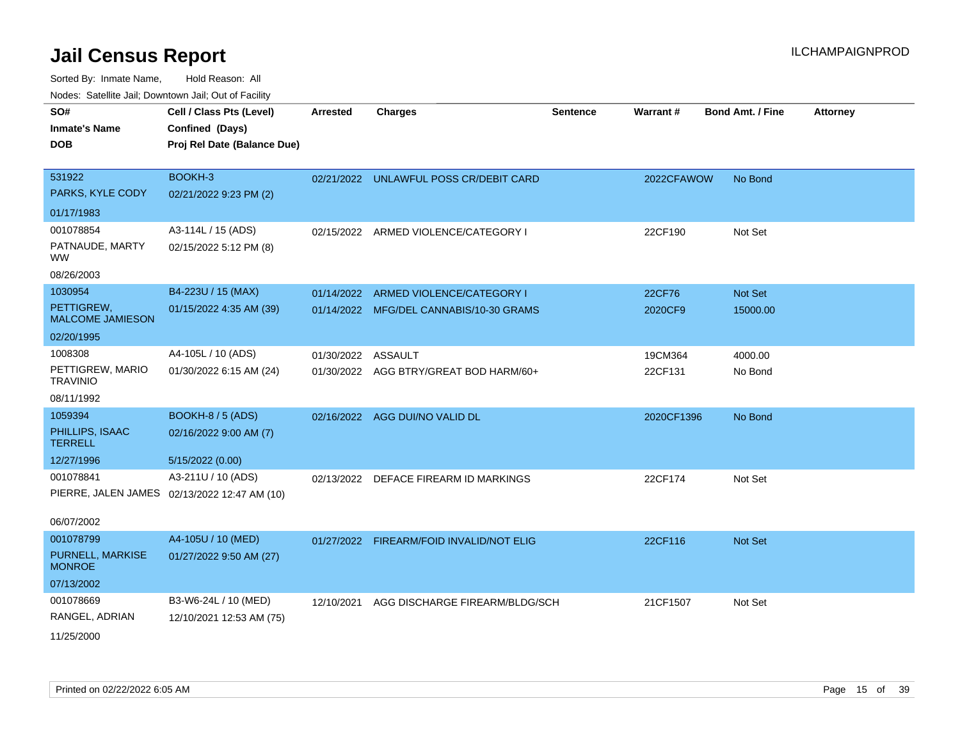Sorted By: Inmate Name, Hold Reason: All

| Nodes: Satellite Jail; Downtown Jail; Out of Facility |                                              |                    |                                          |                 |                 |                         |                 |
|-------------------------------------------------------|----------------------------------------------|--------------------|------------------------------------------|-----------------|-----------------|-------------------------|-----------------|
| SO#                                                   | Cell / Class Pts (Level)                     | <b>Arrested</b>    | <b>Charges</b>                           | <b>Sentence</b> | <b>Warrant#</b> | <b>Bond Amt. / Fine</b> | <b>Attorney</b> |
| <b>Inmate's Name</b>                                  | Confined (Days)                              |                    |                                          |                 |                 |                         |                 |
| <b>DOB</b>                                            | Proj Rel Date (Balance Due)                  |                    |                                          |                 |                 |                         |                 |
|                                                       |                                              |                    |                                          |                 |                 |                         |                 |
| 531922                                                | BOOKH-3                                      |                    | 02/21/2022 UNLAWFUL POSS CR/DEBIT CARD   |                 | 2022CFAWOW      | No Bond                 |                 |
| PARKS, KYLE CODY                                      | 02/21/2022 9:23 PM (2)                       |                    |                                          |                 |                 |                         |                 |
| 01/17/1983                                            |                                              |                    |                                          |                 |                 |                         |                 |
| 001078854                                             | A3-114L / 15 (ADS)                           |                    | 02/15/2022 ARMED VIOLENCE/CATEGORY I     |                 | 22CF190         | Not Set                 |                 |
| PATNAUDE, MARTY<br><b>WW</b>                          | 02/15/2022 5:12 PM (8)                       |                    |                                          |                 |                 |                         |                 |
| 08/26/2003                                            |                                              |                    |                                          |                 |                 |                         |                 |
| 1030954                                               | B4-223U / 15 (MAX)                           | 01/14/2022         | ARMED VIOLENCE/CATEGORY I                |                 | 22CF76          | Not Set                 |                 |
| PETTIGREW,<br><b>MALCOME JAMIESON</b>                 | 01/15/2022 4:35 AM (39)                      |                    | 01/14/2022 MFG/DEL CANNABIS/10-30 GRAMS  |                 | 2020CF9         | 15000.00                |                 |
| 02/20/1995                                            |                                              |                    |                                          |                 |                 |                         |                 |
| 1008308                                               | A4-105L / 10 (ADS)                           | 01/30/2022 ASSAULT |                                          |                 | 19CM364         | 4000.00                 |                 |
| PETTIGREW, MARIO<br><b>TRAVINIO</b>                   | 01/30/2022 6:15 AM (24)                      |                    | 01/30/2022 AGG BTRY/GREAT BOD HARM/60+   |                 | 22CF131         | No Bond                 |                 |
| 08/11/1992                                            |                                              |                    |                                          |                 |                 |                         |                 |
| 1059394                                               | <b>BOOKH-8 / 5 (ADS)</b>                     |                    | 02/16/2022 AGG DUI/NO VALID DL           |                 | 2020CF1396      | No Bond                 |                 |
| PHILLIPS, ISAAC<br><b>TERRELL</b>                     | 02/16/2022 9:00 AM (7)                       |                    |                                          |                 |                 |                         |                 |
| 12/27/1996                                            | 5/15/2022 (0.00)                             |                    |                                          |                 |                 |                         |                 |
| 001078841                                             | A3-211U / 10 (ADS)                           | 02/13/2022         | DEFACE FIREARM ID MARKINGS               |                 | 22CF174         | Not Set                 |                 |
|                                                       | PIERRE, JALEN JAMES 02/13/2022 12:47 AM (10) |                    |                                          |                 |                 |                         |                 |
| 06/07/2002                                            |                                              |                    |                                          |                 |                 |                         |                 |
| 001078799                                             | A4-105U / 10 (MED)                           |                    | 01/27/2022 FIREARM/FOID INVALID/NOT ELIG |                 | 22CF116         | Not Set                 |                 |
| PURNELL, MARKISE<br><b>MONROE</b>                     | 01/27/2022 9:50 AM (27)                      |                    |                                          |                 |                 |                         |                 |
| 07/13/2002                                            |                                              |                    |                                          |                 |                 |                         |                 |
| 001078669                                             | B3-W6-24L / 10 (MED)                         | 12/10/2021         | AGG DISCHARGE FIREARM/BLDG/SCH           |                 | 21CF1507        | Not Set                 |                 |
| RANGEL, ADRIAN                                        | 12/10/2021 12:53 AM (75)                     |                    |                                          |                 |                 |                         |                 |
| 11/25/2000                                            |                                              |                    |                                          |                 |                 |                         |                 |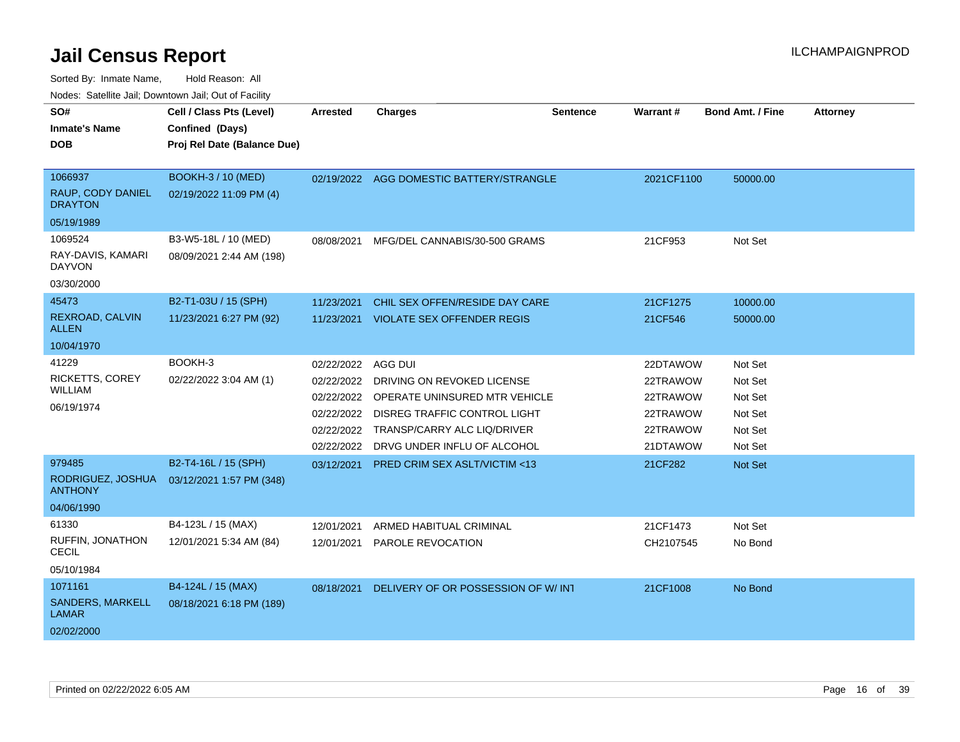| SO#                                    | Cell / Class Pts (Level)    | <b>Arrested</b> | <b>Charges</b>                           | <b>Sentence</b> | Warrant#   | <b>Bond Amt. / Fine</b> | <b>Attorney</b> |
|----------------------------------------|-----------------------------|-----------------|------------------------------------------|-----------------|------------|-------------------------|-----------------|
| <b>Inmate's Name</b>                   | Confined (Days)             |                 |                                          |                 |            |                         |                 |
| <b>DOB</b>                             | Proj Rel Date (Balance Due) |                 |                                          |                 |            |                         |                 |
|                                        |                             |                 |                                          |                 |            |                         |                 |
| 1066937                                | <b>BOOKH-3 / 10 (MED)</b>   |                 | 02/19/2022 AGG DOMESTIC BATTERY/STRANGLE |                 | 2021CF1100 | 50000.00                |                 |
| RAUP, CODY DANIEL<br><b>DRAYTON</b>    | 02/19/2022 11:09 PM (4)     |                 |                                          |                 |            |                         |                 |
| 05/19/1989                             |                             |                 |                                          |                 |            |                         |                 |
| 1069524                                | B3-W5-18L / 10 (MED)        | 08/08/2021      | MFG/DEL CANNABIS/30-500 GRAMS            |                 | 21CF953    | Not Set                 |                 |
| RAY-DAVIS, KAMARI<br>DAYVON            | 08/09/2021 2:44 AM (198)    |                 |                                          |                 |            |                         |                 |
| 03/30/2000                             |                             |                 |                                          |                 |            |                         |                 |
| 45473                                  | B2-T1-03U / 15 (SPH)        | 11/23/2021      | CHIL SEX OFFEN/RESIDE DAY CARE           |                 | 21CF1275   | 10000.00                |                 |
| <b>REXROAD, CALVIN</b><br><b>ALLEN</b> | 11/23/2021 6:27 PM (92)     | 11/23/2021      | <b>VIOLATE SEX OFFENDER REGIS</b>        |                 | 21CF546    | 50000.00                |                 |
| 10/04/1970                             |                             |                 |                                          |                 |            |                         |                 |
| 41229                                  | BOOKH-3                     | 02/22/2022      | AGG DUI                                  |                 | 22DTAWOW   | Not Set                 |                 |
| RICKETTS, COREY                        | 02/22/2022 3:04 AM (1)      | 02/22/2022      | DRIVING ON REVOKED LICENSE               |                 | 22TRAWOW   | Not Set                 |                 |
| <b>WILLIAM</b>                         |                             | 02/22/2022      | OPERATE UNINSURED MTR VEHICLE            |                 | 22TRAWOW   | Not Set                 |                 |
| 06/19/1974                             |                             | 02/22/2022      | <b>DISREG TRAFFIC CONTROL LIGHT</b>      |                 | 22TRAWOW   | Not Set                 |                 |
|                                        |                             | 02/22/2022      | TRANSP/CARRY ALC LIQ/DRIVER              |                 | 22TRAWOW   | Not Set                 |                 |
|                                        |                             | 02/22/2022      | DRVG UNDER INFLU OF ALCOHOL              |                 | 21DTAWOW   | Not Set                 |                 |
| 979485                                 | B2-T4-16L / 15 (SPH)        | 03/12/2021      | PRED CRIM SEX ASLT/VICTIM <13            |                 | 21CF282    | <b>Not Set</b>          |                 |
| RODRIGUEZ, JOSHUA<br><b>ANTHONY</b>    | 03/12/2021 1:57 PM (348)    |                 |                                          |                 |            |                         |                 |
| 04/06/1990                             |                             |                 |                                          |                 |            |                         |                 |
| 61330                                  | B4-123L / 15 (MAX)          | 12/01/2021      | ARMED HABITUAL CRIMINAL                  |                 | 21CF1473   | Not Set                 |                 |
| RUFFIN, JONATHON<br>CECIL              | 12/01/2021 5:34 AM (84)     | 12/01/2021      | PAROLE REVOCATION                        |                 | CH2107545  | No Bond                 |                 |
| 05/10/1984                             |                             |                 |                                          |                 |            |                         |                 |
| 1071161                                | B4-124L / 15 (MAX)          | 08/18/2021      | DELIVERY OF OR POSSESSION OF W/ INT      |                 | 21CF1008   | No Bond                 |                 |
| SANDERS, MARKELL<br>LAMAR              | 08/18/2021 6:18 PM (189)    |                 |                                          |                 |            |                         |                 |
| 02/02/2000                             |                             |                 |                                          |                 |            |                         |                 |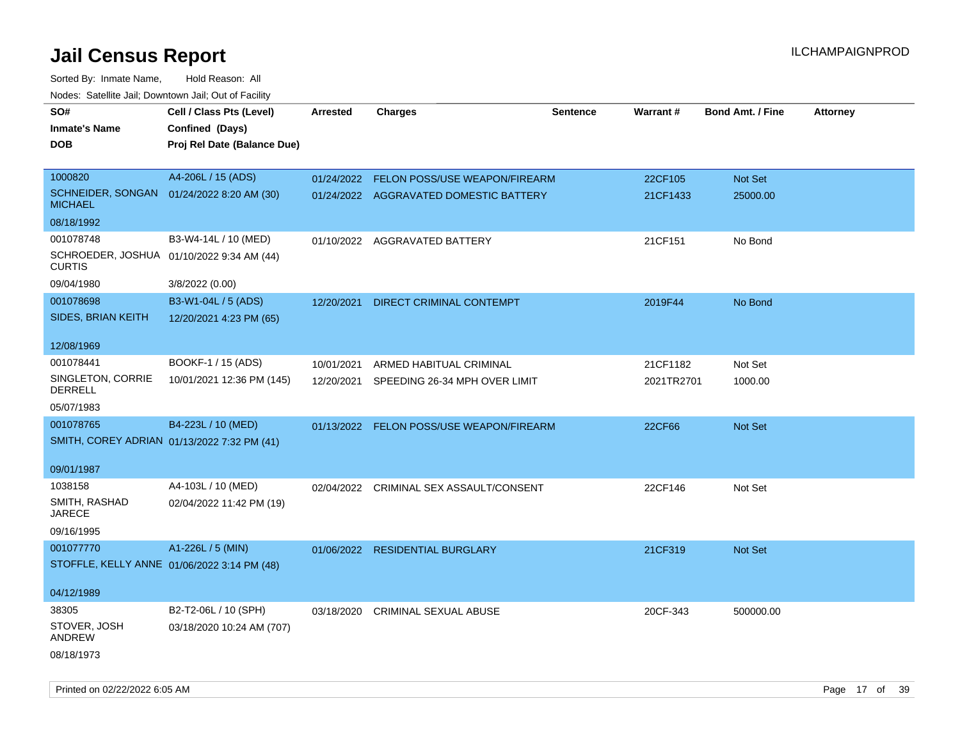| roaco. Catolino dall, Downtown dall, Out of Fability        |                             |            |                                          |                 |            |                         |                 |
|-------------------------------------------------------------|-----------------------------|------------|------------------------------------------|-----------------|------------|-------------------------|-----------------|
| SO#                                                         | Cell / Class Pts (Level)    | Arrested   | <b>Charges</b>                           | <b>Sentence</b> | Warrant#   | <b>Bond Amt. / Fine</b> | <b>Attorney</b> |
| <b>Inmate's Name</b>                                        | Confined (Days)             |            |                                          |                 |            |                         |                 |
| <b>DOB</b>                                                  | Proj Rel Date (Balance Due) |            |                                          |                 |            |                         |                 |
|                                                             |                             |            |                                          |                 |            |                         |                 |
| 1000820                                                     | A4-206L / 15 (ADS)          | 01/24/2022 | FELON POSS/USE WEAPON/FIREARM            |                 | 22CF105    | Not Set                 |                 |
| SCHNEIDER, SONGAN 01/24/2022 8:20 AM (30)<br><b>MICHAEL</b> |                             |            | 01/24/2022 AGGRAVATED DOMESTIC BATTERY   |                 | 21CF1433   | 25000.00                |                 |
| 08/18/1992                                                  |                             |            |                                          |                 |            |                         |                 |
| 001078748                                                   | B3-W4-14L / 10 (MED)        |            | 01/10/2022 AGGRAVATED BATTERY            |                 | 21CF151    | No Bond                 |                 |
| SCHROEDER, JOSHUA 01/10/2022 9:34 AM (44)<br><b>CURTIS</b>  |                             |            |                                          |                 |            |                         |                 |
| 09/04/1980                                                  | 3/8/2022 (0.00)             |            |                                          |                 |            |                         |                 |
| 001078698                                                   | B3-W1-04L / 5 (ADS)         | 12/20/2021 | <b>DIRECT CRIMINAL CONTEMPT</b>          |                 | 2019F44    | No Bond                 |                 |
| SIDES, BRIAN KEITH                                          | 12/20/2021 4:23 PM (65)     |            |                                          |                 |            |                         |                 |
|                                                             |                             |            |                                          |                 |            |                         |                 |
| 12/08/1969                                                  |                             |            |                                          |                 |            |                         |                 |
| 001078441                                                   | BOOKF-1 / 15 (ADS)          | 10/01/2021 | ARMED HABITUAL CRIMINAL                  |                 | 21CF1182   | Not Set                 |                 |
| SINGLETON, CORRIE<br>DERRELL                                | 10/01/2021 12:36 PM (145)   | 12/20/2021 | SPEEDING 26-34 MPH OVER LIMIT            |                 | 2021TR2701 | 1000.00                 |                 |
| 05/07/1983                                                  |                             |            |                                          |                 |            |                         |                 |
| 001078765                                                   | B4-223L / 10 (MED)          |            | 01/13/2022 FELON POSS/USE WEAPON/FIREARM |                 | 22CF66     | Not Set                 |                 |
| SMITH, COREY ADRIAN 01/13/2022 7:32 PM (41)                 |                             |            |                                          |                 |            |                         |                 |
|                                                             |                             |            |                                          |                 |            |                         |                 |
| 09/01/1987                                                  |                             |            |                                          |                 |            |                         |                 |
| 1038158                                                     | A4-103L / 10 (MED)          |            | 02/04/2022 CRIMINAL SEX ASSAULT/CONSENT  |                 | 22CF146    | Not Set                 |                 |
| SMITH, RASHAD<br><b>JARECE</b>                              | 02/04/2022 11:42 PM (19)    |            |                                          |                 |            |                         |                 |
| 09/16/1995                                                  |                             |            |                                          |                 |            |                         |                 |
| 001077770                                                   | A1-226L / 5 (MIN)           |            | 01/06/2022 RESIDENTIAL BURGLARY          |                 | 21CF319    | Not Set                 |                 |
| STOFFLE, KELLY ANNE 01/06/2022 3:14 PM (48)                 |                             |            |                                          |                 |            |                         |                 |
|                                                             |                             |            |                                          |                 |            |                         |                 |
| 04/12/1989                                                  |                             |            |                                          |                 |            |                         |                 |
| 38305                                                       | B2-T2-06L / 10 (SPH)        |            | 03/18/2020 CRIMINAL SEXUAL ABUSE         |                 | 20CF-343   | 500000.00               |                 |
| STOVER, JOSH                                                | 03/18/2020 10:24 AM (707)   |            |                                          |                 |            |                         |                 |
| ANDREW                                                      |                             |            |                                          |                 |            |                         |                 |
| 08/18/1973                                                  |                             |            |                                          |                 |            |                         |                 |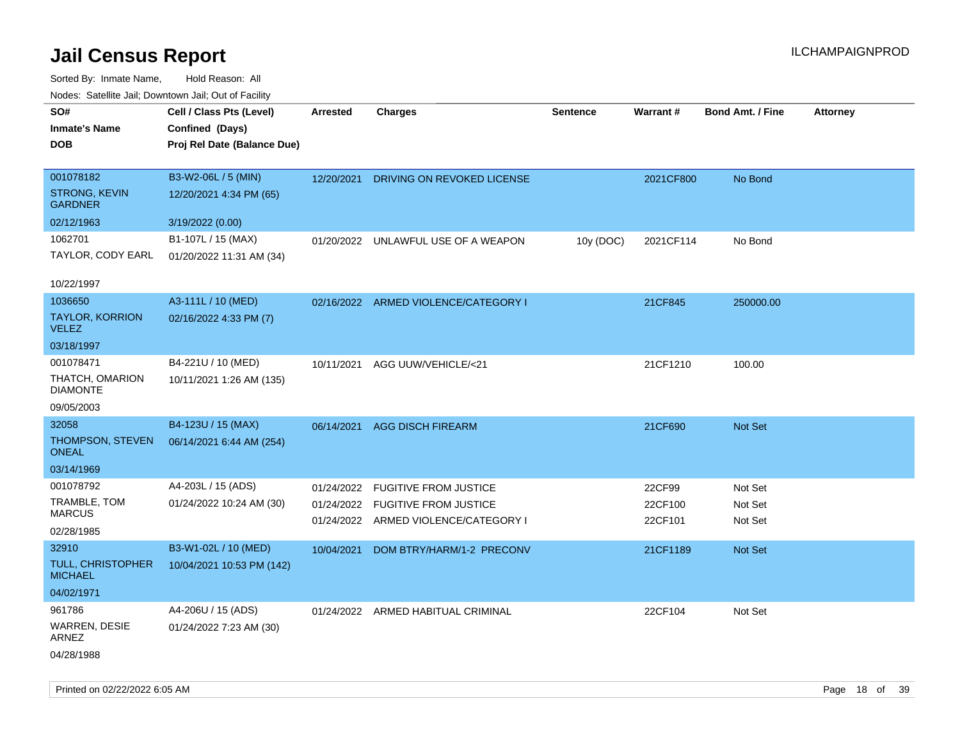| roacs. Catellite Jall, Downtown Jall, Out of Facility          |                                                                            |                 |                                                                                                          |                 |                              |                               |                 |
|----------------------------------------------------------------|----------------------------------------------------------------------------|-----------------|----------------------------------------------------------------------------------------------------------|-----------------|------------------------------|-------------------------------|-----------------|
| SO#<br><b>Inmate's Name</b><br><b>DOB</b>                      | Cell / Class Pts (Level)<br>Confined (Days)<br>Proj Rel Date (Balance Due) | <b>Arrested</b> | <b>Charges</b>                                                                                           | <b>Sentence</b> | Warrant#                     | <b>Bond Amt. / Fine</b>       | <b>Attorney</b> |
| 001078182<br><b>STRONG, KEVIN</b><br><b>GARDNER</b>            | B3-W2-06L / 5 (MIN)<br>12/20/2021 4:34 PM (65)                             | 12/20/2021      | DRIVING ON REVOKED LICENSE                                                                               |                 | 2021CF800                    | No Bond                       |                 |
| 02/12/1963                                                     | 3/19/2022 (0.00)                                                           |                 |                                                                                                          |                 |                              |                               |                 |
| 1062701<br>TAYLOR, CODY EARL                                   | B1-107L / 15 (MAX)<br>01/20/2022 11:31 AM (34)                             |                 | 01/20/2022 UNLAWFUL USE OF A WEAPON                                                                      | 10y (DOC)       | 2021CF114                    | No Bond                       |                 |
| 10/22/1997                                                     |                                                                            |                 |                                                                                                          |                 |                              |                               |                 |
| 1036650<br><b>TAYLOR, KORRION</b><br><b>VELEZ</b>              | A3-111L / 10 (MED)<br>02/16/2022 4:33 PM (7)                               |                 | 02/16/2022 ARMED VIOLENCE/CATEGORY I                                                                     |                 | 21CF845                      | 250000.00                     |                 |
| 03/18/1997                                                     |                                                                            |                 |                                                                                                          |                 |                              |                               |                 |
| 001078471<br>THATCH, OMARION<br><b>DIAMONTE</b><br>09/05/2003  | B4-221U / 10 (MED)<br>10/11/2021 1:26 AM (135)                             | 10/11/2021      | AGG UUW/VEHICLE/<21                                                                                      |                 | 21CF1210                     | 100.00                        |                 |
| 32058<br><b>THOMPSON, STEVEN</b><br><b>ONEAL</b><br>03/14/1969 | B4-123U / 15 (MAX)<br>06/14/2021 6:44 AM (254)                             |                 | 06/14/2021 AGG DISCH FIREARM                                                                             |                 | 21CF690                      | Not Set                       |                 |
| 001078792<br>TRAMBLE, TOM<br><b>MARCUS</b><br>02/28/1985       | A4-203L / 15 (ADS)<br>01/24/2022 10:24 AM (30)                             | 01/24/2022      | <b>FUGITIVE FROM JUSTICE</b><br>01/24/2022 FUGITIVE FROM JUSTICE<br>01/24/2022 ARMED VIOLENCE/CATEGORY I |                 | 22CF99<br>22CF100<br>22CF101 | Not Set<br>Not Set<br>Not Set |                 |
| 32910<br>TULL, CHRISTOPHER<br><b>MICHAEL</b>                   | B3-W1-02L / 10 (MED)<br>10/04/2021 10:53 PM (142)                          | 10/04/2021      | DOM BTRY/HARM/1-2 PRECONV                                                                                |                 | 21CF1189                     | Not Set                       |                 |
| 04/02/1971                                                     |                                                                            |                 |                                                                                                          |                 |                              |                               |                 |
| 961786<br><b>WARREN, DESIE</b><br>ARNEZ<br>04/28/1988          | A4-206U / 15 (ADS)<br>01/24/2022 7:23 AM (30)                              |                 | 01/24/2022 ARMED HABITUAL CRIMINAL                                                                       |                 | 22CF104                      | Not Set                       |                 |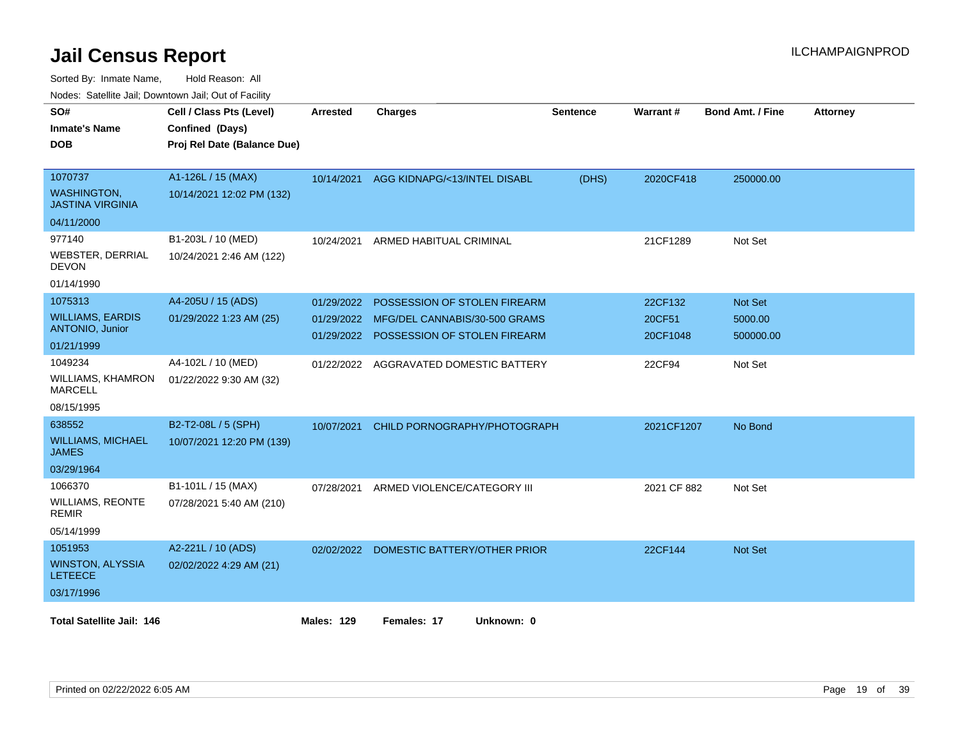Sorted By: Inmate Name, Hold Reason: All

Nodes: Satellite Jail; Downtown Jail; Out of Facility

| SO#<br><b>Inmate's Name</b><br><b>DOB</b>                                  | Cell / Class Pts (Level)<br>Confined (Days)<br>Proj Rel Date (Balance Due) | <b>Arrested</b>                        | <b>Charges</b>                                                                                | <b>Sentence</b> | Warrant#                      | <b>Bond Amt. / Fine</b>         | <b>Attorney</b> |
|----------------------------------------------------------------------------|----------------------------------------------------------------------------|----------------------------------------|-----------------------------------------------------------------------------------------------|-----------------|-------------------------------|---------------------------------|-----------------|
| 1070737<br><b>WASHINGTON.</b><br><b>JASTINA VIRGINIA</b><br>04/11/2000     | A1-126L / 15 (MAX)<br>10/14/2021 12:02 PM (132)                            | 10/14/2021                             | AGG KIDNAPG/<13/INTEL DISABL                                                                  | (DHS)           | 2020CF418                     | 250000.00                       |                 |
| 977140<br><b>WEBSTER, DERRIAL</b><br><b>DEVON</b><br>01/14/1990            | B1-203L / 10 (MED)<br>10/24/2021 2:46 AM (122)                             | 10/24/2021                             | ARMED HABITUAL CRIMINAL                                                                       |                 | 21CF1289                      | Not Set                         |                 |
| 1075313<br><b>WILLIAMS, EARDIS</b><br><b>ANTONIO, Junior</b><br>01/21/1999 | A4-205U / 15 (ADS)<br>01/29/2022 1:23 AM (25)                              | 01/29/2022<br>01/29/2022<br>01/29/2022 | POSSESSION OF STOLEN FIREARM<br>MFG/DEL CANNABIS/30-500 GRAMS<br>POSSESSION OF STOLEN FIREARM |                 | 22CF132<br>20CF51<br>20CF1048 | Not Set<br>5000.00<br>500000.00 |                 |
| 1049234<br>WILLIAMS, KHAMRON<br><b>MARCELL</b><br>08/15/1995               | A4-102L / 10 (MED)<br>01/22/2022 9:30 AM (32)                              | 01/22/2022                             | AGGRAVATED DOMESTIC BATTERY                                                                   |                 | 22CF94                        | Not Set                         |                 |
| 638552<br><b>WILLIAMS, MICHAEL</b><br><b>JAMES</b><br>03/29/1964           | B2-T2-08L / 5 (SPH)<br>10/07/2021 12:20 PM (139)                           | 10/07/2021                             | CHILD PORNOGRAPHY/PHOTOGRAPH                                                                  |                 | 2021CF1207                    | No Bond                         |                 |
| 1066370<br><b>WILLIAMS, REONTE</b><br><b>REMIR</b><br>05/14/1999           | B1-101L / 15 (MAX)<br>07/28/2021 5:40 AM (210)                             | 07/28/2021                             | ARMED VIOLENCE/CATEGORY III                                                                   |                 | 2021 CF 882                   | Not Set                         |                 |
| 1051953<br><b>WINSTON, ALYSSIA</b><br><b>LETEECE</b><br>03/17/1996         | A2-221L / 10 (ADS)<br>02/02/2022 4:29 AM (21)                              |                                        | 02/02/2022 DOMESTIC BATTERY/OTHER PRIOR                                                       |                 | 22CF144                       | Not Set                         |                 |
| <b>Total Satellite Jail: 146</b>                                           |                                                                            | <b>Males: 129</b>                      | Females: 17<br>Unknown: 0                                                                     |                 |                               |                                 |                 |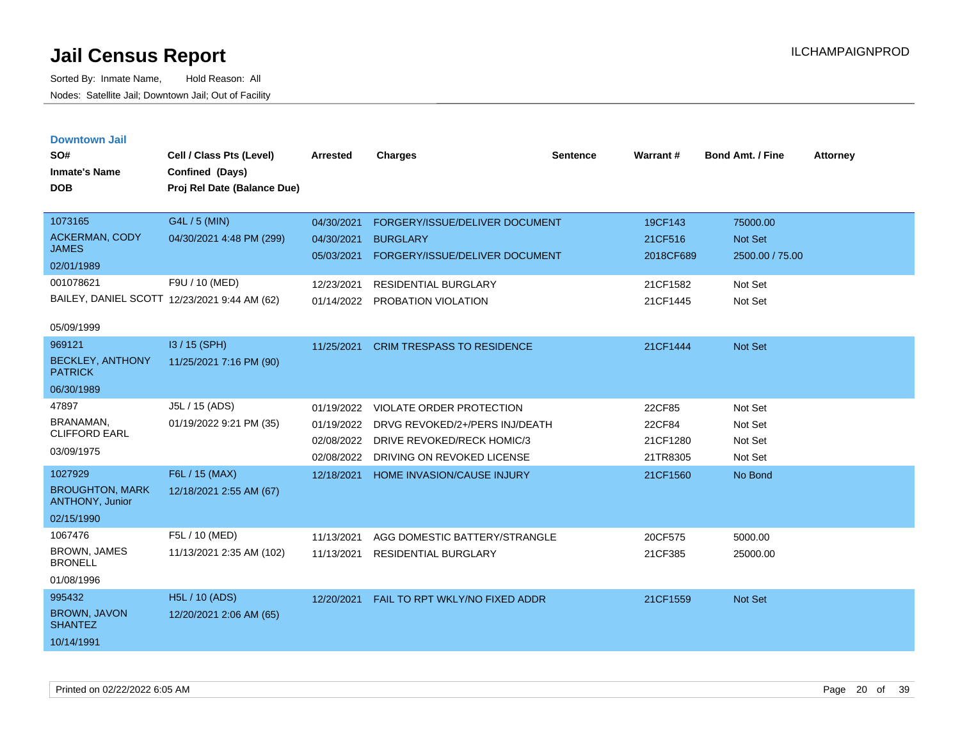| <b>Downtown Jail</b> |  |
|----------------------|--|
|                      |  |

| SO#<br><b>Inmate's Name</b><br><b>DOB</b>                                       | Cell / Class Pts (Level)<br>Confined (Days)<br>Proj Rel Date (Balance Due)                                  | <b>Arrested</b>                                                    | <b>Charges</b>                                                                                                                            | <b>Sentence</b> | Warrant#                                                | <b>Bond Amt. / Fine</b>                                             | <b>Attorney</b> |
|---------------------------------------------------------------------------------|-------------------------------------------------------------------------------------------------------------|--------------------------------------------------------------------|-------------------------------------------------------------------------------------------------------------------------------------------|-----------------|---------------------------------------------------------|---------------------------------------------------------------------|-----------------|
| 1073165<br><b>ACKERMAN, CODY</b><br><b>JAMES</b><br>02/01/1989<br>001078621     | G4L / 5 (MIN)<br>04/30/2021 4:48 PM (299)<br>F9U / 10 (MED)<br>BAILEY, DANIEL SCOTT 12/23/2021 9:44 AM (62) | 04/30/2021<br>04/30/2021<br>05/03/2021<br>12/23/2021<br>01/14/2022 | FORGERY/ISSUE/DELIVER DOCUMENT<br><b>BURGLARY</b><br>FORGERY/ISSUE/DELIVER DOCUMENT<br><b>RESIDENTIAL BURGLARY</b><br>PROBATION VIOLATION |                 | 19CF143<br>21CF516<br>2018CF689<br>21CF1582<br>21CF1445 | 75000.00<br><b>Not Set</b><br>2500.00 / 75.00<br>Not Set<br>Not Set |                 |
| 05/09/1999<br>969121<br><b>BECKLEY, ANTHONY</b><br><b>PATRICK</b><br>06/30/1989 | I3 / 15 (SPH)<br>11/25/2021 7:16 PM (90)                                                                    | 11/25/2021                                                         | <b>CRIM TRESPASS TO RESIDENCE</b>                                                                                                         |                 | 21CF1444                                                | <b>Not Set</b>                                                      |                 |
| 47897<br>BRANAMAN.<br><b>CLIFFORD EARL</b><br>03/09/1975                        | J5L / 15 (ADS)<br>01/19/2022 9:21 PM (35)                                                                   | 01/19/2022<br>01/19/2022<br>02/08/2022<br>02/08/2022               | VIOLATE ORDER PROTECTION<br>DRVG REVOKED/2+/PERS INJ/DEATH<br>DRIVE REVOKED/RECK HOMIC/3<br>DRIVING ON REVOKED LICENSE                    |                 | 22CF85<br>22CF84<br>21CF1280<br>21TR8305                | Not Set<br>Not Set<br>Not Set<br>Not Set                            |                 |
| 1027929<br><b>BROUGHTON, MARK</b><br>ANTHONY, Junior<br>02/15/1990              | F6L / 15 (MAX)<br>12/18/2021 2:55 AM (67)                                                                   | 12/18/2021                                                         | <b>HOME INVASION/CAUSE INJURY</b>                                                                                                         |                 | 21CF1560                                                | No Bond                                                             |                 |
| 1067476<br><b>BROWN, JAMES</b><br><b>BRONELL</b><br>01/08/1996                  | F5L / 10 (MED)<br>11/13/2021 2:35 AM (102)                                                                  | 11/13/2021<br>11/13/2021                                           | AGG DOMESTIC BATTERY/STRANGLE<br>RESIDENTIAL BURGLARY                                                                                     |                 | 20CF575<br>21CF385                                      | 5000.00<br>25000.00                                                 |                 |
| 995432<br>BROWN, JAVON<br><b>SHANTEZ</b><br>10/14/1991                          | <b>H5L / 10 (ADS)</b><br>12/20/2021 2:06 AM (65)                                                            | 12/20/2021                                                         | FAIL TO RPT WKLY/NO FIXED ADDR                                                                                                            |                 | 21CF1559                                                | Not Set                                                             |                 |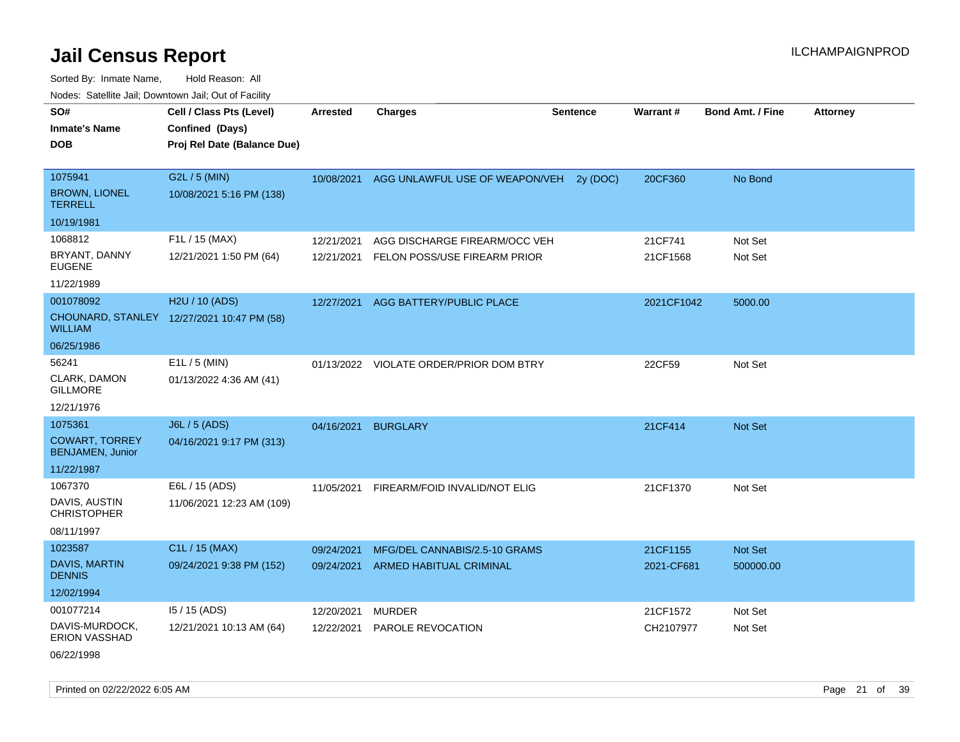Sorted By: Inmate Name, Hold Reason: All Nodes: Satellite Jail; Downtown Jail; Out of Facility

| SO#<br>Inmate's Name<br><b>DOB</b>                                        | Cell / Class Pts (Level)<br>Confined (Days)<br>Proj Rel Date (Balance Due)<br>G2L / 5 (MIN)<br>10/08/2021 5:16 PM (138) | <b>Arrested</b><br>10/08/2021 | <b>Charges</b>                                                  | <b>Sentence</b> | <b>Warrant#</b>        | <b>Bond Amt. / Fine</b> | <b>Attorney</b> |
|---------------------------------------------------------------------------|-------------------------------------------------------------------------------------------------------------------------|-------------------------------|-----------------------------------------------------------------|-----------------|------------------------|-------------------------|-----------------|
|                                                                           |                                                                                                                         |                               |                                                                 |                 |                        |                         |                 |
| 1075941<br><b>BROWN, LIONEL</b><br>TERRELL                                |                                                                                                                         |                               | AGG UNLAWFUL USE OF WEAPON/VEH                                  | 2y (DOC)        | 20CF360                | No Bond                 |                 |
| 10/19/1981                                                                |                                                                                                                         |                               |                                                                 |                 |                        |                         |                 |
| 1068812<br>BRYANT, DANNY                                                  | F1L / 15 (MAX)<br>12/21/2021 1:50 PM (64)                                                                               | 12/21/2021<br>12/21/2021      | AGG DISCHARGE FIREARM/OCC VEH<br>FELON POSS/USE FIREARM PRIOR   |                 | 21CF741<br>21CF1568    | Not Set<br>Not Set      |                 |
| EUGENE<br>11/22/1989                                                      |                                                                                                                         |                               |                                                                 |                 |                        |                         |                 |
| 001078092<br>WILLIAM<br>06/25/1986                                        | H2U / 10 (ADS)<br>CHOUNARD, STANLEY 12/27/2021 10:47 PM (58)                                                            | 12/27/2021                    | AGG BATTERY/PUBLIC PLACE                                        |                 | 2021CF1042             | 5000.00                 |                 |
| 56241<br>CLARK, DAMON<br>GILLMORE<br>12/21/1976                           | $E1L / 5$ (MIN)<br>01/13/2022 4:36 AM (41)                                                                              | 01/13/2022                    | VIOLATE ORDER/PRIOR DOM BTRY                                    |                 | 22CF59                 | Not Set                 |                 |
| 1075361<br><b>COWART, TORREY</b><br><b>BENJAMEN, Junior</b><br>11/22/1987 | J6L / 5 (ADS)<br>04/16/2021 9:17 PM (313)                                                                               | 04/16/2021                    | <b>BURGLARY</b>                                                 |                 | 21CF414                | Not Set                 |                 |
| 1067370<br>DAVIS, AUSTIN<br><b>CHRISTOPHER</b><br>08/11/1997              | E6L / 15 (ADS)<br>11/06/2021 12:23 AM (109)                                                                             | 11/05/2021                    | FIREARM/FOID INVALID/NOT ELIG                                   |                 | 21CF1370               | Not Set                 |                 |
| 1023587<br><b>DAVIS, MARTIN</b><br><b>DENNIS</b><br>12/02/1994            | C1L / 15 (MAX)<br>09/24/2021 9:38 PM (152)                                                                              | 09/24/2021<br>09/24/2021      | MFG/DEL CANNABIS/2.5-10 GRAMS<br><b>ARMED HABITUAL CRIMINAL</b> |                 | 21CF1155<br>2021-CF681 | Not Set<br>500000.00    |                 |
| 001077214<br>DAVIS-MURDOCK,<br>ERION VASSHAD                              | $15/15$ (ADS)<br>12/21/2021 10:13 AM (64)                                                                               | 12/20/2021<br>12/22/2021      | <b>MURDER</b><br>PAROLE REVOCATION                              |                 | 21CF1572<br>CH2107977  | Not Set<br>Not Set      |                 |

06/22/1998

Printed on 02/22/2022 6:05 AM Page 21 of 39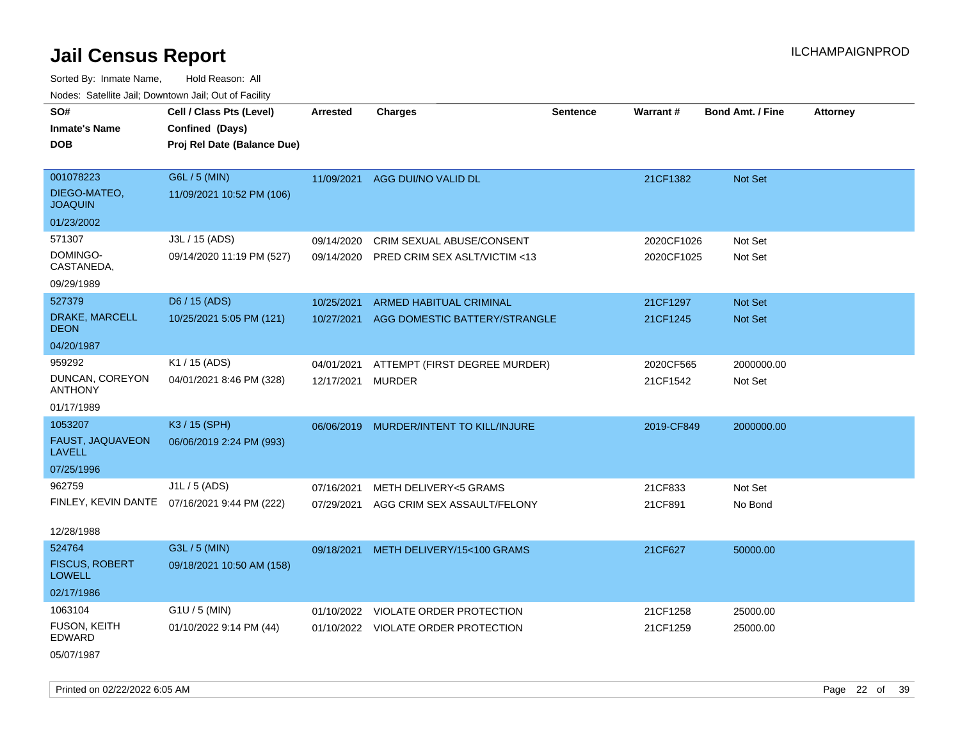Sorted By: Inmate Name, Hold Reason: All Nodes: Satellite Jail; Downtown Jail; Out of Facility

| SO#                                    | Cell / Class Pts (Level)                     | Arrested   | <b>Charges</b>                      | <b>Sentence</b> | Warrant#   | <b>Bond Amt. / Fine</b> | <b>Attorney</b> |
|----------------------------------------|----------------------------------------------|------------|-------------------------------------|-----------------|------------|-------------------------|-----------------|
| <b>Inmate's Name</b>                   | Confined (Days)                              |            |                                     |                 |            |                         |                 |
| <b>DOB</b>                             | Proj Rel Date (Balance Due)                  |            |                                     |                 |            |                         |                 |
|                                        |                                              |            |                                     |                 |            |                         |                 |
| 001078223                              | G6L / 5 (MIN)                                |            | 11/09/2021 AGG DUI/NO VALID DL      |                 | 21CF1382   | Not Set                 |                 |
| DIEGO-MATEO,<br><b>JOAQUIN</b>         | 11/09/2021 10:52 PM (106)                    |            |                                     |                 |            |                         |                 |
| 01/23/2002                             |                                              |            |                                     |                 |            |                         |                 |
| 571307                                 | J3L / 15 (ADS)                               | 09/14/2020 | CRIM SEXUAL ABUSE/CONSENT           |                 | 2020CF1026 | Not Set                 |                 |
| DOMINGO-<br>CASTANEDA,                 | 09/14/2020 11:19 PM (527)                    | 09/14/2020 | PRED CRIM SEX ASLT/VICTIM <13       |                 | 2020CF1025 | Not Set                 |                 |
| 09/29/1989                             |                                              |            |                                     |                 |            |                         |                 |
| 527379                                 | D6 / 15 (ADS)                                | 10/25/2021 | <b>ARMED HABITUAL CRIMINAL</b>      |                 | 21CF1297   | Not Set                 |                 |
| DRAKE, MARCELL<br><b>DEON</b>          | 10/25/2021 5:05 PM (121)                     | 10/27/2021 | AGG DOMESTIC BATTERY/STRANGLE       |                 | 21CF1245   | Not Set                 |                 |
| 04/20/1987                             |                                              |            |                                     |                 |            |                         |                 |
| 959292                                 | K1 / 15 (ADS)                                | 04/01/2021 | ATTEMPT (FIRST DEGREE MURDER)       |                 | 2020CF565  | 2000000.00              |                 |
| DUNCAN, COREYON<br><b>ANTHONY</b>      | 04/01/2021 8:46 PM (328)                     | 12/17/2021 | <b>MURDER</b>                       |                 | 21CF1542   | Not Set                 |                 |
| 01/17/1989                             |                                              |            |                                     |                 |            |                         |                 |
| 1053207                                | K3 / 15 (SPH)                                | 06/06/2019 | MURDER/INTENT TO KILL/INJURE        |                 | 2019-CF849 | 2000000.00              |                 |
| FAUST, JAQUAVEON<br><b>LAVELL</b>      | 06/06/2019 2:24 PM (993)                     |            |                                     |                 |            |                         |                 |
| 07/25/1996                             |                                              |            |                                     |                 |            |                         |                 |
| 962759                                 | J1L / 5 (ADS)                                | 07/16/2021 | <b>METH DELIVERY&lt;5 GRAMS</b>     |                 | 21CF833    | Not Set                 |                 |
|                                        | FINLEY, KEVIN DANTE 07/16/2021 9:44 PM (222) | 07/29/2021 | AGG CRIM SEX ASSAULT/FELONY         |                 | 21CF891    | No Bond                 |                 |
| 12/28/1988                             |                                              |            |                                     |                 |            |                         |                 |
| 524764                                 | G3L / 5 (MIN)                                | 09/18/2021 | METH DELIVERY/15<100 GRAMS          |                 | 21CF627    | 50000.00                |                 |
| <b>FISCUS, ROBERT</b><br><b>LOWELL</b> | 09/18/2021 10:50 AM (158)                    |            |                                     |                 |            |                         |                 |
| 02/17/1986                             |                                              |            |                                     |                 |            |                         |                 |
| 1063104                                | $G1U / 5$ (MIN)                              |            | 01/10/2022 VIOLATE ORDER PROTECTION |                 | 21CF1258   | 25000.00                |                 |
| <b>FUSON, KEITH</b><br>EDWARD          | 01/10/2022 9:14 PM (44)                      |            | 01/10/2022 VIOLATE ORDER PROTECTION |                 | 21CF1259   | 25000.00                |                 |
| 05/07/1987                             |                                              |            |                                     |                 |            |                         |                 |

Printed on 02/22/2022 6:05 AM Page 22 of 39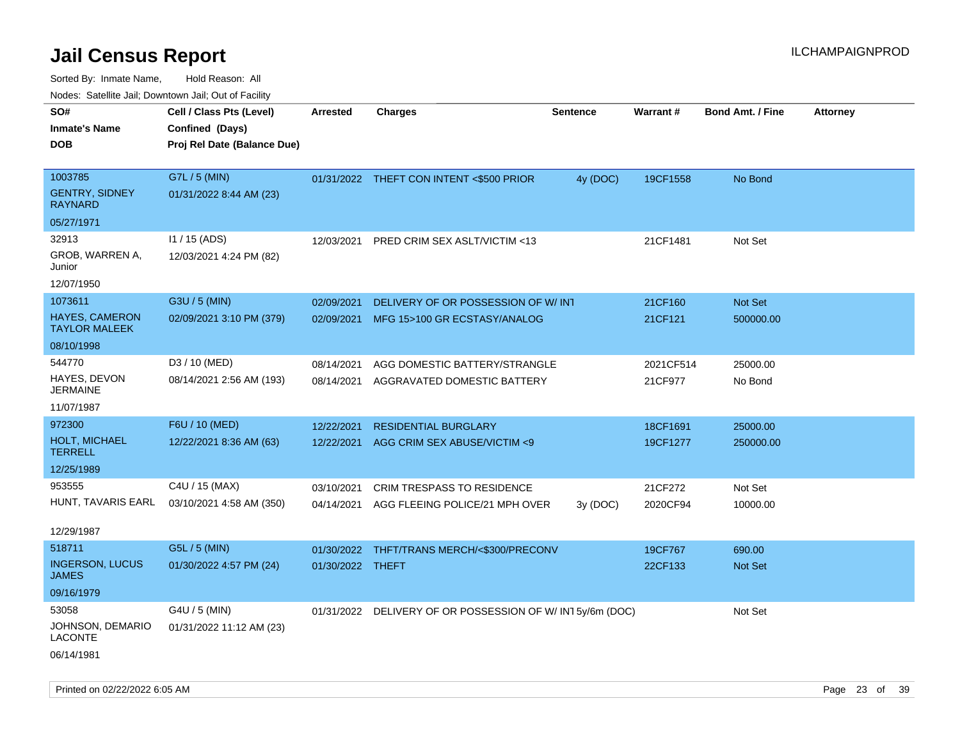| ivodes. Satellite Jali, Downtown Jali, Out of Facility |                             |                  |                                                            |                 |                 |                         |                 |
|--------------------------------------------------------|-----------------------------|------------------|------------------------------------------------------------|-----------------|-----------------|-------------------------|-----------------|
| SO#                                                    | Cell / Class Pts (Level)    | Arrested         | <b>Charges</b>                                             | <b>Sentence</b> | <b>Warrant#</b> | <b>Bond Amt. / Fine</b> | <b>Attorney</b> |
| <b>Inmate's Name</b>                                   | Confined (Days)             |                  |                                                            |                 |                 |                         |                 |
| DOB                                                    | Proj Rel Date (Balance Due) |                  |                                                            |                 |                 |                         |                 |
|                                                        |                             |                  |                                                            |                 |                 |                         |                 |
| 1003785                                                | G7L / 5 (MIN)               |                  | 01/31/2022 THEFT CON INTENT <\$500 PRIOR                   | 4y (DOC)        | 19CF1558        | No Bond                 |                 |
| <b>GENTRY, SIDNEY</b><br>RAYNARD                       | 01/31/2022 8:44 AM (23)     |                  |                                                            |                 |                 |                         |                 |
| 05/27/1971                                             |                             |                  |                                                            |                 |                 |                         |                 |
| 32913                                                  | I1 / 15 (ADS)               | 12/03/2021       | PRED CRIM SEX ASLT/VICTIM <13                              |                 | 21CF1481        | Not Set                 |                 |
| GROB, WARREN A,<br>Junior                              | 12/03/2021 4:24 PM (82)     |                  |                                                            |                 |                 |                         |                 |
| 12/07/1950                                             |                             |                  |                                                            |                 |                 |                         |                 |
| 1073611                                                | G3U / 5 (MIN)               | 02/09/2021       | DELIVERY OF OR POSSESSION OF W/INT                         |                 | 21CF160         | <b>Not Set</b>          |                 |
| HAYES, CAMERON<br>TAYLOR MALEEK                        | 02/09/2021 3:10 PM (379)    | 02/09/2021       | MFG 15>100 GR ECSTASY/ANALOG                               |                 | 21CF121         | 500000.00               |                 |
| 08/10/1998                                             |                             |                  |                                                            |                 |                 |                         |                 |
| 544770                                                 | D3 / 10 (MED)               | 08/14/2021       | AGG DOMESTIC BATTERY/STRANGLE                              |                 | 2021CF514       | 25000.00                |                 |
| HAYES, DEVON<br>JERMAINE                               | 08/14/2021 2:56 AM (193)    | 08/14/2021       | AGGRAVATED DOMESTIC BATTERY                                |                 | 21CF977         | No Bond                 |                 |
| 11/07/1987                                             |                             |                  |                                                            |                 |                 |                         |                 |
| 972300                                                 | F6U / 10 (MED)              | 12/22/2021       | <b>RESIDENTIAL BURGLARY</b>                                |                 | 18CF1691        | 25000.00                |                 |
| <b>HOLT, MICHAEL</b><br>TERRELL                        | 12/22/2021 8:36 AM (63)     | 12/22/2021       | AGG CRIM SEX ABUSE/VICTIM <9                               |                 | 19CF1277        | 250000.00               |                 |
| 12/25/1989                                             |                             |                  |                                                            |                 |                 |                         |                 |
| 953555                                                 | C4U / 15 (MAX)              | 03/10/2021       | <b>CRIM TRESPASS TO RESIDENCE</b>                          |                 | 21CF272         | Not Set                 |                 |
| HUNT, TAVARIS EARL                                     | 03/10/2021 4:58 AM (350)    | 04/14/2021       | AGG FLEEING POLICE/21 MPH OVER                             | 3y(DOC)         | 2020CF94        | 10000.00                |                 |
| 12/29/1987                                             |                             |                  |                                                            |                 |                 |                         |                 |
| 518711                                                 | G5L / 5 (MIN)               | 01/30/2022       | THFT/TRANS MERCH/<\$300/PRECONV                            |                 | 19CF767         | 690.00                  |                 |
| <b>INGERSON, LUCUS</b><br>JAMES                        | 01/30/2022 4:57 PM (24)     | 01/30/2022 THEFT |                                                            |                 | 22CF133         | <b>Not Set</b>          |                 |
| 09/16/1979                                             |                             |                  |                                                            |                 |                 |                         |                 |
| 53058                                                  | G4U / 5 (MIN)               |                  | 01/31/2022 DELIVERY OF OR POSSESSION OF W/ IN1 5y/6m (DOC) |                 |                 | Not Set                 |                 |
| JOHNSON, DEMARIO<br>LACONTE                            | 01/31/2022 11:12 AM (23)    |                  |                                                            |                 |                 |                         |                 |
| 06/14/1981                                             |                             |                  |                                                            |                 |                 |                         |                 |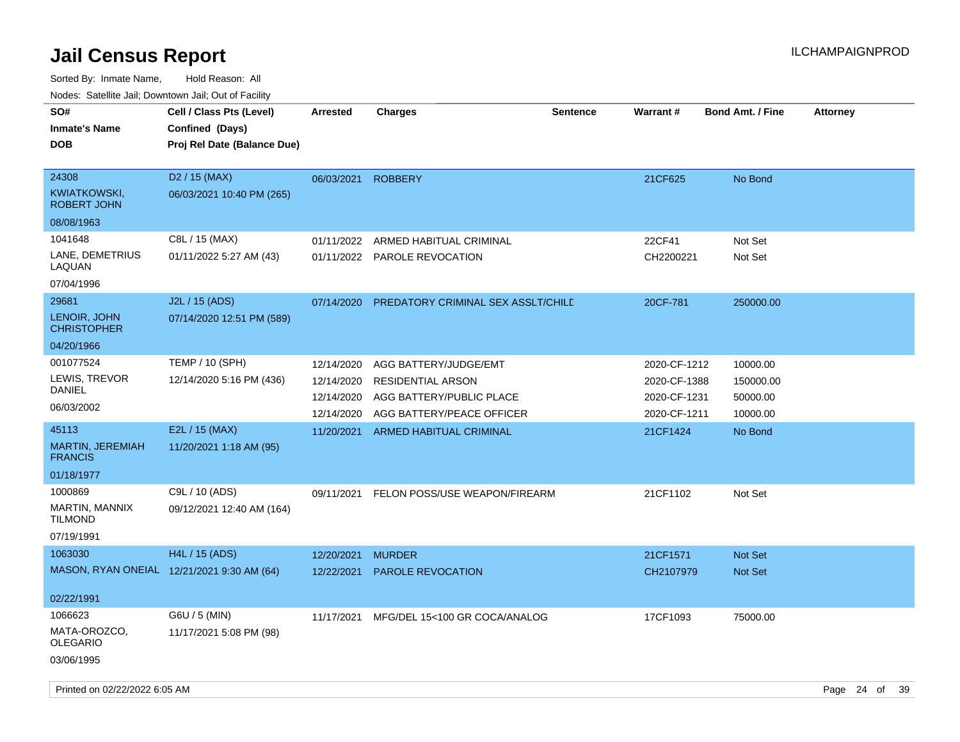| SO#<br><b>Inmate's Name</b><br><b>DOB</b>   | Cell / Class Pts (Level)<br>Confined (Days)<br>Proj Rel Date (Balance Due) | <b>Arrested</b> | <b>Charges</b>                     | <b>Sentence</b> | <b>Warrant#</b> | <b>Bond Amt. / Fine</b> | <b>Attorney</b> |    |
|---------------------------------------------|----------------------------------------------------------------------------|-----------------|------------------------------------|-----------------|-----------------|-------------------------|-----------------|----|
| 24308<br>KWIATKOWSKI.<br><b>ROBERT JOHN</b> | D <sub>2</sub> / 15 (MAX)<br>06/03/2021 10:40 PM (265)                     | 06/03/2021      | <b>ROBBERY</b>                     |                 | 21CF625         | No Bond                 |                 |    |
| 08/08/1963                                  |                                                                            |                 |                                    |                 |                 |                         |                 |    |
| 1041648                                     | C8L / 15 (MAX)                                                             | 01/11/2022      | ARMED HABITUAL CRIMINAL            |                 | 22CF41          | Not Set                 |                 |    |
| LANE, DEMETRIUS<br>LAQUAN                   | 01/11/2022 5:27 AM (43)                                                    |                 | 01/11/2022 PAROLE REVOCATION       |                 | CH2200221       | Not Set                 |                 |    |
| 07/04/1996                                  |                                                                            |                 |                                    |                 |                 |                         |                 |    |
| 29681                                       | J2L / 15 (ADS)                                                             | 07/14/2020      | PREDATORY CRIMINAL SEX ASSLT/CHILD |                 | 20CF-781        | 250000.00               |                 |    |
| LENOIR, JOHN<br><b>CHRISTOPHER</b>          | 07/14/2020 12:51 PM (589)                                                  |                 |                                    |                 |                 |                         |                 |    |
| 04/20/1966                                  |                                                                            |                 |                                    |                 |                 |                         |                 |    |
| 001077524                                   | <b>TEMP / 10 (SPH)</b>                                                     | 12/14/2020      | AGG BATTERY/JUDGE/EMT              |                 | 2020-CF-1212    | 10000.00                |                 |    |
| LEWIS, TREVOR<br>DANIEL                     | 12/14/2020 5:16 PM (436)                                                   | 12/14/2020      | <b>RESIDENTIAL ARSON</b>           |                 | 2020-CF-1388    | 150000.00               |                 |    |
| 06/03/2002                                  |                                                                            | 12/14/2020      | AGG BATTERY/PUBLIC PLACE           |                 | 2020-CF-1231    | 50000.00                |                 |    |
|                                             |                                                                            | 12/14/2020      | AGG BATTERY/PEACE OFFICER          |                 | 2020-CF-1211    | 10000.00                |                 |    |
| 45113                                       | E2L / 15 (MAX)                                                             | 11/20/2021      | <b>ARMED HABITUAL CRIMINAL</b>     |                 | 21CF1424        | No Bond                 |                 |    |
| MARTIN, JEREMIAH<br><b>FRANCIS</b>          | 11/20/2021 1:18 AM (95)                                                    |                 |                                    |                 |                 |                         |                 |    |
| 01/18/1977                                  |                                                                            |                 |                                    |                 |                 |                         |                 |    |
| 1000869                                     | C9L / 10 (ADS)                                                             | 09/11/2021      | FELON POSS/USE WEAPON/FIREARM      |                 | 21CF1102        | Not Set                 |                 |    |
| MARTIN, MANNIX<br><b>TILMOND</b>            | 09/12/2021 12:40 AM (164)                                                  |                 |                                    |                 |                 |                         |                 |    |
| 07/19/1991                                  |                                                                            |                 |                                    |                 |                 |                         |                 |    |
| 1063030                                     | H4L / 15 (ADS)                                                             | 12/20/2021      | <b>MURDER</b>                      |                 | 21CF1571        | <b>Not Set</b>          |                 |    |
|                                             | MASON, RYAN ONEIAL 12/21/2021 9:30 AM (64)                                 | 12/22/2021      | <b>PAROLE REVOCATION</b>           |                 | CH2107979       | <b>Not Set</b>          |                 |    |
| 02/22/1991                                  |                                                                            |                 |                                    |                 |                 |                         |                 |    |
| 1066623                                     | G6U / 5 (MIN)                                                              | 11/17/2021      | MFG/DEL 15<100 GR COCA/ANALOG      |                 | 17CF1093        | 75000.00                |                 |    |
| MATA-OROZCO,<br><b>OLEGARIO</b>             | 11/17/2021 5:08 PM (98)                                                    |                 |                                    |                 |                 |                         |                 |    |
| 03/06/1995                                  |                                                                            |                 |                                    |                 |                 |                         |                 |    |
| Printed on 02/22/2022 6:05 AM               |                                                                            |                 |                                    |                 |                 |                         | Page 24 of      | 39 |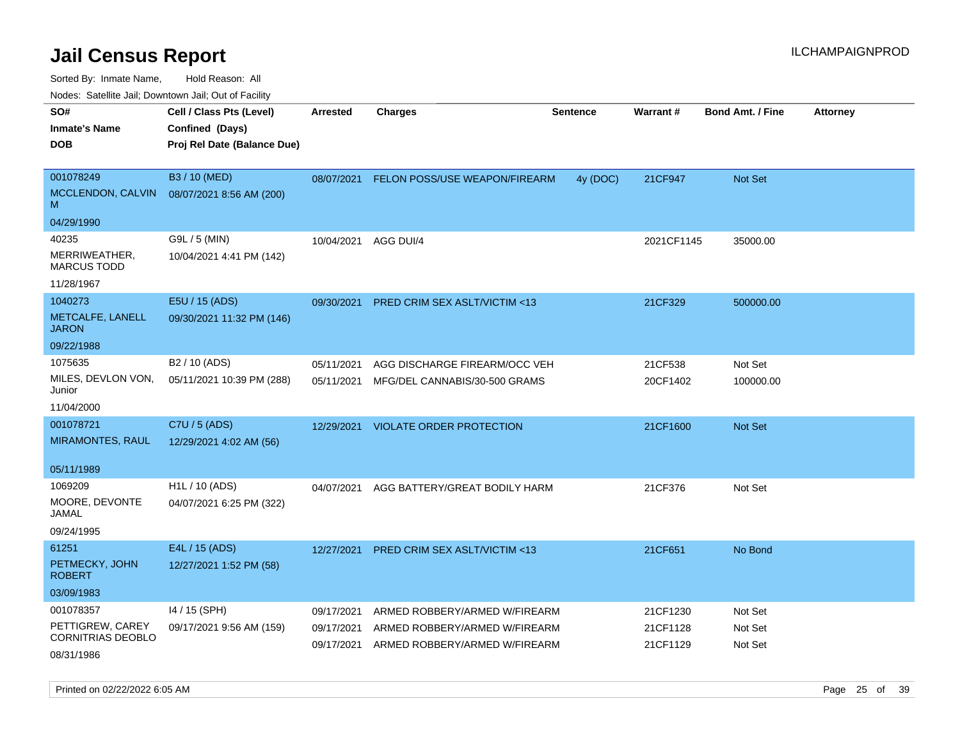Sorted By: Inmate Name, Hold Reason: All

Nodes: Satellite Jail; Downtown Jail; Out of Facility

|                                       | roaco. Oatomto dan, Downtown dan, Oat or Fability |                 |                                         |                 |            |                         |                 |
|---------------------------------------|---------------------------------------------------|-----------------|-----------------------------------------|-----------------|------------|-------------------------|-----------------|
| SO#                                   | Cell / Class Pts (Level)                          | <b>Arrested</b> | <b>Charges</b>                          | <b>Sentence</b> | Warrant#   | <b>Bond Amt. / Fine</b> | <b>Attorney</b> |
| <b>Inmate's Name</b>                  | Confined (Days)                                   |                 |                                         |                 |            |                         |                 |
| <b>DOB</b>                            | Proj Rel Date (Balance Due)                       |                 |                                         |                 |            |                         |                 |
|                                       |                                                   |                 |                                         |                 |            |                         |                 |
| 001078249                             | B3 / 10 (MED)                                     | 08/07/2021      | FELON POSS/USE WEAPON/FIREARM           | 4y (DOC)        | 21CF947    | Not Set                 |                 |
| MCCLENDON, CALVIN<br>M                | 08/07/2021 8:56 AM (200)                          |                 |                                         |                 |            |                         |                 |
| 04/29/1990                            |                                                   |                 |                                         |                 |            |                         |                 |
| 40235                                 | G9L / 5 (MIN)                                     | 10/04/2021      | AGG DUI/4                               |                 | 2021CF1145 | 35000.00                |                 |
| MERRIWEATHER,<br><b>MARCUS TODD</b>   | 10/04/2021 4:41 PM (142)                          |                 |                                         |                 |            |                         |                 |
| 11/28/1967                            |                                                   |                 |                                         |                 |            |                         |                 |
| 1040273                               | E5U / 15 (ADS)                                    | 09/30/2021      | PRED CRIM SEX ASLT/VICTIM <13           |                 | 21CF329    | 500000.00               |                 |
| METCALFE, LANELL<br><b>JARON</b>      | 09/30/2021 11:32 PM (146)                         |                 |                                         |                 |            |                         |                 |
| 09/22/1988                            |                                                   |                 |                                         |                 |            |                         |                 |
| 1075635                               | B2 / 10 (ADS)                                     | 05/11/2021      | AGG DISCHARGE FIREARM/OCC VEH           |                 | 21CF538    | Not Set                 |                 |
| MILES, DEVLON VON,<br>Junior          | 05/11/2021 10:39 PM (288)                         | 05/11/2021      | MFG/DEL CANNABIS/30-500 GRAMS           |                 | 20CF1402   | 100000.00               |                 |
| 11/04/2000                            |                                                   |                 |                                         |                 |            |                         |                 |
| 001078721                             | C7U / 5 (ADS)                                     | 12/29/2021      | VIOLATE ORDER PROTECTION                |                 | 21CF1600   | Not Set                 |                 |
| <b>MIRAMONTES, RAUL</b>               | 12/29/2021 4:02 AM (56)                           |                 |                                         |                 |            |                         |                 |
|                                       |                                                   |                 |                                         |                 |            |                         |                 |
| 05/11/1989                            |                                                   |                 |                                         |                 |            |                         |                 |
| 1069209                               | H1L / 10 (ADS)                                    | 04/07/2021      | AGG BATTERY/GREAT BODILY HARM           |                 | 21CF376    | Not Set                 |                 |
| MOORE, DEVONTE<br>JAMAL               | 04/07/2021 6:25 PM (322)                          |                 |                                         |                 |            |                         |                 |
| 09/24/1995                            |                                                   |                 |                                         |                 |            |                         |                 |
| 61251                                 | E4L / 15 (ADS)                                    | 12/27/2021      | <b>PRED CRIM SEX ASLT/VICTIM &lt;13</b> |                 | 21CF651    | No Bond                 |                 |
| PETMECKY, JOHN<br><b>ROBERT</b>       | 12/27/2021 1:52 PM (58)                           |                 |                                         |                 |            |                         |                 |
| 03/09/1983                            |                                                   |                 |                                         |                 |            |                         |                 |
| 001078357                             | 14 / 15 (SPH)                                     | 09/17/2021      | ARMED ROBBERY/ARMED W/FIREARM           |                 | 21CF1230   | Not Set                 |                 |
| PETTIGREW, CAREY<br>CORNITRIAS DEOBLO | 09/17/2021 9:56 AM (159)                          | 09/17/2021      | ARMED ROBBERY/ARMED W/FIREARM           |                 | 21CF1128   | Not Set                 |                 |
| 08/31/1986                            |                                                   | 09/17/2021      | ARMED ROBBERY/ARMED W/FIREARM           |                 | 21CF1129   | Not Set                 |                 |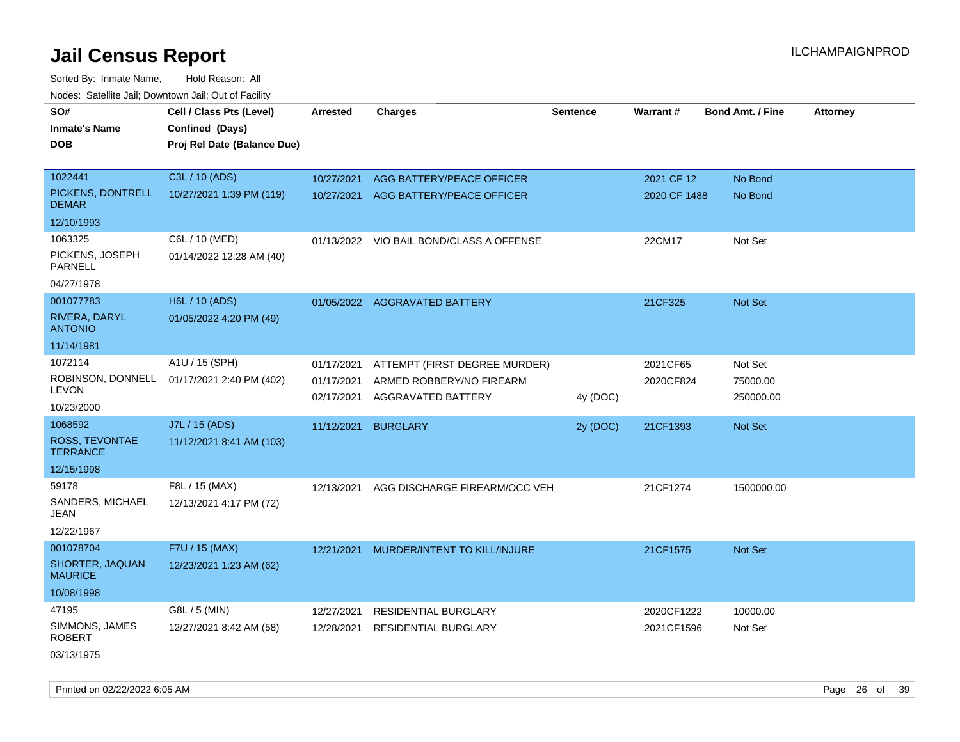| roaco. Oatomto dan, Downtown dan, Oat or Fability |                                                                            |                          |                                                |                 |              |                         |                 |
|---------------------------------------------------|----------------------------------------------------------------------------|--------------------------|------------------------------------------------|-----------------|--------------|-------------------------|-----------------|
| SO#<br><b>Inmate's Name</b><br><b>DOB</b>         | Cell / Class Pts (Level)<br>Confined (Days)<br>Proj Rel Date (Balance Due) | <b>Arrested</b>          | <b>Charges</b>                                 | <b>Sentence</b> | Warrant#     | <b>Bond Amt. / Fine</b> | <b>Attorney</b> |
| 1022441                                           | C3L / 10 (ADS)                                                             | 10/27/2021               | AGG BATTERY/PEACE OFFICER                      |                 | 2021 CF 12   | No Bond                 |                 |
| PICKENS, DONTRELL<br><b>DEMAR</b>                 | 10/27/2021 1:39 PM (119)                                                   | 10/27/2021               | AGG BATTERY/PEACE OFFICER                      |                 | 2020 CF 1488 | No Bond                 |                 |
| 12/10/1993                                        |                                                                            |                          |                                                |                 |              |                         |                 |
| 1063325                                           | C6L / 10 (MED)                                                             |                          | 01/13/2022 VIO BAIL BOND/CLASS A OFFENSE       |                 | 22CM17       | Not Set                 |                 |
| PICKENS, JOSEPH<br><b>PARNELL</b>                 | 01/14/2022 12:28 AM (40)                                                   |                          |                                                |                 |              |                         |                 |
| 04/27/1978                                        |                                                                            |                          |                                                |                 |              |                         |                 |
| 001077783                                         | H6L / 10 (ADS)                                                             |                          | 01/05/2022 AGGRAVATED BATTERY                  |                 | 21CF325      | Not Set                 |                 |
| RIVERA, DARYL<br><b>ANTONIO</b>                   | 01/05/2022 4:20 PM (49)                                                    |                          |                                                |                 |              |                         |                 |
| 11/14/1981                                        |                                                                            |                          |                                                |                 |              |                         |                 |
| 1072114                                           | A1U / 15 (SPH)                                                             | 01/17/2021               | ATTEMPT (FIRST DEGREE MURDER)                  |                 | 2021CF65     | Not Set                 |                 |
| ROBINSON, DONNELL<br><b>LEVON</b>                 | 01/17/2021 2:40 PM (402)                                                   | 01/17/2021<br>02/17/2021 | ARMED ROBBERY/NO FIREARM<br>AGGRAVATED BATTERY | 4y (DOC)        | 2020CF824    | 75000.00<br>250000.00   |                 |
| 10/23/2000                                        |                                                                            |                          |                                                |                 |              |                         |                 |
| 1068592                                           | J7L / 15 (ADS)                                                             | 11/12/2021               | <b>BURGLARY</b>                                | 2y (DOC)        | 21CF1393     | Not Set                 |                 |
| ROSS, TEVONTAE<br><b>TERRANCE</b>                 | 11/12/2021 8:41 AM (103)                                                   |                          |                                                |                 |              |                         |                 |
| 12/15/1998                                        |                                                                            |                          |                                                |                 |              |                         |                 |
| 59178                                             | F8L / 15 (MAX)                                                             | 12/13/2021               | AGG DISCHARGE FIREARM/OCC VEH                  |                 | 21CF1274     | 1500000.00              |                 |
| SANDERS, MICHAEL<br>JEAN                          | 12/13/2021 4:17 PM (72)                                                    |                          |                                                |                 |              |                         |                 |
| 12/22/1967                                        |                                                                            |                          |                                                |                 |              |                         |                 |
| 001078704                                         | F7U / 15 (MAX)                                                             | 12/21/2021               | MURDER/INTENT TO KILL/INJURE                   |                 | 21CF1575     | Not Set                 |                 |
| SHORTER, JAQUAN<br><b>MAURICE</b>                 | 12/23/2021 1:23 AM (62)                                                    |                          |                                                |                 |              |                         |                 |
| 10/08/1998                                        |                                                                            |                          |                                                |                 |              |                         |                 |
| 47195                                             | G8L / 5 (MIN)                                                              | 12/27/2021               | <b>RESIDENTIAL BURGLARY</b>                    |                 | 2020CF1222   | 10000.00                |                 |
| SIMMONS, JAMES<br><b>ROBERT</b>                   | 12/27/2021 8:42 AM (58)                                                    | 12/28/2021               | <b>RESIDENTIAL BURGLARY</b>                    |                 | 2021CF1596   | Not Set                 |                 |
| 03/13/1975                                        |                                                                            |                          |                                                |                 |              |                         |                 |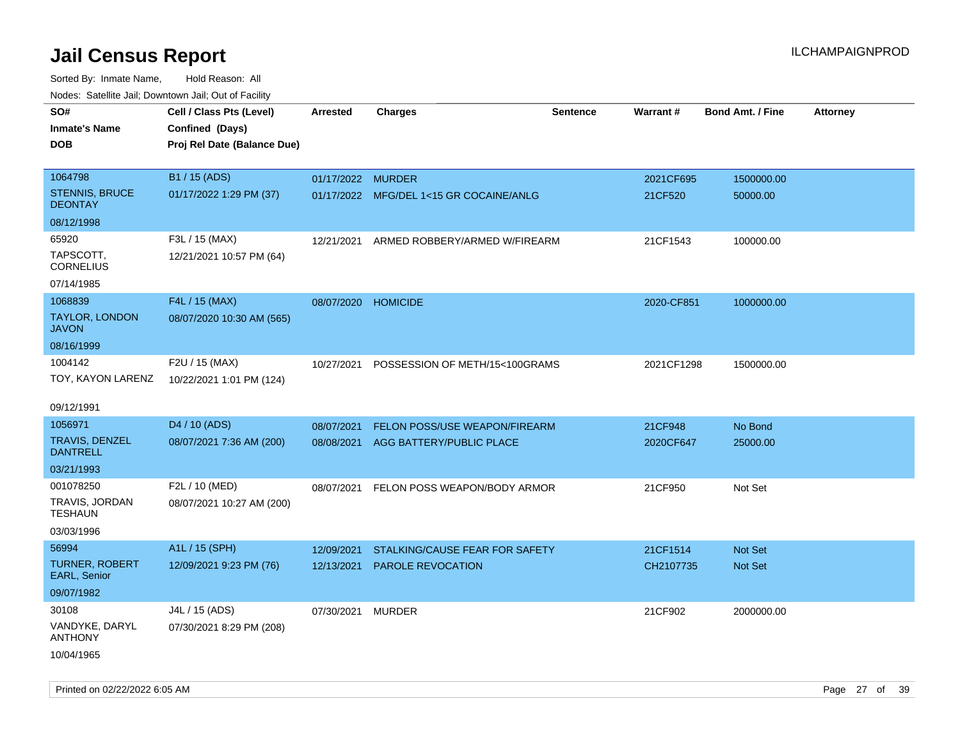| ivouss. Saleline Jali, Downtown Jali, Out of Facility |                             |                     |                                         |                 |                 |                         |                 |
|-------------------------------------------------------|-----------------------------|---------------------|-----------------------------------------|-----------------|-----------------|-------------------------|-----------------|
| SO#                                                   | Cell / Class Pts (Level)    | Arrested            | <b>Charges</b>                          | <b>Sentence</b> | <b>Warrant#</b> | <b>Bond Amt. / Fine</b> | <b>Attorney</b> |
| Inmate's Name                                         | Confined (Days)             |                     |                                         |                 |                 |                         |                 |
| <b>DOB</b>                                            | Proj Rel Date (Balance Due) |                     |                                         |                 |                 |                         |                 |
|                                                       |                             |                     |                                         |                 |                 |                         |                 |
| 1064798                                               | B1 / 15 (ADS)               | 01/17/2022 MURDER   |                                         |                 | 2021CF695       | 1500000.00              |                 |
| STENNIS, BRUCE<br><b>DEONTAY</b>                      | 01/17/2022 1:29 PM (37)     |                     | 01/17/2022 MFG/DEL 1<15 GR COCAINE/ANLG |                 | 21CF520         | 50000.00                |                 |
| 08/12/1998                                            |                             |                     |                                         |                 |                 |                         |                 |
| 65920                                                 | F3L / 15 (MAX)              | 12/21/2021          | ARMED ROBBERY/ARMED W/FIREARM           |                 | 21CF1543        | 100000.00               |                 |
| TAPSCOTT.<br>CORNELIUS                                | 12/21/2021 10:57 PM (64)    |                     |                                         |                 |                 |                         |                 |
| 07/14/1985                                            |                             |                     |                                         |                 |                 |                         |                 |
| 1068839                                               | F4L / 15 (MAX)              | 08/07/2020 HOMICIDE |                                         |                 | 2020-CF851      | 1000000.00              |                 |
| <b>TAYLOR, LONDON</b><br>JAVON                        | 08/07/2020 10:30 AM (565)   |                     |                                         |                 |                 |                         |                 |
| 08/16/1999                                            |                             |                     |                                         |                 |                 |                         |                 |
| 1004142                                               | F2U / 15 (MAX)              | 10/27/2021          | POSSESSION OF METH/15<100GRAMS          |                 | 2021CF1298      | 1500000.00              |                 |
| TOY, KAYON LARENZ                                     | 10/22/2021 1:01 PM (124)    |                     |                                         |                 |                 |                         |                 |
|                                                       |                             |                     |                                         |                 |                 |                         |                 |
| 09/12/1991                                            |                             |                     |                                         |                 |                 |                         |                 |
| 1056971                                               | D <sub>4</sub> / 10 (ADS)   | 08/07/2021          | <b>FELON POSS/USE WEAPON/FIREARM</b>    |                 | 21CF948         | No Bond                 |                 |
| TRAVIS, DENZEL<br><b>DANTRELL</b>                     | 08/07/2021 7:36 AM (200)    |                     | 08/08/2021 AGG BATTERY/PUBLIC PLACE     |                 | 2020CF647       | 25000.00                |                 |
| 03/21/1993                                            |                             |                     |                                         |                 |                 |                         |                 |
| 001078250                                             | F2L / 10 (MED)              | 08/07/2021          | FELON POSS WEAPON/BODY ARMOR            |                 | 21CF950         | Not Set                 |                 |
| TRAVIS, JORDAN<br>TESHAUN                             | 08/07/2021 10:27 AM (200)   |                     |                                         |                 |                 |                         |                 |
| 03/03/1996                                            |                             |                     |                                         |                 |                 |                         |                 |
| 56994                                                 | A1L / 15 (SPH)              | 12/09/2021          | STALKING/CAUSE FEAR FOR SAFETY          |                 | 21CF1514        | <b>Not Set</b>          |                 |
| <b>TURNER, ROBERT</b><br><b>EARL, Senior</b>          | 12/09/2021 9:23 PM (76)     | 12/13/2021          | PAROLE REVOCATION                       |                 | CH2107735       | <b>Not Set</b>          |                 |
| 09/07/1982                                            |                             |                     |                                         |                 |                 |                         |                 |
| 30108                                                 | J4L / 15 (ADS)              | 07/30/2021          | <b>MURDER</b>                           |                 | 21CF902         | 2000000.00              |                 |
| VANDYKE, DARYL<br>ANTHONY                             | 07/30/2021 8:29 PM (208)    |                     |                                         |                 |                 |                         |                 |
| 10/04/1965                                            |                             |                     |                                         |                 |                 |                         |                 |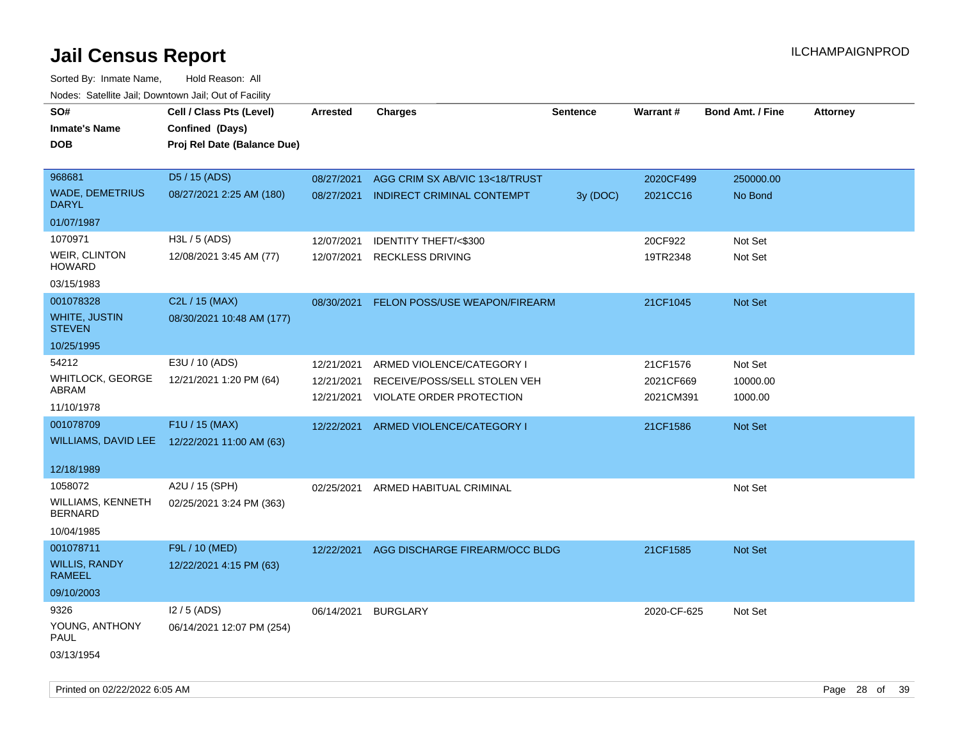| SO#<br><b>Inmate's Name</b><br><b>DOB</b>                        | Cell / Class Pts (Level)<br>Confined (Days)<br>Proj Rel Date (Balance Due) | Arrested                               | <b>Charges</b>                                                                        | <b>Sentence</b> | Warrant#                           | <b>Bond Amt. / Fine</b>        | <b>Attorney</b> |
|------------------------------------------------------------------|----------------------------------------------------------------------------|----------------------------------------|---------------------------------------------------------------------------------------|-----------------|------------------------------------|--------------------------------|-----------------|
| 968681<br><b>WADE, DEMETRIUS</b><br><b>DARYL</b>                 | D5 / 15 (ADS)<br>08/27/2021 2:25 AM (180)                                  | 08/27/2021                             | AGG CRIM SX AB/VIC 13<18/TRUST<br>08/27/2021 INDIRECT CRIMINAL CONTEMPT               | 3y (DOC)        | 2020CF499<br>2021CC16              | 250000.00<br>No Bond           |                 |
| 01/07/1987                                                       |                                                                            |                                        |                                                                                       |                 |                                    |                                |                 |
| 1070971<br>WEIR, CLINTON<br><b>HOWARD</b><br>03/15/1983          | H3L / 5 (ADS)<br>12/08/2021 3:45 AM (77)                                   | 12/07/2021                             | IDENTITY THEFT/<\$300<br>12/07/2021 RECKLESS DRIVING                                  |                 | 20CF922<br>19TR2348                | Not Set<br>Not Set             |                 |
| 001078328<br><b>WHITE, JUSTIN</b><br><b>STEVEN</b>               | C2L / 15 (MAX)<br>08/30/2021 10:48 AM (177)                                | 08/30/2021                             | FELON POSS/USE WEAPON/FIREARM                                                         |                 | 21CF1045                           | Not Set                        |                 |
| 10/25/1995<br>54212<br>WHITLOCK, GEORGE<br>ABRAM<br>11/10/1978   | E3U / 10 (ADS)<br>12/21/2021 1:20 PM (64)                                  | 12/21/2021<br>12/21/2021<br>12/21/2021 | ARMED VIOLENCE/CATEGORY I<br>RECEIVE/POSS/SELL STOLEN VEH<br>VIOLATE ORDER PROTECTION |                 | 21CF1576<br>2021CF669<br>2021CM391 | Not Set<br>10000.00<br>1000.00 |                 |
| 001078709<br>WILLIAMS, DAVID LEE<br>12/18/1989                   | F1U / 15 (MAX)<br>12/22/2021 11:00 AM (63)                                 | 12/22/2021                             | ARMED VIOLENCE/CATEGORY I                                                             |                 | 21CF1586                           | Not Set                        |                 |
| 1058072<br>WILLIAMS, KENNETH<br><b>BERNARD</b><br>10/04/1985     | A2U / 15 (SPH)<br>02/25/2021 3:24 PM (363)                                 |                                        | 02/25/2021 ARMED HABITUAL CRIMINAL                                                    |                 |                                    | Not Set                        |                 |
| 001078711<br><b>WILLIS, RANDY</b><br><b>RAMEEL</b><br>09/10/2003 | F9L / 10 (MED)<br>12/22/2021 4:15 PM (63)                                  | 12/22/2021                             | AGG DISCHARGE FIREARM/OCC BLDG                                                        |                 | 21CF1585                           | Not Set                        |                 |
| 9326<br>YOUNG, ANTHONY<br>PAUL<br>03/13/1954                     | $12/5$ (ADS)<br>06/14/2021 12:07 PM (254)                                  |                                        | 06/14/2021 BURGLARY                                                                   |                 | 2020-CF-625                        | Not Set                        |                 |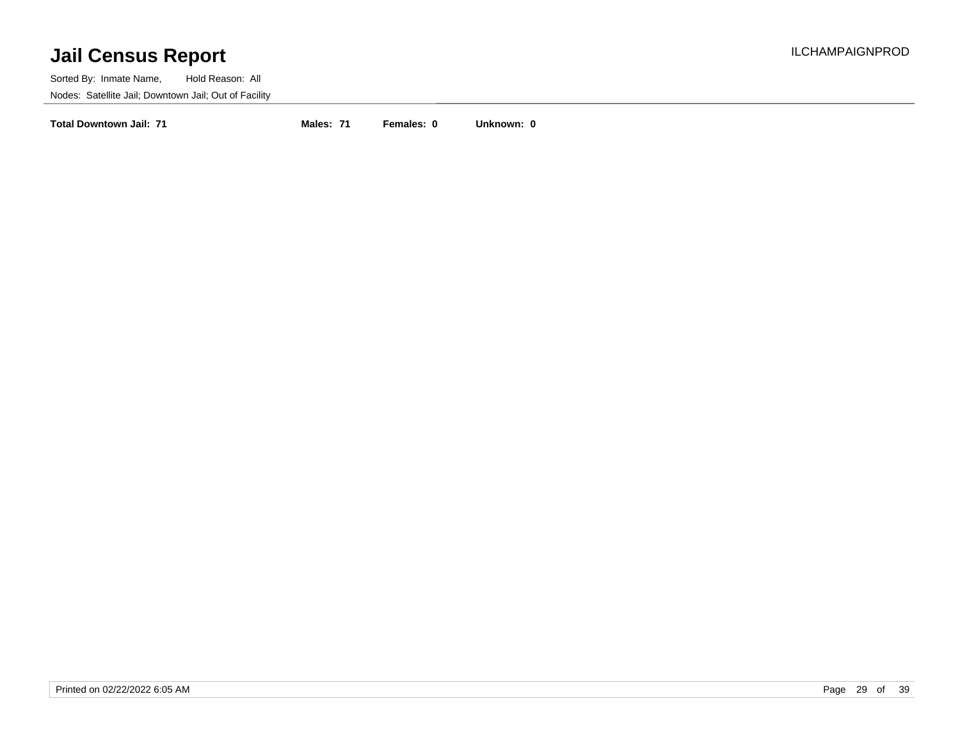Sorted By: Inmate Name, Hold Reason: All Nodes: Satellite Jail; Downtown Jail; Out of Facility

**Total Downtown Jail: 71 Males: 71 Females: 0 Unknown: 0**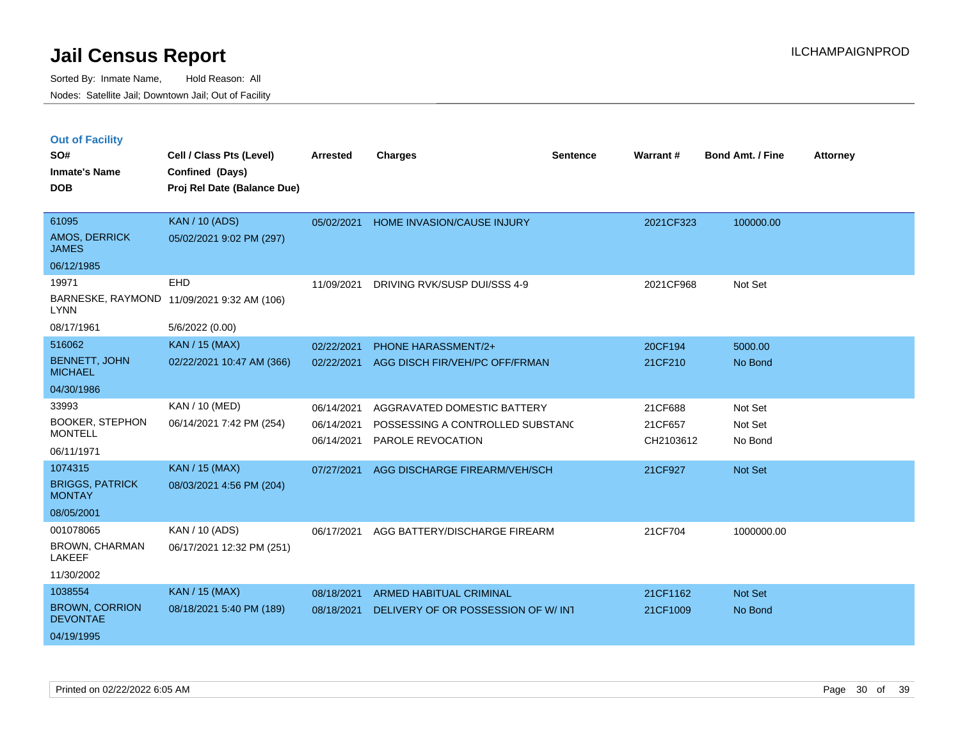|  |  | <b>Out of Facility</b> |  |
|--|--|------------------------|--|
|--|--|------------------------|--|

| SO#<br><b>Inmate's Name</b>              | Cell / Class Pts (Level)<br>Confined (Days) | <b>Arrested</b> | <b>Charges</b>                     | <b>Sentence</b> | Warrant#  | <b>Bond Amt. / Fine</b> | Attorney |
|------------------------------------------|---------------------------------------------|-----------------|------------------------------------|-----------------|-----------|-------------------------|----------|
| <b>DOB</b>                               | Proj Rel Date (Balance Due)                 |                 |                                    |                 |           |                         |          |
| 61095                                    | <b>KAN / 10 (ADS)</b>                       | 05/02/2021      |                                    |                 |           |                         |          |
| <b>AMOS, DERRICK</b><br><b>JAMES</b>     | 05/02/2021 9:02 PM (297)                    |                 | HOME INVASION/CAUSE INJURY         |                 | 2021CF323 | 100000.00               |          |
| 06/12/1985                               |                                             |                 |                                    |                 |           |                         |          |
| 19971                                    | <b>EHD</b>                                  | 11/09/2021      | DRIVING RVK/SUSP DUI/SSS 4-9       |                 | 2021CF968 | Not Set                 |          |
| <b>LYNN</b>                              | BARNESKE, RAYMOND 11/09/2021 9:32 AM (106)  |                 |                                    |                 |           |                         |          |
| 08/17/1961                               | 5/6/2022 (0.00)                             |                 |                                    |                 |           |                         |          |
| 516062                                   | <b>KAN / 15 (MAX)</b>                       | 02/22/2021      | <b>PHONE HARASSMENT/2+</b>         |                 | 20CF194   | 5000.00                 |          |
| <b>BENNETT, JOHN</b><br><b>MICHAEL</b>   | 02/22/2021 10:47 AM (366)                   | 02/22/2021      | AGG DISCH FIR/VEH/PC OFF/FRMAN     |                 | 21CF210   | No Bond                 |          |
| 04/30/1986                               |                                             |                 |                                    |                 |           |                         |          |
| 33993                                    | KAN / 10 (MED)                              | 06/14/2021      | AGGRAVATED DOMESTIC BATTERY        |                 | 21CF688   | Not Set                 |          |
| <b>BOOKER, STEPHON</b><br><b>MONTELL</b> | 06/14/2021 7:42 PM (254)                    | 06/14/2021      | POSSESSING A CONTROLLED SUBSTAND   |                 | 21CF657   | Not Set                 |          |
| 06/11/1971                               |                                             | 06/14/2021      | PAROLE REVOCATION                  |                 | CH2103612 | No Bond                 |          |
| 1074315                                  | <b>KAN / 15 (MAX)</b>                       | 07/27/2021      | AGG DISCHARGE FIREARM/VEH/SCH      |                 | 21CF927   | Not Set                 |          |
| <b>BRIGGS, PATRICK</b><br><b>MONTAY</b>  | 08/03/2021 4:56 PM (204)                    |                 |                                    |                 |           |                         |          |
| 08/05/2001                               |                                             |                 |                                    |                 |           |                         |          |
| 001078065                                | KAN / 10 (ADS)                              | 06/17/2021      | AGG BATTERY/DISCHARGE FIREARM      |                 | 21CF704   | 1000000.00              |          |
| <b>BROWN, CHARMAN</b><br><b>LAKEEF</b>   | 06/17/2021 12:32 PM (251)                   |                 |                                    |                 |           |                         |          |
| 11/30/2002                               |                                             |                 |                                    |                 |           |                         |          |
| 1038554                                  | <b>KAN / 15 (MAX)</b>                       | 08/18/2021      | <b>ARMED HABITUAL CRIMINAL</b>     |                 | 21CF1162  | Not Set                 |          |
| <b>BROWN, CORRION</b><br><b>DEVONTAE</b> | 08/18/2021 5:40 PM (189)                    | 08/18/2021      | DELIVERY OF OR POSSESSION OF W/INT |                 | 21CF1009  | No Bond                 |          |
| 04/19/1995                               |                                             |                 |                                    |                 |           |                         |          |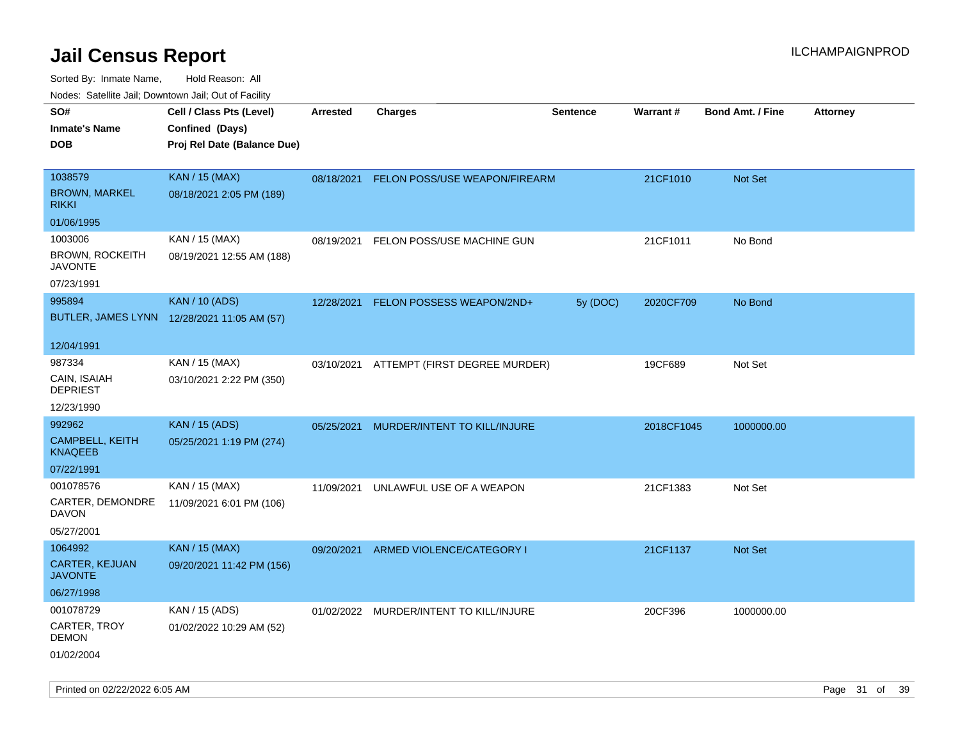Sorted By: Inmate Name, Hold Reason: All Nodes: Satellite Jail; Downtown Jail; Out of Facility

| Nudes. Satellite Jali, Downtown Jali, Out of Facility |                                             |            |                                          |                 |            |                         |                 |
|-------------------------------------------------------|---------------------------------------------|------------|------------------------------------------|-----------------|------------|-------------------------|-----------------|
| SO#                                                   | Cell / Class Pts (Level)                    | Arrested   | <b>Charges</b>                           | <b>Sentence</b> | Warrant#   | <b>Bond Amt. / Fine</b> | <b>Attorney</b> |
| <b>Inmate's Name</b>                                  | Confined (Days)                             |            |                                          |                 |            |                         |                 |
| DOB                                                   | Proj Rel Date (Balance Due)                 |            |                                          |                 |            |                         |                 |
|                                                       |                                             |            |                                          |                 |            |                         |                 |
| 1038579                                               | <b>KAN / 15 (MAX)</b>                       | 08/18/2021 | FELON POSS/USE WEAPON/FIREARM            |                 | 21CF1010   | Not Set                 |                 |
| <b>BROWN, MARKEL</b><br>rikki                         | 08/18/2021 2:05 PM (189)                    |            |                                          |                 |            |                         |                 |
| 01/06/1995                                            |                                             |            |                                          |                 |            |                         |                 |
| 1003006                                               | KAN / 15 (MAX)                              | 08/19/2021 | FELON POSS/USE MACHINE GUN               |                 | 21CF1011   | No Bond                 |                 |
| <b>BROWN, ROCKEITH</b><br>JAVONTE                     | 08/19/2021 12:55 AM (188)                   |            |                                          |                 |            |                         |                 |
| 07/23/1991                                            |                                             |            |                                          |                 |            |                         |                 |
| 995894                                                | <b>KAN / 10 (ADS)</b>                       | 12/28/2021 | FELON POSSESS WEAPON/2ND+                | 5y (DOC)        | 2020CF709  | No Bond                 |                 |
|                                                       | BUTLER, JAMES LYNN 12/28/2021 11:05 AM (57) |            |                                          |                 |            |                         |                 |
| 12/04/1991                                            |                                             |            |                                          |                 |            |                         |                 |
| 987334                                                | KAN / 15 (MAX)                              |            | 03/10/2021 ATTEMPT (FIRST DEGREE MURDER) |                 | 19CF689    | Not Set                 |                 |
| CAIN, ISAIAH<br>DEPRIEST                              | 03/10/2021 2:22 PM (350)                    |            |                                          |                 |            |                         |                 |
| 12/23/1990                                            |                                             |            |                                          |                 |            |                         |                 |
| 992962                                                | <b>KAN</b> / 15 (ADS)                       | 05/25/2021 | MURDER/INTENT TO KILL/INJURE             |                 | 2018CF1045 | 1000000.00              |                 |
| <b>CAMPBELL, KEITH</b><br>KNAQEEB                     | 05/25/2021 1:19 PM (274)                    |            |                                          |                 |            |                         |                 |
| 07/22/1991                                            |                                             |            |                                          |                 |            |                         |                 |
| 001078576                                             | KAN / 15 (MAX)                              | 11/09/2021 | UNLAWFUL USE OF A WEAPON                 |                 | 21CF1383   | Not Set                 |                 |
| CARTER, DEMONDRE<br>DAVON                             | 11/09/2021 6:01 PM (106)                    |            |                                          |                 |            |                         |                 |
| 05/27/2001                                            |                                             |            |                                          |                 |            |                         |                 |
| 1064992                                               | <b>KAN / 15 (MAX)</b>                       | 09/20/2021 | ARMED VIOLENCE/CATEGORY I                |                 | 21CF1137   | Not Set                 |                 |
| CARTER, KEJUAN<br>JAVONTE                             | 09/20/2021 11:42 PM (156)                   |            |                                          |                 |            |                         |                 |
| 06/27/1998                                            |                                             |            |                                          |                 |            |                         |                 |
| 001078729                                             | KAN / 15 (ADS)                              |            | 01/02/2022 MURDER/INTENT TO KILL/INJURE  |                 | 20CF396    | 1000000.00              |                 |
| CARTER, TROY<br>DEMON                                 | 01/02/2022 10:29 AM (52)                    |            |                                          |                 |            |                         |                 |
| 01/02/2004                                            |                                             |            |                                          |                 |            |                         |                 |

Printed on 02/22/2022 6:05 AM **Page 31** of 39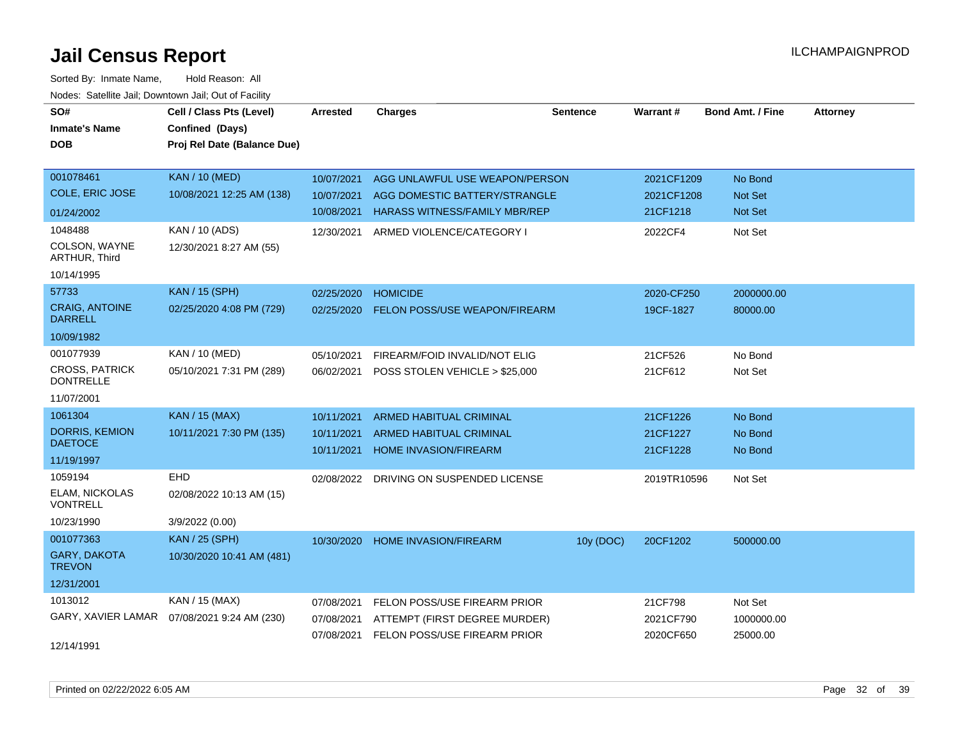| SO#<br><b>Inmate's Name</b><br><b>DOB</b> | Cell / Class Pts (Level)<br>Confined (Days)<br>Proj Rel Date (Balance Due) | <b>Arrested</b> | <b>Charges</b>                          | <b>Sentence</b> | Warrant#    | <b>Bond Amt. / Fine</b> | <b>Attorney</b> |
|-------------------------------------------|----------------------------------------------------------------------------|-----------------|-----------------------------------------|-----------------|-------------|-------------------------|-----------------|
| 001078461                                 | <b>KAN / 10 (MED)</b>                                                      | 10/07/2021      | AGG UNLAWFUL USE WEAPON/PERSON          |                 | 2021CF1209  | No Bond                 |                 |
| <b>COLE, ERIC JOSE</b>                    | 10/08/2021 12:25 AM (138)                                                  | 10/07/2021      | AGG DOMESTIC BATTERY/STRANGLE           |                 | 2021CF1208  | <b>Not Set</b>          |                 |
| 01/24/2002                                |                                                                            | 10/08/2021      | <b>HARASS WITNESS/FAMILY MBR/REP</b>    |                 | 21CF1218    | Not Set                 |                 |
| 1048488                                   | KAN / 10 (ADS)                                                             | 12/30/2021      | ARMED VIOLENCE/CATEGORY I               |                 | 2022CF4     | Not Set                 |                 |
| COLSON, WAYNE<br>ARTHUR, Third            | 12/30/2021 8:27 AM (55)                                                    |                 |                                         |                 |             |                         |                 |
| 10/14/1995                                |                                                                            |                 |                                         |                 |             |                         |                 |
| 57733                                     | <b>KAN / 15 (SPH)</b>                                                      | 02/25/2020      | <b>HOMICIDE</b>                         |                 | 2020-CF250  | 2000000.00              |                 |
| <b>CRAIG, ANTOINE</b><br><b>DARRELL</b>   | 02/25/2020 4:08 PM (729)                                                   | 02/25/2020      | <b>FELON POSS/USE WEAPON/FIREARM</b>    |                 | 19CF-1827   | 80000.00                |                 |
| 10/09/1982                                |                                                                            |                 |                                         |                 |             |                         |                 |
| 001077939                                 | <b>KAN / 10 (MED)</b>                                                      | 05/10/2021      | FIREARM/FOID INVALID/NOT ELIG           |                 | 21CF526     | No Bond                 |                 |
| <b>CROSS, PATRICK</b><br><b>DONTRELLE</b> | 05/10/2021 7:31 PM (289)                                                   | 06/02/2021      | POSS STOLEN VEHICLE > \$25,000          |                 | 21CF612     | Not Set                 |                 |
| 11/07/2001                                |                                                                            |                 |                                         |                 |             |                         |                 |
| 1061304                                   | <b>KAN / 15 (MAX)</b>                                                      | 10/11/2021      | ARMED HABITUAL CRIMINAL                 |                 | 21CF1226    | No Bond                 |                 |
| <b>DORRIS, KEMION</b>                     | 10/11/2021 7:30 PM (135)                                                   | 10/11/2021      | <b>ARMED HABITUAL CRIMINAL</b>          |                 | 21CF1227    | No Bond                 |                 |
| <b>DAETOCE</b>                            |                                                                            | 10/11/2021      | <b>HOME INVASION/FIREARM</b>            |                 | 21CF1228    | No Bond                 |                 |
| 11/19/1997<br>1059194                     | EHD                                                                        |                 |                                         |                 |             |                         |                 |
| <b>ELAM, NICKOLAS</b>                     |                                                                            |                 | 02/08/2022 DRIVING ON SUSPENDED LICENSE |                 | 2019TR10596 | Not Set                 |                 |
| <b>VONTRELL</b>                           | 02/08/2022 10:13 AM (15)                                                   |                 |                                         |                 |             |                         |                 |
| 10/23/1990                                | 3/9/2022 (0.00)                                                            |                 |                                         |                 |             |                         |                 |
| 001077363                                 | <b>KAN / 25 (SPH)</b>                                                      | 10/30/2020      | <b>HOME INVASION/FIREARM</b>            | 10y (DOC)       | 20CF1202    | 500000.00               |                 |
| GARY, DAKOTA<br><b>TREVON</b>             | 10/30/2020 10:41 AM (481)                                                  |                 |                                         |                 |             |                         |                 |
| 12/31/2001                                |                                                                            |                 |                                         |                 |             |                         |                 |
| 1013012                                   | KAN / 15 (MAX)                                                             | 07/08/2021      | FELON POSS/USE FIREARM PRIOR            |                 | 21CF798     | Not Set                 |                 |
| GARY, XAVIER LAMAR                        | 07/08/2021 9:24 AM (230)                                                   | 07/08/2021      | ATTEMPT (FIRST DEGREE MURDER)           |                 | 2021CF790   | 1000000.00              |                 |
| 12/14/1991                                |                                                                            |                 | 07/08/2021 FELON POSS/USE FIREARM PRIOR |                 | 2020CF650   | 25000.00                |                 |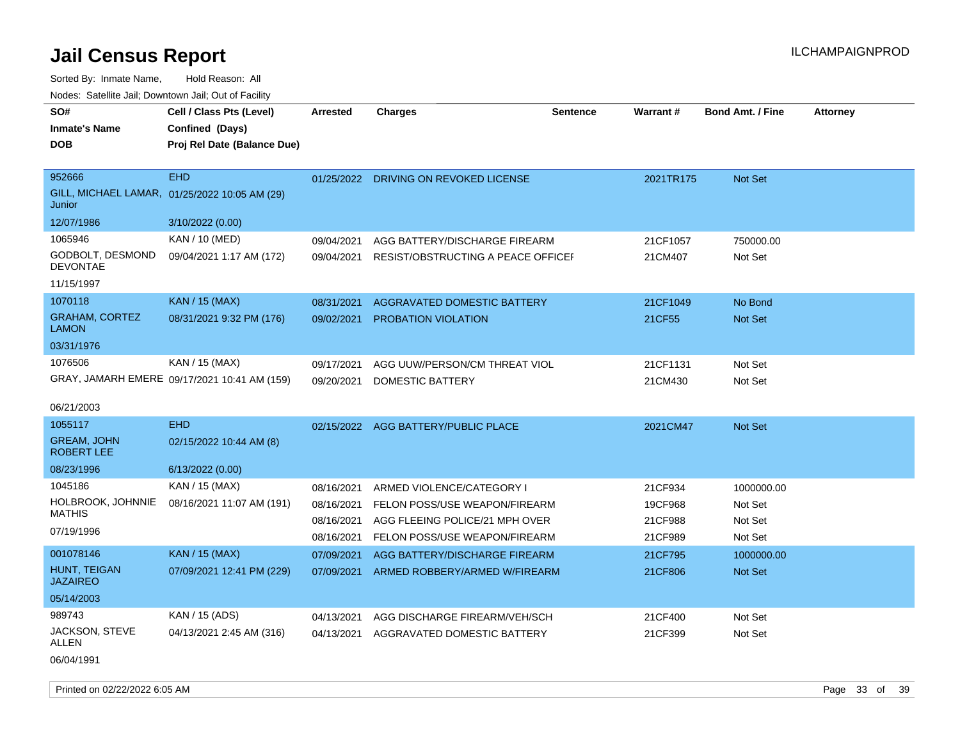| SO#<br><b>Inmate's Name</b><br><b>DOB</b> | Cell / Class Pts (Level)<br>Confined (Days)<br>Proj Rel Date (Balance Due) | <b>Arrested</b> | <b>Charges</b>                        | <b>Sentence</b> | <b>Warrant#</b> | <b>Bond Amt. / Fine</b> | <b>Attorney</b> |
|-------------------------------------------|----------------------------------------------------------------------------|-----------------|---------------------------------------|-----------------|-----------------|-------------------------|-----------------|
| 952666                                    | <b>EHD</b>                                                                 |                 | 01/25/2022 DRIVING ON REVOKED LICENSE |                 | 2021TR175       | Not Set                 |                 |
| Junior                                    | GILL, MICHAEL LAMAR, 01/25/2022 10:05 AM (29)                              |                 |                                       |                 |                 |                         |                 |
| 12/07/1986                                | 3/10/2022 (0.00)                                                           |                 |                                       |                 |                 |                         |                 |
| 1065946                                   | KAN / 10 (MED)                                                             | 09/04/2021      | AGG BATTERY/DISCHARGE FIREARM         |                 | 21CF1057        | 750000.00               |                 |
| GODBOLT, DESMOND<br><b>DEVONTAE</b>       | 09/04/2021 1:17 AM (172)                                                   | 09/04/2021      | RESIST/OBSTRUCTING A PEACE OFFICEF    |                 | 21CM407         | Not Set                 |                 |
| 11/15/1997                                |                                                                            |                 |                                       |                 |                 |                         |                 |
| 1070118                                   | KAN / 15 (MAX)                                                             | 08/31/2021      | AGGRAVATED DOMESTIC BATTERY           |                 | 21CF1049        | No Bond                 |                 |
| <b>GRAHAM, CORTEZ</b><br><b>LAMON</b>     | 08/31/2021 9:32 PM (176)                                                   | 09/02/2021      | PROBATION VIOLATION                   |                 | 21CF55          | Not Set                 |                 |
| 03/31/1976                                |                                                                            |                 |                                       |                 |                 |                         |                 |
| 1076506                                   | KAN / 15 (MAX)                                                             | 09/17/2021      | AGG UUW/PERSON/CM THREAT VIOL         |                 | 21CF1131        | Not Set                 |                 |
|                                           | GRAY, JAMARH EMERE 09/17/2021 10:41 AM (159)                               | 09/20/2021      | <b>DOMESTIC BATTERY</b>               |                 | 21CM430         | Not Set                 |                 |
| 06/21/2003                                |                                                                            |                 |                                       |                 |                 |                         |                 |
| 1055117                                   | <b>EHD</b>                                                                 |                 | 02/15/2022 AGG BATTERY/PUBLIC PLACE   |                 | 2021CM47        | Not Set                 |                 |
| <b>GREAM, JOHN</b><br><b>ROBERT LEE</b>   | 02/15/2022 10:44 AM (8)                                                    |                 |                                       |                 |                 |                         |                 |
| 08/23/1996                                | 6/13/2022 (0.00)                                                           |                 |                                       |                 |                 |                         |                 |
| 1045186                                   | KAN / 15 (MAX)                                                             | 08/16/2021      | ARMED VIOLENCE/CATEGORY I             |                 | 21CF934         | 1000000.00              |                 |
| HOLBROOK, JOHNNIE                         | 08/16/2021 11:07 AM (191)                                                  | 08/16/2021      | FELON POSS/USE WEAPON/FIREARM         |                 | 19CF968         | Not Set                 |                 |
| <b>MATHIS</b>                             |                                                                            | 08/16/2021      | AGG FLEEING POLICE/21 MPH OVER        |                 | 21CF988         | Not Set                 |                 |
| 07/19/1996                                |                                                                            | 08/16/2021      | FELON POSS/USE WEAPON/FIREARM         |                 | 21CF989         | Not Set                 |                 |
| 001078146                                 | <b>KAN / 15 (MAX)</b>                                                      | 07/09/2021      | AGG BATTERY/DISCHARGE FIREARM         |                 | 21CF795         | 1000000.00              |                 |
| HUNT, TEIGAN<br><b>JAZAIREO</b>           | 07/09/2021 12:41 PM (229)                                                  | 07/09/2021      | ARMED ROBBERY/ARMED W/FIREARM         |                 | 21CF806         | <b>Not Set</b>          |                 |
| 05/14/2003                                |                                                                            |                 |                                       |                 |                 |                         |                 |
| 989743                                    | KAN / 15 (ADS)                                                             | 04/13/2021      | AGG DISCHARGE FIREARM/VEH/SCH         |                 | 21CF400         | Not Set                 |                 |
| JACKSON, STEVE<br>ALLEN                   | 04/13/2021 2:45 AM (316)                                                   | 04/13/2021      | AGGRAVATED DOMESTIC BATTERY           |                 | 21CF399         | Not Set                 |                 |
| 06/04/1991                                |                                                                            |                 |                                       |                 |                 |                         |                 |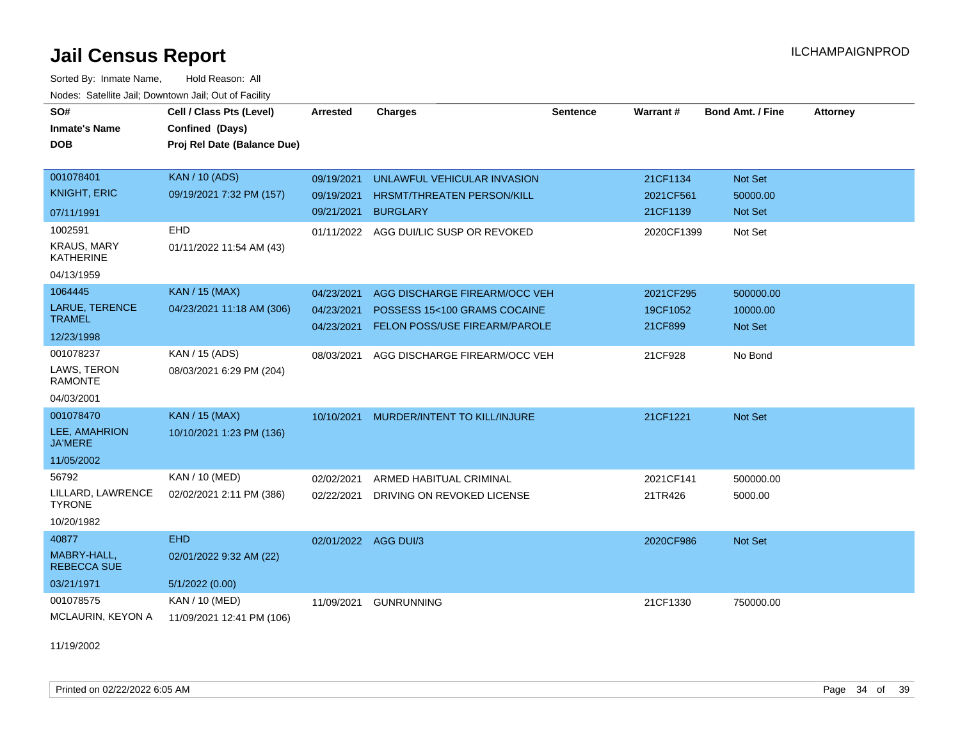Sorted By: Inmate Name, Hold Reason: All Nodes: Satellite Jail; Downtown Jail; Out of Facility

| SO#                                    | Cell / Class Pts (Level)    | <b>Arrested</b> | <b>Charges</b>                         | <b>Sentence</b> | Warrant#   | <b>Bond Amt. / Fine</b> | <b>Attorney</b> |
|----------------------------------------|-----------------------------|-----------------|----------------------------------------|-----------------|------------|-------------------------|-----------------|
| <b>Inmate's Name</b>                   | Confined (Days)             |                 |                                        |                 |            |                         |                 |
| <b>DOB</b>                             | Proj Rel Date (Balance Due) |                 |                                        |                 |            |                         |                 |
|                                        |                             |                 |                                        |                 |            |                         |                 |
| 001078401                              | <b>KAN / 10 (ADS)</b>       | 09/19/2021      | UNLAWFUL VEHICULAR INVASION            |                 | 21CF1134   | Not Set                 |                 |
| <b>KNIGHT, ERIC</b>                    | 09/19/2021 7:32 PM (157)    | 09/19/2021      | <b>HRSMT/THREATEN PERSON/KILL</b>      |                 | 2021CF561  | 50000.00                |                 |
| 07/11/1991                             |                             | 09/21/2021      | <b>BURGLARY</b>                        |                 | 21CF1139   | <b>Not Set</b>          |                 |
| 1002591                                | EHD                         |                 | 01/11/2022 AGG DUI/LIC SUSP OR REVOKED |                 | 2020CF1399 | Not Set                 |                 |
| <b>KRAUS, MARY</b><br><b>KATHERINE</b> | 01/11/2022 11:54 AM (43)    |                 |                                        |                 |            |                         |                 |
| 04/13/1959                             |                             |                 |                                        |                 |            |                         |                 |
| 1064445                                | <b>KAN / 15 (MAX)</b>       | 04/23/2021      | AGG DISCHARGE FIREARM/OCC VEH          |                 | 2021CF295  | 500000.00               |                 |
| <b>LARUE, TERENCE</b><br><b>TRAMEL</b> | 04/23/2021 11:18 AM (306)   | 04/23/2021      | POSSESS 15<100 GRAMS COCAINE           |                 | 19CF1052   | 10000.00                |                 |
| 12/23/1998                             |                             | 04/23/2021      | FELON POSS/USE FIREARM/PAROLE          |                 | 21CF899    | <b>Not Set</b>          |                 |
| 001078237                              | KAN / 15 (ADS)              |                 |                                        |                 |            |                         |                 |
| LAWS, TERON                            | 08/03/2021 6:29 PM (204)    | 08/03/2021      | AGG DISCHARGE FIREARM/OCC VEH          |                 | 21CF928    | No Bond                 |                 |
| <b>RAMONTE</b>                         |                             |                 |                                        |                 |            |                         |                 |
| 04/03/2001                             |                             |                 |                                        |                 |            |                         |                 |
| 001078470                              | <b>KAN / 15 (MAX)</b>       | 10/10/2021      | MURDER/INTENT TO KILL/INJURE           |                 | 21CF1221   | Not Set                 |                 |
| LEE, AMAHRION<br><b>JA'MERE</b>        | 10/10/2021 1:23 PM (136)    |                 |                                        |                 |            |                         |                 |
| 11/05/2002                             |                             |                 |                                        |                 |            |                         |                 |
| 56792                                  | KAN / 10 (MED)              | 02/02/2021      | ARMED HABITUAL CRIMINAL                |                 | 2021CF141  | 500000.00               |                 |
| LILLARD, LAWRENCE<br><b>TYRONE</b>     | 02/02/2021 2:11 PM (386)    | 02/22/2021      | DRIVING ON REVOKED LICENSE             |                 | 21TR426    | 5000.00                 |                 |
| 10/20/1982                             |                             |                 |                                        |                 |            |                         |                 |
| 40877                                  | <b>EHD</b>                  |                 | 02/01/2022 AGG DUI/3                   |                 | 2020CF986  | Not Set                 |                 |
| MABRY-HALL,<br><b>REBECCA SUE</b>      | 02/01/2022 9:32 AM (22)     |                 |                                        |                 |            |                         |                 |
| 03/21/1971                             | 5/1/2022(0.00)              |                 |                                        |                 |            |                         |                 |
| 001078575                              | KAN / 10 (MED)              | 11/09/2021      | <b>GUNRUNNING</b>                      |                 | 21CF1330   | 750000.00               |                 |
| <b>MCLAURIN, KEYON A</b>               | 11/09/2021 12:41 PM (106)   |                 |                                        |                 |            |                         |                 |

11/19/2002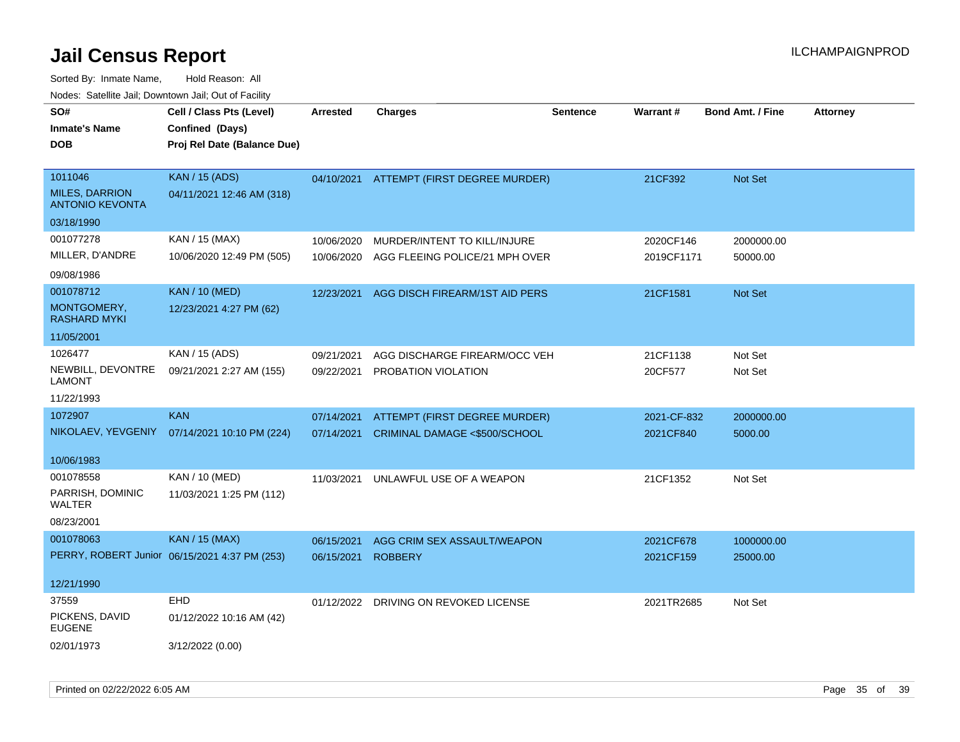| SO#<br><b>Inmate's Name</b><br><b>DOB</b> | Cell / Class Pts (Level)<br>Confined (Days)<br>Proj Rel Date (Balance Due) | <b>Arrested</b> | <b>Charges</b>                 | <b>Sentence</b> | Warrant#    | <b>Bond Amt. / Fine</b> | <b>Attorney</b> |
|-------------------------------------------|----------------------------------------------------------------------------|-----------------|--------------------------------|-----------------|-------------|-------------------------|-----------------|
| 1011046<br><b>MILES, DARRION</b>          | <b>KAN / 15 (ADS)</b><br>04/11/2021 12:46 AM (318)                         | 04/10/2021      | ATTEMPT (FIRST DEGREE MURDER)  |                 | 21CF392     | Not Set                 |                 |
| <b>ANTONIO KEVONTA</b><br>03/18/1990      |                                                                            |                 |                                |                 |             |                         |                 |
| 001077278                                 | KAN / 15 (MAX)                                                             | 10/06/2020      | MURDER/INTENT TO KILL/INJURE   |                 | 2020CF146   | 2000000.00              |                 |
| MILLER, D'ANDRE                           | 10/06/2020 12:49 PM (505)                                                  | 10/06/2020      | AGG FLEEING POLICE/21 MPH OVER |                 | 2019CF1171  | 50000.00                |                 |
| 09/08/1986                                |                                                                            |                 |                                |                 |             |                         |                 |
| 001078712                                 | <b>KAN / 10 (MED)</b>                                                      | 12/23/2021      | AGG DISCH FIREARM/1ST AID PERS |                 | 21CF1581    | Not Set                 |                 |
| MONTGOMERY,<br><b>RASHARD MYKI</b>        | 12/23/2021 4:27 PM (62)                                                    |                 |                                |                 |             |                         |                 |
| 11/05/2001                                |                                                                            |                 |                                |                 |             |                         |                 |
| 1026477                                   | KAN / 15 (ADS)                                                             | 09/21/2021      | AGG DISCHARGE FIREARM/OCC VEH  |                 | 21CF1138    | Not Set                 |                 |
| NEWBILL, DEVONTRE<br><b>LAMONT</b>        | 09/21/2021 2:27 AM (155)                                                   | 09/22/2021      | PROBATION VIOLATION            |                 | 20CF577     | Not Set                 |                 |
| 11/22/1993                                |                                                                            |                 |                                |                 |             |                         |                 |
| 1072907                                   | <b>KAN</b>                                                                 | 07/14/2021      | ATTEMPT (FIRST DEGREE MURDER)  |                 | 2021-CF-832 | 2000000.00              |                 |
| NIKOLAEV, YEVGENIY                        | 07/14/2021 10:10 PM (224)                                                  | 07/14/2021      | CRIMINAL DAMAGE <\$500/SCHOOL  |                 | 2021CF840   | 5000.00                 |                 |
| 10/06/1983                                |                                                                            |                 |                                |                 |             |                         |                 |
| 001078558                                 | KAN / 10 (MED)                                                             | 11/03/2021      | UNLAWFUL USE OF A WEAPON       |                 | 21CF1352    | Not Set                 |                 |
| PARRISH, DOMINIC<br>WALTER                | 11/03/2021 1:25 PM (112)                                                   |                 |                                |                 |             |                         |                 |
| 08/23/2001                                |                                                                            |                 |                                |                 |             |                         |                 |
| 001078063                                 | <b>KAN / 15 (MAX)</b>                                                      | 06/15/2021      | AGG CRIM SEX ASSAULT/WEAPON    |                 | 2021CF678   | 1000000.00              |                 |
|                                           | PERRY, ROBERT Junior 06/15/2021 4:37 PM (253)                              | 06/15/2021      | <b>ROBBERY</b>                 |                 | 2021CF159   | 25000.00                |                 |
| 12/21/1990                                |                                                                            |                 |                                |                 |             |                         |                 |
| 37559                                     | <b>EHD</b>                                                                 | 01/12/2022      | DRIVING ON REVOKED LICENSE     |                 | 2021TR2685  | Not Set                 |                 |
| PICKENS, DAVID<br><b>EUGENE</b>           | 01/12/2022 10:16 AM (42)                                                   |                 |                                |                 |             |                         |                 |
| 02/01/1973                                | 3/12/2022 (0.00)                                                           |                 |                                |                 |             |                         |                 |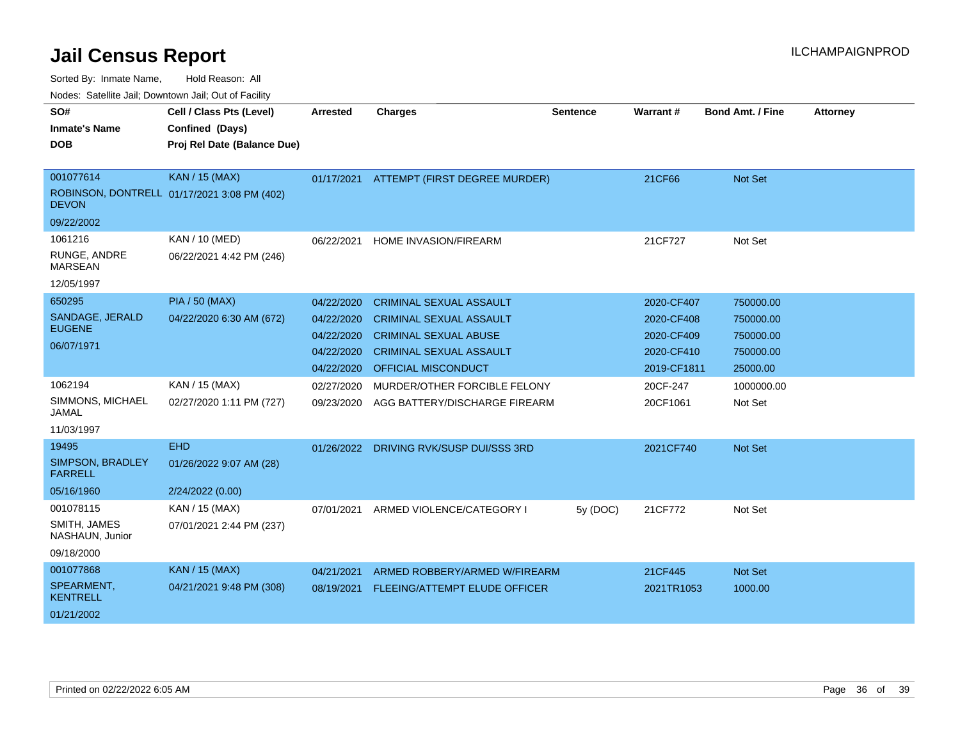| Noucs. Catchitic sail, Downtown sail, Out of Facility |                                             |                 |                                          |                 |                 |                         |                 |
|-------------------------------------------------------|---------------------------------------------|-----------------|------------------------------------------|-----------------|-----------------|-------------------------|-----------------|
| SO#                                                   | Cell / Class Pts (Level)                    | <b>Arrested</b> | <b>Charges</b>                           | <b>Sentence</b> | <b>Warrant#</b> | <b>Bond Amt. / Fine</b> | <b>Attorney</b> |
| <b>Inmate's Name</b>                                  | Confined (Days)                             |                 |                                          |                 |                 |                         |                 |
| <b>DOB</b>                                            | Proj Rel Date (Balance Due)                 |                 |                                          |                 |                 |                         |                 |
|                                                       |                                             |                 |                                          |                 |                 |                         |                 |
| 001077614                                             | <b>KAN / 15 (MAX)</b>                       |                 | 01/17/2021 ATTEMPT (FIRST DEGREE MURDER) |                 | 21CF66          | Not Set                 |                 |
| <b>DEVON</b>                                          | ROBINSON, DONTRELL 01/17/2021 3:08 PM (402) |                 |                                          |                 |                 |                         |                 |
| 09/22/2002                                            |                                             |                 |                                          |                 |                 |                         |                 |
| 1061216                                               | KAN / 10 (MED)                              | 06/22/2021      | <b>HOME INVASION/FIREARM</b>             |                 | 21CF727         | Not Set                 |                 |
| RUNGE, ANDRE<br><b>MARSEAN</b>                        | 06/22/2021 4:42 PM (246)                    |                 |                                          |                 |                 |                         |                 |
| 12/05/1997                                            |                                             |                 |                                          |                 |                 |                         |                 |
| 650295                                                | <b>PIA / 50 (MAX)</b>                       | 04/22/2020      | <b>CRIMINAL SEXUAL ASSAULT</b>           |                 | 2020-CF407      | 750000.00               |                 |
| SANDAGE, JERALD                                       | 04/22/2020 6:30 AM (672)                    | 04/22/2020      | <b>CRIMINAL SEXUAL ASSAULT</b>           |                 | 2020-CF408      | 750000.00               |                 |
| <b>EUGENE</b>                                         |                                             | 04/22/2020      | <b>CRIMINAL SEXUAL ABUSE</b>             |                 | 2020-CF409      | 750000.00               |                 |
| 06/07/1971                                            |                                             | 04/22/2020      | <b>CRIMINAL SEXUAL ASSAULT</b>           |                 | 2020-CF410      | 750000.00               |                 |
|                                                       |                                             | 04/22/2020      | <b>OFFICIAL MISCONDUCT</b>               |                 | 2019-CF1811     | 25000.00                |                 |
| 1062194                                               | KAN / 15 (MAX)                              | 02/27/2020      | MURDER/OTHER FORCIBLE FELONY             |                 | 20CF-247        | 1000000.00              |                 |
| SIMMONS, MICHAEL<br><b>JAMAL</b>                      | 02/27/2020 1:11 PM (727)                    | 09/23/2020      | AGG BATTERY/DISCHARGE FIREARM            |                 | 20CF1061        | Not Set                 |                 |
| 11/03/1997                                            |                                             |                 |                                          |                 |                 |                         |                 |
| 19495                                                 | <b>EHD</b>                                  | 01/26/2022      | DRIVING RVK/SUSP DUI/SSS 3RD             |                 | 2021CF740       | Not Set                 |                 |
| <b>SIMPSON, BRADLEY</b><br><b>FARRELL</b>             | 01/26/2022 9:07 AM (28)                     |                 |                                          |                 |                 |                         |                 |
| 05/16/1960                                            | 2/24/2022 (0.00)                            |                 |                                          |                 |                 |                         |                 |
| 001078115                                             | KAN / 15 (MAX)                              | 07/01/2021      | ARMED VIOLENCE/CATEGORY I                | 5y (DOC)        | 21CF772         | Not Set                 |                 |
| SMITH, JAMES<br>NASHAUN, Junior                       | 07/01/2021 2:44 PM (237)                    |                 |                                          |                 |                 |                         |                 |
| 09/18/2000                                            |                                             |                 |                                          |                 |                 |                         |                 |
| 001077868                                             | <b>KAN / 15 (MAX)</b>                       | 04/21/2021      | ARMED ROBBERY/ARMED W/FIREARM            |                 | 21CF445         | Not Set                 |                 |
| SPEARMENT,<br><b>KENTRELL</b>                         | 04/21/2021 9:48 PM (308)                    | 08/19/2021      | FLEEING/ATTEMPT ELUDE OFFICER            |                 | 2021TR1053      | 1000.00                 |                 |
| 01/21/2002                                            |                                             |                 |                                          |                 |                 |                         |                 |
|                                                       |                                             |                 |                                          |                 |                 |                         |                 |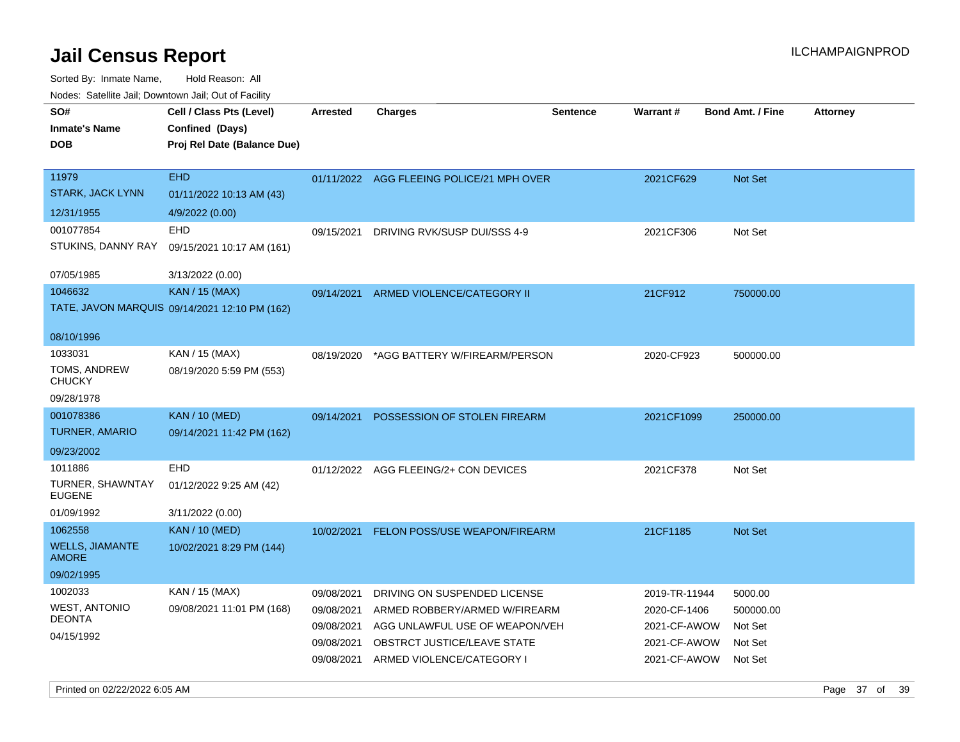| SO#<br><b>Inmate's Name</b><br><b>DOB</b>                         | Cell / Class Pts (Level)<br>Confined (Days)<br>Proj Rel Date (Balance Due)     | Arrested                                                           | <b>Charges</b>                                                                                                                                              | <b>Sentence</b> | <b>Warrant#</b>                                                               | <b>Bond Amt. / Fine</b>                               | Attorney |
|-------------------------------------------------------------------|--------------------------------------------------------------------------------|--------------------------------------------------------------------|-------------------------------------------------------------------------------------------------------------------------------------------------------------|-----------------|-------------------------------------------------------------------------------|-------------------------------------------------------|----------|
| 11979<br><b>STARK, JACK LYNN</b>                                  | <b>EHD</b><br>01/11/2022 10:13 AM (43)                                         |                                                                    | 01/11/2022 AGG FLEEING POLICE/21 MPH OVER                                                                                                                   |                 | 2021CF629                                                                     | Not Set                                               |          |
| 12/31/1955<br>001077854<br>STUKINS, DANNY RAY<br>07/05/1985       | 4/9/2022 (0.00)<br><b>EHD</b><br>09/15/2021 10:17 AM (161)<br>3/13/2022 (0.00) | 09/15/2021                                                         | DRIVING RVK/SUSP DUI/SSS 4-9                                                                                                                                |                 | 2021CF306                                                                     | Not Set                                               |          |
| 1046632<br>08/10/1996                                             | <b>KAN / 15 (MAX)</b><br>TATE, JAVON MARQUIS 09/14/2021 12:10 PM (162)         | 09/14/2021                                                         | ARMED VIOLENCE/CATEGORY II                                                                                                                                  |                 | 21CF912                                                                       | 750000.00                                             |          |
| 1033031<br>TOMS, ANDREW<br><b>CHUCKY</b><br>09/28/1978            | KAN / 15 (MAX)<br>08/19/2020 5:59 PM (553)                                     | 08/19/2020                                                         | *AGG BATTERY W/FIREARM/PERSON                                                                                                                               |                 | 2020-CF923                                                                    | 500000.00                                             |          |
| 001078386<br><b>TURNER, AMARIO</b><br>09/23/2002                  | <b>KAN / 10 (MED)</b><br>09/14/2021 11:42 PM (162)                             | 09/14/2021                                                         | POSSESSION OF STOLEN FIREARM                                                                                                                                |                 | 2021CF1099                                                                    | 250000.00                                             |          |
| 1011886<br><b>TURNER, SHAWNTAY</b><br><b>EUGENE</b><br>01/09/1992 | <b>EHD</b><br>01/12/2022 9:25 AM (42)<br>3/11/2022 (0.00)                      | 01/12/2022                                                         | AGG FLEEING/2+ CON DEVICES                                                                                                                                  |                 | 2021CF378                                                                     | Not Set                                               |          |
| 1062558<br><b>WELLS, JIAMANTE</b><br><b>AMORE</b><br>09/02/1995   | <b>KAN / 10 (MED)</b><br>10/02/2021 8:29 PM (144)                              | 10/02/2021                                                         | <b>FELON POSS/USE WEAPON/FIREARM</b>                                                                                                                        |                 | 21CF1185                                                                      | Not Set                                               |          |
| 1002033<br><b>WEST, ANTONIO</b><br><b>DEONTA</b><br>04/15/1992    | KAN / 15 (MAX)<br>09/08/2021 11:01 PM (168)                                    | 09/08/2021<br>09/08/2021<br>09/08/2021<br>09/08/2021<br>09/08/2021 | DRIVING ON SUSPENDED LICENSE<br>ARMED ROBBERY/ARMED W/FIREARM<br>AGG UNLAWFUL USE OF WEAPON/VEH<br>OBSTRCT JUSTICE/LEAVE STATE<br>ARMED VIOLENCE/CATEGORY I |                 | 2019-TR-11944<br>2020-CF-1406<br>2021-CF-AWOW<br>2021-CF-AWOW<br>2021-CF-AWOW | 5000.00<br>500000.00<br>Not Set<br>Not Set<br>Not Set |          |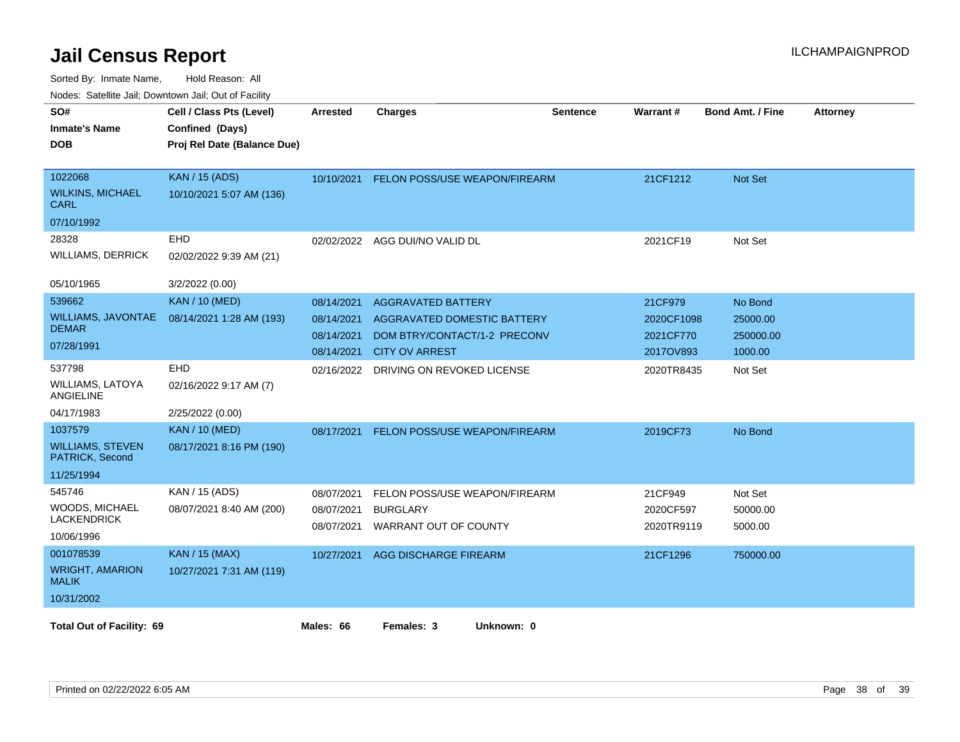| SO#<br><b>Inmate's Name</b><br><b>DOB</b>                           | Cell / Class Pts (Level)<br>Confined (Days)<br>Proj Rel Date (Balance Due) | <b>Arrested</b>                                      | <b>Charges</b>                                                                                                           | <b>Sentence</b> | Warrant#                                        | <b>Bond Amt. / Fine</b>                     | <b>Attorney</b> |
|---------------------------------------------------------------------|----------------------------------------------------------------------------|------------------------------------------------------|--------------------------------------------------------------------------------------------------------------------------|-----------------|-------------------------------------------------|---------------------------------------------|-----------------|
| 1022068<br><b>WILKINS, MICHAEL</b><br>CARL<br>07/10/1992            | <b>KAN / 15 (ADS)</b><br>10/10/2021 5:07 AM (136)                          | 10/10/2021                                           | FELON POSS/USE WEAPON/FIREARM                                                                                            |                 | 21CF1212                                        | Not Set                                     |                 |
| 28328<br><b>WILLIAMS, DERRICK</b><br>05/10/1965                     | EHD<br>02/02/2022 9:39 AM (21)<br>3/2/2022 (0.00)                          |                                                      | 02/02/2022 AGG DUI/NO VALID DL                                                                                           |                 | 2021CF19                                        | Not Set                                     |                 |
| 539662<br>WILLIAMS, JAVONTAE<br><b>DEMAR</b><br>07/28/1991          | <b>KAN / 10 (MED)</b><br>08/14/2021 1:28 AM (193)                          | 08/14/2021<br>08/14/2021<br>08/14/2021<br>08/14/2021 | <b>AGGRAVATED BATTERY</b><br><b>AGGRAVATED DOMESTIC BATTERY</b><br>DOM BTRY/CONTACT/1-2 PRECONV<br><b>CITY OV ARREST</b> |                 | 21CF979<br>2020CF1098<br>2021CF770<br>2017OV893 | No Bond<br>25000.00<br>250000.00<br>1000.00 |                 |
| 537798<br><b>WILLIAMS, LATOYA</b><br>ANGIELINE<br>04/17/1983        | EHD<br>02/16/2022 9:17 AM (7)<br>2/25/2022 (0.00)                          | 02/16/2022                                           | DRIVING ON REVOKED LICENSE                                                                                               |                 | 2020TR8435                                      | Not Set                                     |                 |
| 1037579<br><b>WILLIAMS, STEVEN</b><br>PATRICK, Second<br>11/25/1994 | <b>KAN / 10 (MED)</b><br>08/17/2021 8:16 PM (190)                          | 08/17/2021                                           | FELON POSS/USE WEAPON/FIREARM                                                                                            |                 | 2019CF73                                        | No Bond                                     |                 |
| 545746<br>WOODS, MICHAEL<br><b>LACKENDRICK</b><br>10/06/1996        | KAN / 15 (ADS)<br>08/07/2021 8:40 AM (200)                                 | 08/07/2021<br>08/07/2021<br>08/07/2021               | FELON POSS/USE WEAPON/FIREARM<br><b>BURGLARY</b><br>WARRANT OUT OF COUNTY                                                |                 | 21CF949<br>2020CF597<br>2020TR9119              | Not Set<br>50000.00<br>5000.00              |                 |
| 001078539<br><b>WRIGHT, AMARION</b><br><b>MALIK</b><br>10/31/2002   | <b>KAN / 15 (MAX)</b><br>10/27/2021 7:31 AM (119)                          | 10/27/2021                                           | AGG DISCHARGE FIREARM                                                                                                    |                 | 21CF1296                                        | 750000.00                                   |                 |
| <b>Total Out of Facility: 69</b>                                    |                                                                            | Males: 66                                            | Females: 3<br>Unknown: 0                                                                                                 |                 |                                                 |                                             |                 |